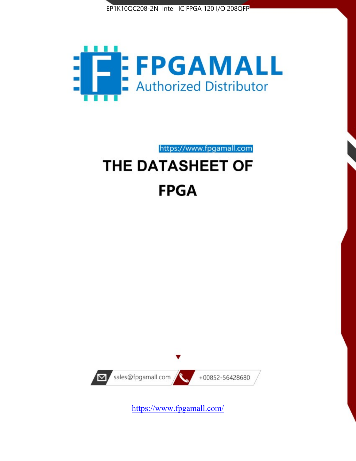



https://www.fpgamall.com THE DATASHEET OF

# **FPGA**



<https://www.fpgamall.com/>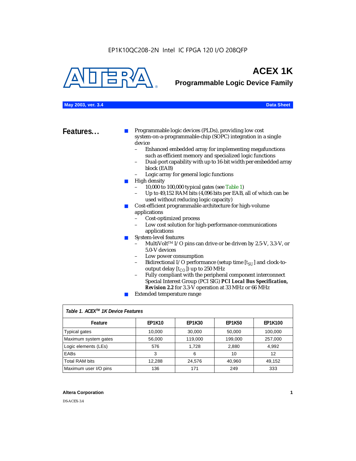

## **ACEX 1K**

**Programmable Logic Device Family**

#### **May 2003, ver. 3.4 Data Sheet**

**Features...** ■ Programmable logic devices (PLDs), providing low cost system-on-a-programmable-chip (SOPC) integration in a single device

- Enhanced embedded array for implementing megafunctions such as efficient memory and specialized logic functions
- Dual-port capability with up to 16-bit width per embedded array block (EAB)
- Logic array for general logic functions
- High density
	- 10,000 to 100,000 typical gates (see Table 1)
	- Up to 49,152 RAM bits (4,096 bits per EAB, all of which can be used without reducing logic capacity)
- Cost-efficient programmable architecture for high-volume applications
	- Cost-optimized process
	- Low cost solution for high-performance communications applications
- System-level features
	- MultiVolt<sup>™</sup> I/O pins can drive or be driven by 2.5-V, 3.3-V, or 5.0-V devices
	- Low power consumption
	- Bidirectional I/O performance (setup time [ $t_{SU}$ ] and clock-tooutput delay  $[t_{CO}]$ ) up to 250 MHz
	- Fully compliant with the peripheral component interconnect Special Interest Group (PCI SIG) *PCI Local Bus Specification, Revision 2.2* for 3.3-V operation at 33 MHz or 66 MHz
	- Extended temperature range

| Table 1. ACEX™ 1K Device Features |               |               |               |                |  |  |
|-----------------------------------|---------------|---------------|---------------|----------------|--|--|
| Feature                           | <b>EP1K10</b> | <b>EP1K30</b> | <b>EP1K50</b> | <b>EP1K100</b> |  |  |
| <b>Typical gates</b>              | 10,000        | 30,000        | 50,000        | 100,000        |  |  |
| Maximum system gates              | 56,000        | 119,000       | 199,000       | 257,000        |  |  |
| Logic elements (LEs)              | 576           | 1.728         | 2,880         | 4,992          |  |  |
| <b>EABs</b>                       | 3             | 6             | 10            | 12             |  |  |
| <b>Total RAM bits</b>             | 12,288        | 24,576        | 40,960        | 49,152         |  |  |
| Maximum user I/O pins             | 136           | 171           | 249           | 333            |  |  |

#### **Altera Corporation 1**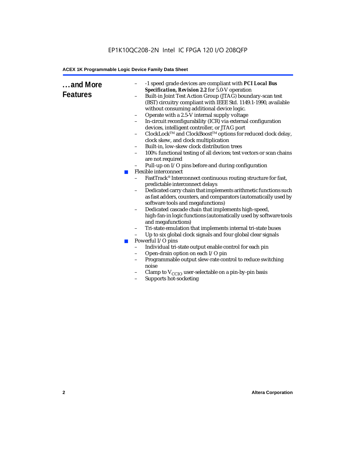| and More<br><b>Features</b><br><b>College</b><br>$\mathcal{C}^{\mathcal{A}}$ | -1 speed grade devices are compliant with PCI Local Bus<br>Specification, Revision 2.2 for 5.0-V operation<br>Built-in Joint Test Action Group (JTAG) boundary-scan test<br>(BST) circuitry compliant with IEEE Std. 1149.1-1990, available<br>without consuming additional device logic.<br>Operate with a 2.5-V internal supply voltage<br>$\qquad \qquad -$<br>In-circuit reconfigurability (ICR) via external configuration<br>devices, intelligent controller, or JTAG port<br>ClockLock™ and ClockBoost™ options for reduced clock delay,<br>$\qquad \qquad -$<br>clock skew, and clock multiplication<br>Built-in, low-skew clock distribution trees<br>$\qquad \qquad -$<br>100% functional testing of all devices; test vectors or scan chains<br>$\qquad \qquad -$<br>are not required<br>Pull-up on I/O pins before and during configuration<br>Flexible interconnect<br>FastTrack® Interconnect continuous routing structure for fast,<br>predictable interconnect delays<br>Dedicated carry chain that implements arithmetic functions such<br>$\qquad \qquad -$<br>as fast adders, counters, and comparators (automatically used by<br>software tools and megafunctions)<br>Dedicated cascade chain that implements high-speed,<br>$\qquad \qquad -$<br>high-fan-in logic functions (automatically used by software tools<br>and megafunctions)<br>Tri-state emulation that implements internal tri-state buses<br>-<br>Up to six global clock signals and four global clear signals<br>Powerful I/O pins<br>Individual tri-state output enable control for each pin<br>$\qquad \qquad -$<br>Open-drain option on each I/O pin<br>Programmable output slew-rate control to reduce switching<br>noise<br>Clamp to $V_{\text{CCIO}}$ user-selectable on a pin-by-pin basis<br>Supports hot-socketing<br>$\qquad \qquad -$ |
|------------------------------------------------------------------------------|---------------------------------------------------------------------------------------------------------------------------------------------------------------------------------------------------------------------------------------------------------------------------------------------------------------------------------------------------------------------------------------------------------------------------------------------------------------------------------------------------------------------------------------------------------------------------------------------------------------------------------------------------------------------------------------------------------------------------------------------------------------------------------------------------------------------------------------------------------------------------------------------------------------------------------------------------------------------------------------------------------------------------------------------------------------------------------------------------------------------------------------------------------------------------------------------------------------------------------------------------------------------------------------------------------------------------------------------------------------------------------------------------------------------------------------------------------------------------------------------------------------------------------------------------------------------------------------------------------------------------------------------------------------------------------------------------------------------------------------------------------------------------------------------------------------------------------------|
|                                                                              |                                                                                                                                                                                                                                                                                                                                                                                                                                                                                                                                                                                                                                                                                                                                                                                                                                                                                                                                                                                                                                                                                                                                                                                                                                                                                                                                                                                                                                                                                                                                                                                                                                                                                                                                                                                                                                       |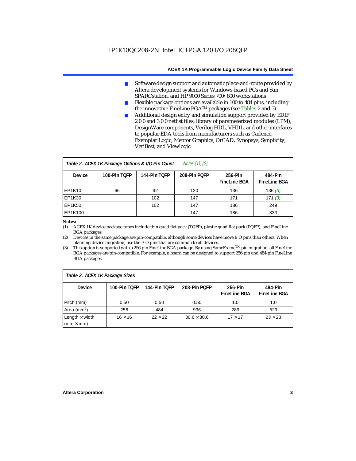- Software design support and automatic place-and-route provided by Altera development systems for Windows-based PCs and Sun SPARCstation, and HP 9000 Series 700/800 workstations
- Flexible package options are available in 100 to 484 pins, including the innovative FineLine BGATM packages (see Tables 2 and 3)
- Additional design entry and simulation support provided by EDIF 2 0 0 and 3 0 0 netlist files, library of parameterized modules (LPM), DesignWare components, Verilog HDL, VHDL, and other interfaces to popular EDA tools from manufacturers such as Cadence, Exemplar Logic, Mentor Graphics, OrCAD, Synopsys, Synplicity, VeriBest, and Viewlogic

| Notes $(1)$ , $(2)$<br>Table 2. ACEX 1K Package Options & I/O Pin Count |              |              |              |                                |                                |  |  |
|-------------------------------------------------------------------------|--------------|--------------|--------------|--------------------------------|--------------------------------|--|--|
| <b>Device</b>                                                           | 100-Pin TOFP | 144-Pin TOFP | 208-Pin POFP | 256-Pin<br><b>FineLine BGA</b> | 484-Pin<br><b>FineLine BGA</b> |  |  |
| <b>EP1K10</b>                                                           | 66           | 92           | 120          | 136                            | 136(3)                         |  |  |
| <b>EP1K30</b>                                                           |              | 102          | 147          | 171                            | 171(3)                         |  |  |
| <b>EP1K50</b>                                                           |              | 102          | 147          | 186                            | 249                            |  |  |
| EP1K100                                                                 |              |              | 147          | 186                            | 333                            |  |  |

#### *Notes:*

(1) ACEX 1K device package types include thin quad flat pack (TQFP), plastic quad flat pack (PQFP), and FineLine BGA packages.

(2) Devices in the same package are pin-compatible, although some devices have more I/O pins than others. When planning device migration, use the I/O pins that are common to all devices.

(3) This option is supported with a 256-pin FineLine BGA package. By using SameFrameTM pin migration, all FineLine BGA packages are pin-compatible. For example, a board can be designed to support 256-pin and 484-pin FineLine BGA packages.

| Table 3. ACEX 1K Package Sizes                           |                |                |                    |                                |                                |  |
|----------------------------------------------------------|----------------|----------------|--------------------|--------------------------------|--------------------------------|--|
| <b>Device</b>                                            | 100-Pin TOFP   | 144-Pin TOFP   | 208-Pin POFP       | 256-Pin<br><b>FineLine BGA</b> | 484-Pin<br><b>FineLine BGA</b> |  |
| Pitch (mm)                                               | 0.50           | 0.50           | 0.50               | 1.0                            | 1.0                            |  |
| Area ( $mm2$ )                                           | 256            | 484            | 936                | 289                            | 529                            |  |
| Length $\times$ width<br>$\mathsf{mmm}\times\mathsf{mm}$ | $16 \times 16$ | $22 \times 22$ | $30.6 \times 30.6$ | $17 \times 17$                 | $23 \times 23$                 |  |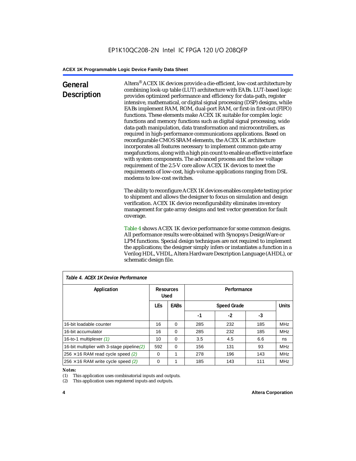## **General Description**

Altera® ACEX 1K devices provide a die-efficient, low-cost architecture by combining look-up table (LUT) architecture with EABs. LUT-based logic provides optimized performance and efficiency for data-path, register intensive, mathematical, or digital signal processing (DSP) designs, while EABs implement RAM, ROM, dual-port RAM, or first-in first-out (FIFO) functions. These elements make ACEX 1K suitable for complex logic functions and memory functions such as digital signal processing, wide data-path manipulation, data transformation and microcontrollers, as required in high-performance communications applications. Based on reconfigurable CMOS SRAM elements, the ACEX 1K architecture incorporates all features necessary to implement common gate array megafunctions, along with a high pin count to enable an effective interface with system components. The advanced process and the low voltage requirement of the 2.5-V core allow ACEX 1K devices to meet the requirements of low-cost, high-volume applications ranging from DSL modems to low-cost switches.

The ability to reconfigure ACEX 1K devices enables complete testing prior to shipment and allows the designer to focus on simulation and design verification. ACEX 1K device reconfigurability eliminates inventory management for gate array designs and test vector generation for fault coverage.

Table 4 shows ACEX 1K device performance for some common designs. All performance results were obtained with Synopsys DesignWare or LPM functions. Special design techniques are not required to implement the applications; the designer simply infers or instantiates a function in a Verilog HDL, VHDL, Altera Hardware Description Language (AHDL), or schematic design file.

| Table 4. ACEX 1K Device Performance         |                          |             |                    |     |     |              |  |
|---------------------------------------------|--------------------------|-------------|--------------------|-----|-----|--------------|--|
| Application                                 | Resources<br><b>Used</b> |             | Performance        |     |     |              |  |
|                                             | <b>LEs</b>               | <b>EABs</b> | <b>Speed Grade</b> |     |     | <b>Units</b> |  |
|                                             |                          |             | -1                 | -2  | -3  |              |  |
| 16-bit loadable counter                     | 16                       | $\Omega$    | 285                | 232 | 185 | <b>MHz</b>   |  |
| 16-bit accumulator                          | 16                       | $\Omega$    | 285                | 232 | 185 | <b>MHz</b>   |  |
| 16-to-1 multiplexer (1)                     | 10                       | $\Omega$    | 3.5                | 4.5 | 6.6 | ns           |  |
| 16-bit multiplier with 3-stage pipeline (2) | 592                      | $\Omega$    | 156                | 131 | 93  | <b>MHz</b>   |  |
| $256 \times 16$ RAM read cycle speed (2)    | $\Omega$                 | 1           | 278                | 196 | 143 | <b>MHz</b>   |  |
| $256 \times 16$ RAM write cycle speed (2)   | 0                        |             | 185                | 143 | 111 | <b>MHz</b>   |  |

## *Table 4. ACEX 1K Device Performance*

#### *Notes:*

(1) This application uses combinatorial inputs and outputs.

(2) This application uses registered inputs and outputs.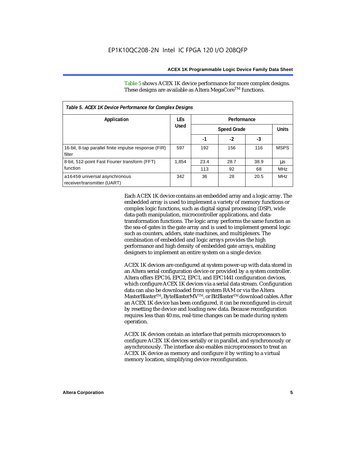Table 5 shows ACEX 1K device performance for more complex designs. These designs are available as Altera MegaCore<sup>TM</sup> functions.

| Table 5. ACEX 1K Device Performance for Complex Designs        |             |      |                    |      |              |  |
|----------------------------------------------------------------|-------------|------|--------------------|------|--------------|--|
| Application                                                    | <b>LEs</b>  |      | Performance        |      |              |  |
|                                                                | <b>Used</b> |      | <b>Speed Grade</b> |      | <b>Units</b> |  |
|                                                                |             | -1   | $-2$               | -3   |              |  |
| 16-bit, 8-tap parallel finite impulse response (FIR)<br>filter | 597         | 192  | 156                | 116  | <b>MSPS</b>  |  |
| 8-bit, 512-point Fast Fourier transform (FFT)                  | 1.854       | 23.4 | 28.7               | 38.9 | μs           |  |
| function                                                       |             | 113  | 92                 | 68   | <b>MHz</b>   |  |
| a16450 universal asynchronous<br>receiver/transmitter (UART)   | 342         | 36   | 28                 | 20.5 | <b>MHz</b>   |  |

Each ACEX 1K device contains an embedded array and a logic array. The embedded array is used to implement a variety of memory functions or complex logic functions, such as digital signal processing (DSP), wide data-path manipulation, microcontroller applications, and datatransformation functions. The logic array performs the same function as the sea-of-gates in the gate array and is used to implement general logic such as counters, adders, state machines, and multiplexers. The combination of embedded and logic arrays provides the high performance and high density of embedded gate arrays, enabling designers to implement an entire system on a single device.

ACEX 1K devices are configured at system power-up with data stored in an Altera serial configuration device or provided by a system controller. Altera offers EPC16, EPC2, EPC1, and EPC1441 configuration devices, which configure ACEX 1K devices via a serial data stream. Configuration data can also be downloaded from system RAM or via the Altera MasterBlaster™, ByteBlasterMV™, or BitBlaster™ download cables. After an ACEX 1K device has been configured, it can be reconfigured in-circuit by resetting the device and loading new data. Because reconfiguration requires less than 40 ms, real-time changes can be made during system operation.

ACEX 1K devices contain an interface that permits microprocessors to configure ACEX 1K devices serially or in parallel, and synchronously or asynchronously. The interface also enables microprocessors to treat an ACEX 1K device as memory and configure it by writing to a virtual memory location, simplifying device reconfiguration.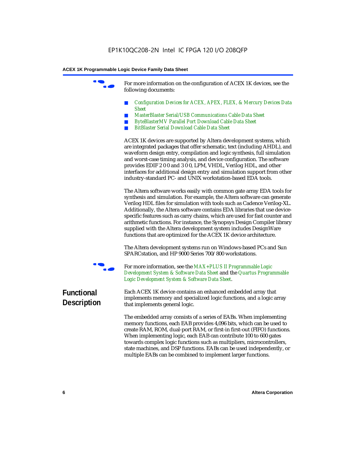For more information on the configuration of ACEX 1K devices, see the following documents:

- *Configuration Devices for ACEX, APEX, FLEX, & Mercury Devices Data Sheet*
- *MasterBlaster Serial/USB Communications Cable Data Sheet*
- *ByteBlasterMV Parallel Port Download Cable Data Sheet*
- *BitBlaster Serial Download Cable Data Sheet*

ACEX 1K devices are supported by Altera development systems, which are integrated packages that offer schematic, text (including AHDL), and waveform design entry, compilation and logic synthesis, full simulation and worst-case timing analysis, and device configuration. The software provides EDIF 2 0 0 and 3 0 0, LPM, VHDL, Verilog HDL, and other interfaces for additional design entry and simulation support from other industry-standard PC- and UNIX workstation-based EDA tools.

The Altera software works easily with common gate array EDA tools for synthesis and simulation. For example, the Altera software can generate Verilog HDL files for simulation with tools such as Cadence Verilog-XL. Additionally, the Altera software contains EDA libraries that use devicespecific features such as carry chains, which are used for fast counter and arithmetic functions. For instance, the Synopsys Design Compiler library supplied with the Altera development system includes DesignWare functions that are optimized for the ACEX 1K device architecture.

The Altera development systems run on Windows-based PCs and Sun SPARCstation, and HP 9000 Series 700/800 workstations.



For more information, see the *MAX+PLUS II Programmable Logic Development System & Software Data Sheet* and the *Quartus Programmable Logic Development System & Software Data Sheet*.

## **Functional Description**

Each ACEX 1K device contains an enhanced embedded array that implements memory and specialized logic functions, and a logic array that implements general logic.

The embedded array consists of a series of EABs. When implementing memory functions, each EAB provides 4,096 bits, which can be used to create RAM, ROM, dual-port RAM, or first-in first-out (FIFO) functions. When implementing logic, each EAB can contribute 100 to 600 gates towards complex logic functions such as multipliers, microcontrollers, state machines, and DSP functions. EABs can be used independently, or multiple EABs can be combined to implement larger functions.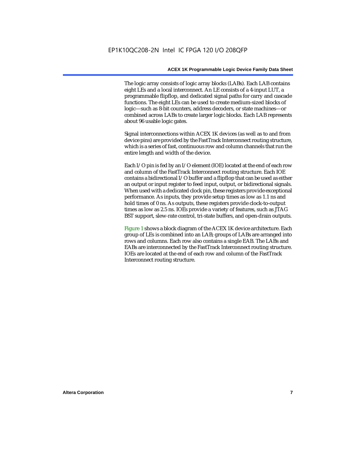The logic array consists of logic array blocks (LABs). Each LAB contains eight LEs and a local interconnect. An LE consists of a 4-input LUT, a programmable flipflop, and dedicated signal paths for carry and cascade functions. The eight LEs can be used to create medium-sized blocks of logic—such as 8-bit counters, address decoders, or state machines—or combined across LABs to create larger logic blocks. Each LAB represents about 96 usable logic gates.

Signal interconnections within ACEX 1K devices (as well as to and from device pins) are provided by the FastTrack Interconnect routing structure, which is a series of fast, continuous row and column channels that run the entire length and width of the device.

Each I/O pin is fed by an I/O element (IOE) located at the end of each row and column of the FastTrack Interconnect routing structure. Each IOE contains a bidirectional I/O buffer and a flipflop that can be used as either an output or input register to feed input, output, or bidirectional signals. When used with a dedicated clock pin, these registers provide exceptional performance. As inputs, they provide setup times as low as 1.1 ns and hold times of 0 ns. As outputs, these registers provide clock-to-output times as low as 2.5 ns. IOEs provide a variety of features, such as JTAG BST support, slew-rate control, tri-state buffers, and open-drain outputs.

Figure 1 shows a block diagram of the ACEX 1K device architecture. Each group of LEs is combined into an LAB; groups of LABs are arranged into rows and columns. Each row also contains a single EAB. The LABs and EABs are interconnected by the FastTrack Interconnect routing structure. IOEs are located at the end of each row and column of the FastTrack Interconnect routing structure.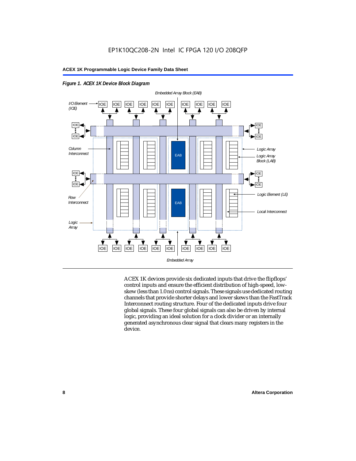



ACEX 1K devices provide six dedicated inputs that drive the flipflops' control inputs and ensure the efficient distribution of high-speed, lowskew (less than 1.0 ns) control signals. These signals use dedicated routing channels that provide shorter delays and lower skews than the FastTrack Interconnect routing structure. Four of the dedicated inputs drive four global signals. These four global signals can also be driven by internal logic, providing an ideal solution for a clock divider or an internally generated asynchronous clear signal that clears many registers in the device.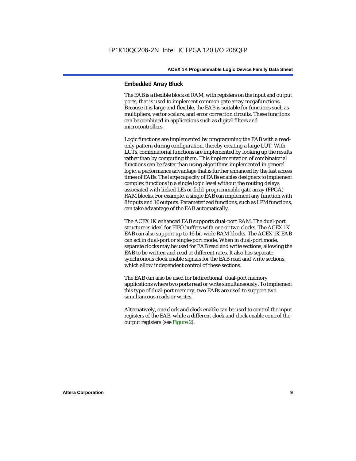## **Embedded Array Block**

The EAB is a flexible block of RAM, with registers on the input and output ports, that is used to implement common gate array megafunctions. Because it is large and flexible, the EAB is suitable for functions such as multipliers, vector scalars, and error correction circuits. These functions can be combined in applications such as digital filters and microcontrollers.

Logic functions are implemented by programming the EAB with a readonly pattern during configuration, thereby creating a large LUT. With LUTs, combinatorial functions are implemented by looking up the results rather than by computing them. This implementation of combinatorial functions can be faster than using algorithms implemented in general logic, a performance advantage that is further enhanced by the fast access times of EABs. The large capacity of EABs enables designers to implement complex functions in a single logic level without the routing delays associated with linked LEs or field-programmable gate array (FPGA) RAM blocks. For example, a single EAB can implement any function with 8 inputs and 16 outputs. Parameterized functions, such as LPM functions, can take advantage of the EAB automatically.

The ACEX 1K enhanced EAB supports dual-port RAM. The dual-port structure is ideal for FIFO buffers with one or two clocks. The ACEX 1K EAB can also support up to 16-bit-wide RAM blocks. The ACEX 1K EAB can act in dual-port or single-port mode. When in dual-port mode, separate clocks may be used for EAB read and write sections, allowing the EAB to be written and read at different rates. It also has separate synchronous clock enable signals for the EAB read and write sections, which allow independent control of these sections.

The EAB can also be used for bidirectional, dual-port memory applications where two ports read or write simultaneously. To implement this type of dual-port memory, two EABs are used to support two simultaneous reads or writes.

Alternatively, one clock and clock enable can be used to control the input registers of the EAB, while a different clock and clock enable control the output registers (see Figure 2).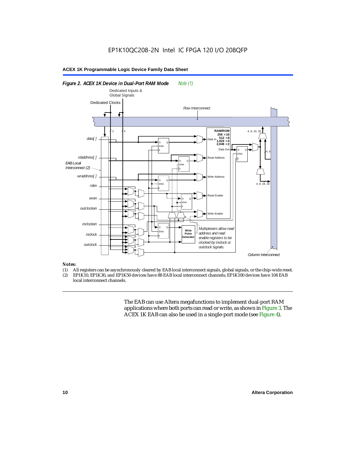#### *Figure 2. ACEX 1K Device in Dual-Port RAM Mode Note (1) Column Interconnect EAB Local Interconnect (2)*  Dedicated Clocks 2 4 D ENA  $^{\circ}$ D ENA  $^{\circ}$ D ENA  $^{\circ}$ D ENA Q D ENA  $^{\circ}$ *data[ ] rdaddress[ ] wraddress[ ]* **RAM/ROM**  $256 \times 16$ <br> $512 \times 8$ <br> $1,024 \times 4$  $2.048 \times 2$ Data In Address Write Address Read Enable Write Enable Data Out 4, 8, 16 4, 8, 16, 32 *outclocken inclocken inclock outclock* D ENA  $^{\circ}$ **Write Pulse Generator** *rden wren Multiplexers allow read address and read enable registers to be clocked by inclock or outclock signals. Row Interconnect* 4, 8 Dedicated Inputs & Global Signals

#### *Notes:*

- (1) All registers can be asynchronously cleared by EAB local interconnect signals, global signals, or the chip-wide reset.<br>(2) EP1K10. EP1K30. and EP1K50 devices have 88 EAB local interconnect channels: EP1K100 devices hav
- EP1K10, EP1K30, and EP1K50 devices have 88 EAB local interconnect channels; EP1K100 devices have 104 EAB local interconnect channels.

The EAB can use Altera megafunctions to implement dual-port RAM applications where both ports can read or write, as shown in Figure 3. The ACEX 1K EAB can also be used in a single-port mode (see Figure 4).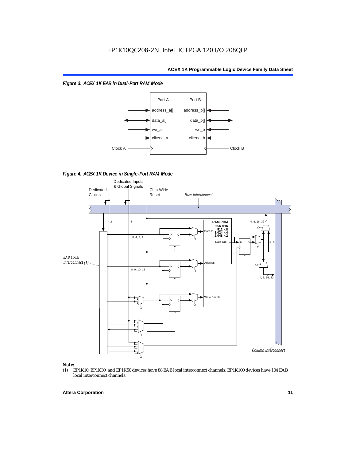*Figure 3. ACEX 1K EAB in Dual-Port RAM Mode*



*Figure 4. ACEX 1K Device in Single-Port RAM Mode* 



## *Note:*<br>(1) **H**

EP1K10, EP1K30, and EP1K50 devices have 88 EAB local interconnect channels; EP1K100 devices have 104 EAB local interconnect channels.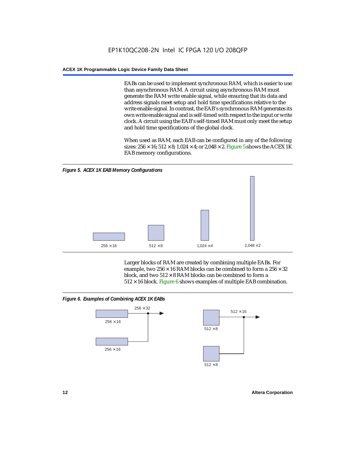EABs can be used to implement synchronous RAM, which is easier to use than asynchronous RAM. A circuit using asynchronous RAM must generate the RAM write enable signal, while ensuring that its data and address signals meet setup and hold time specifications relative to the write enable signal. In contrast, the EAB's synchronous RAM generates its own write enable signal and is self-timed with respect to the input or write clock. A circuit using the EAB's self-timed RAM must only meet the setup and hold time specifications of the global clock.

When used as RAM, each EAB can be configured in any of the following sizes:  $256 \times 16$ ;  $512 \times 8$ ;  $1,024 \times 4$ ; or  $2,048 \times 2$ . Figure 5 shows the ACEX 1K EAB memory configurations.



Larger blocks of RAM are created by combining multiple EABs. For example, two  $256 \times 16$  RAM blocks can be combined to form a  $256 \times 32$ block, and two  $512 \times 8$  RAM blocks can be combined to form a  $512 \times 16$  block. Figure 6 shows examples of multiple EAB combination.

## *Figure 6. Examples of Combining ACEX 1K EABs*



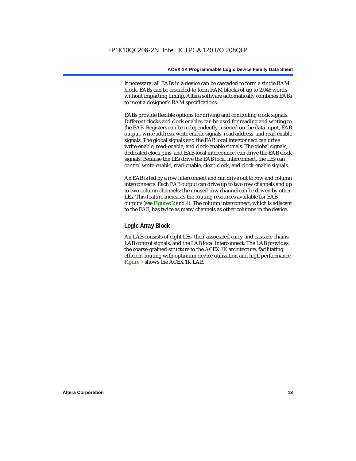If necessary, all EABs in a device can be cascaded to form a single RAM block. EABs can be cascaded to form RAM blocks of up to 2,048 words without impacting timing. Altera software automatically combines EABs to meet a designer's RAM specifications.

EABs provide flexible options for driving and controlling clock signals. Different clocks and clock enables can be used for reading and writing to the EAB. Registers can be independently inserted on the data input, EAB output, write address, write enable signals, read address, and read enable signals. The global signals and the EAB local interconnect can drive write-enable, read-enable, and clock-enable signals. The global signals, dedicated clock pins, and EAB local interconnect can drive the EAB clock signals. Because the LEs drive the EAB local interconnect, the LEs can control write-enable, read-enable, clear, clock, and clock-enable signals.

An EAB is fed by a row interconnect and can drive out to row and column interconnects. Each EAB output can drive up to two row channels and up to two column channels; the unused row channel can be driven by other LEs. This feature increases the routing resources available for EAB outputs (see Figures 2 and 4). The column interconnect, which is adjacent to the EAB, has twice as many channels as other columns in the device.

## **Logic Array Block**

An LAB consists of eight LEs, their associated carry and cascade chains, LAB control signals, and the LAB local interconnect. The LAB provides the coarse-grained structure to the ACEX 1K architecture, facilitating efficient routing with optimum device utilization and high performance. Figure 7 shows the ACEX 1K LAB.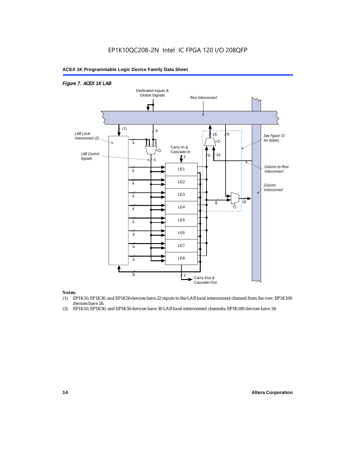## EP1K10QC208-2N Intel IC FPGA 120 I/O 208QFP

## **ACEX 1K Programmable Logic Device Family Data Sheet**



#### *Notes:*

- (1) EP1K10, EP1K30, and EP1K50 devices have 22 inputs to the LAB local interconnect channel from the row; EP1K100 devices have 26.
- (2) EP1K10, EP1K30, and EP1K50 devices have 30 LAB local interconnect channels; EP1K100 devices have 34.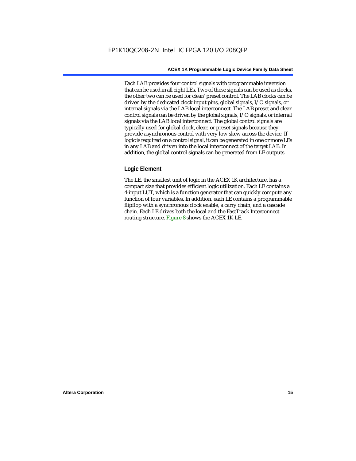Each LAB provides four control signals with programmable inversion that can be used in all eight LEs. Two of these signals can be used as clocks, the other two can be used for clear/preset control. The LAB clocks can be driven by the dedicated clock input pins, global signals, I/O signals, or internal signals via the LAB local interconnect. The LAB preset and clear control signals can be driven by the global signals, I/O signals, or internal signals via the LAB local interconnect. The global control signals are typically used for global clock, clear, or preset signals because they provide asynchronous control with very low skew across the device. If logic is required on a control signal, it can be generated in one or more LEs in any LAB and driven into the local interconnect of the target LAB. In addition, the global control signals can be generated from LE outputs.

## **Logic Element**

The LE, the smallest unit of logic in the ACEX 1K architecture, has a compact size that provides efficient logic utilization. Each LE contains a 4-input LUT, which is a function generator that can quickly compute any function of four variables. In addition, each LE contains a programmable flipflop with a synchronous clock enable, a carry chain, and a cascade chain. Each LE drives both the local and the FastTrack Interconnect routing structure. Figure 8 shows the ACEX 1K LE.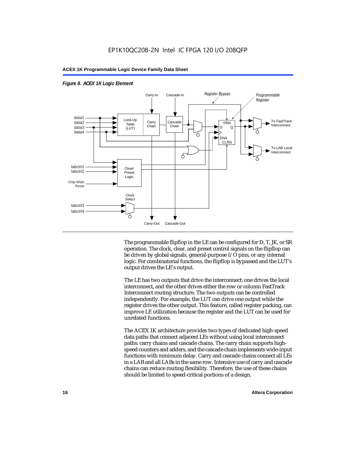

#### *Figure 8. ACEX 1K Logic Element*

The programmable flipflop in the LE can be configured for D, T, JK, or SR operation. The clock, clear, and preset control signals on the flipflop can be driven by global signals, general-purpose I/O pins, or any internal logic. For combinatorial functions, the flipflop is bypassed and the LUT's output drives the LE's output.

The LE has two outputs that drive the interconnect: one drives the local interconnect, and the other drives either the row or column FastTrack Interconnect routing structure. The two outputs can be controlled independently. For example, the LUT can drive one output while the register drives the other output. This feature, called register packing, can improve LE utilization because the register and the LUT can be used for unrelated functions.

The ACEX 1K architecture provides two types of dedicated high-speed data paths that connect adjacent LEs without using local interconnect paths: carry chains and cascade chains. The carry chain supports highspeed counters and adders, and the cascade chain implements wide-input functions with minimum delay. Carry and cascade chains connect all LEs in a LAB and all LABs in the same row. Intensive use of carry and cascade chains can reduce routing flexibility. Therefore, the use of these chains should be limited to speed-critical portions of a design.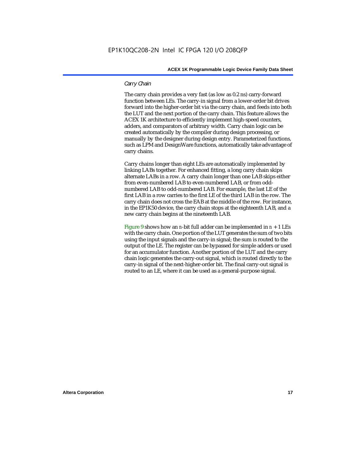## *Carry Chain*

The carry chain provides a very fast (as low as 0.2 ns) carry-forward function between LEs. The carry-in signal from a lower-order bit drives forward into the higher-order bit via the carry chain, and feeds into both the LUT and the next portion of the carry chain. This feature allows the ACEX 1K architecture to efficiently implement high-speed counters, adders, and comparators of arbitrary width. Carry chain logic can be created automatically by the compiler during design processing, or manually by the designer during design entry. Parameterized functions, such as LPM and DesignWare functions, automatically take advantage of carry chains.

Carry chains longer than eight LEs are automatically implemented by linking LABs together. For enhanced fitting, a long carry chain skips alternate LABs in a row. A carry chain longer than one LAB skips either from even-numbered LAB to even-numbered LAB, or from oddnumbered LAB to odd-numbered LAB. For example, the last LE of the first LAB in a row carries to the first LE of the third LAB in the row. The carry chain does not cross the EAB at the middle of the row. For instance, in the EP1K50 device, the carry chain stops at the eighteenth LAB, and a new carry chain begins at the nineteenth LAB.

Figure 9 shows how an *n*-bit full adder can be implemented in  $n + 1$  LEs with the carry chain. One portion of the LUT generates the sum of two bits using the input signals and the carry-in signal; the sum is routed to the output of the LE. The register can be bypassed for simple adders or used for an accumulator function. Another portion of the LUT and the carry chain logic generates the carry-out signal, which is routed directly to the carry-in signal of the next-higher-order bit. The final carry-out signal is routed to an LE, where it can be used as a general-purpose signal.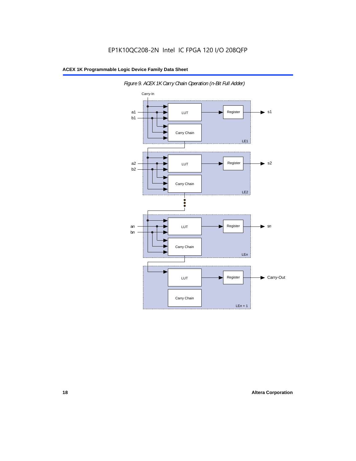

*Figure 9. ACEX 1K Carry Chain Operation (n-Bit Full Adder)*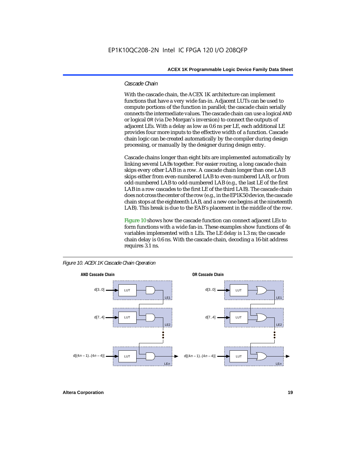### *Cascade Chain*

With the cascade chain, the ACEX 1K architecture can implement functions that have a very wide fan-in. Adjacent LUTs can be used to compute portions of the function in parallel; the cascade chain serially connects the intermediate values. The cascade chain can use a logical AND or logical OR (via De Morgan's inversion) to connect the outputs of adjacent LEs. With a delay as low as 0.6 ns per LE, each additional LE provides four more inputs to the effective width of a function. Cascade chain logic can be created automatically by the compiler during design processing, or manually by the designer during design entry.

Cascade chains longer than eight bits are implemented automatically by linking several LABs together. For easier routing, a long cascade chain skips every other LAB in a row. A cascade chain longer than one LAB skips either from even-numbered LAB to even-numbered LAB, or from odd-numbered LAB to odd-numbered LAB (e.g., the last LE of the first LAB in a row cascades to the first LE of the third LAB). The cascade chain does not cross the center of the row (e.g., in the EP1K50 device, the cascade chain stops at the eighteenth LAB, and a new one begins at the nineteenth LAB). This break is due to the EAB's placement in the middle of the row.

Figure 10 shows how the cascade function can connect adjacent LEs to form functions with a wide fan-in. These examples show functions of 4*n* variables implemented with *n* LEs. The LE delay is 1.3 ns; the cascade chain delay is 0.6 ns. With the cascade chain, decoding a 16-bit address requires 3.1 ns.



*Figure 10. ACEX 1K Cascade Chain Operation*

**Altera Corporation 19**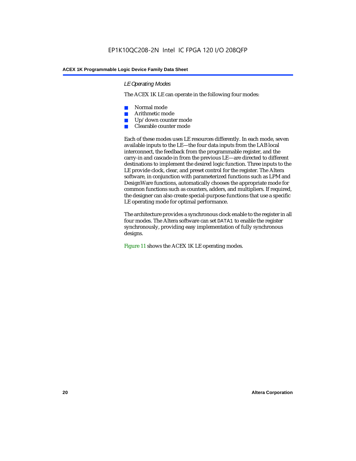## *LE Operating Modes*

The ACEX 1K LE can operate in the following four modes:

- Normal mode
- Arithmetic mode
- Up/down counter mode
- Clearable counter mode

Each of these modes uses LE resources differently. In each mode, seven available inputs to the LE—the four data inputs from the LAB local interconnect, the feedback from the programmable register, and the carry-in and cascade-in from the previous LE—are directed to different destinations to implement the desired logic function. Three inputs to the LE provide clock, clear, and preset control for the register. The Altera software, in conjunction with parameterized functions such as LPM and DesignWare functions, automatically chooses the appropriate mode for common functions such as counters, adders, and multipliers. If required, the designer can also create special-purpose functions that use a specific LE operating mode for optimal performance.

The architecture provides a synchronous clock enable to the register in all four modes. The Altera software can set DATA1 to enable the register synchronously, providing easy implementation of fully synchronous designs.

Figure 11 shows the ACEX 1K LE operating modes.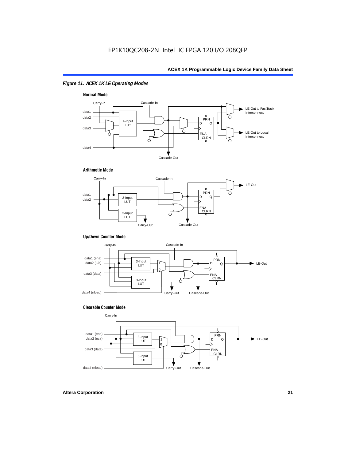## *Figure 11. ACEX 1K LE Operating Modes*



#### **Arithmetic Mode**



#### **Up/Down Counter Mode**



#### **Clearable Counter Mode**

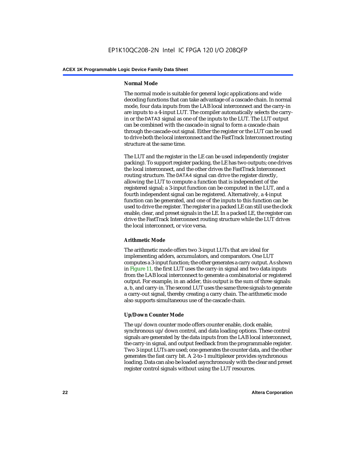## **Normal Mode**

The normal mode is suitable for general logic applications and wide decoding functions that can take advantage of a cascade chain. In normal mode, four data inputs from the LAB local interconnect and the carry-in are inputs to a 4-input LUT. The compiler automatically selects the carryin or the DATA3 signal as one of the inputs to the LUT. The LUT output can be combined with the cascade-in signal to form a cascade chain through the cascade-out signal. Either the register or the LUT can be used to drive both the local interconnect and the FastTrack Interconnect routing structure at the same time.

The LUT and the register in the LE can be used independently (register packing). To support register packing, the LE has two outputs; one drives the local interconnect, and the other drives the FastTrack Interconnect routing structure. The DATA4 signal can drive the register directly, allowing the LUT to compute a function that is independent of the registered signal; a 3-input function can be computed in the LUT, and a fourth independent signal can be registered. Alternatively, a 4-input function can be generated, and one of the inputs to this function can be used to drive the register. The register in a packed LE can still use the clock enable, clear, and preset signals in the LE. In a packed LE, the register can drive the FastTrack Interconnect routing structure while the LUT drives the local interconnect, or vice versa.

## **Arithmetic Mode**

The arithmetic mode offers two 3-input LUTs that are ideal for implementing adders, accumulators, and comparators. One LUT computes a 3-input function; the other generates a carry output. As shown in Figure 11, the first LUT uses the carry-in signal and two data inputs from the LAB local interconnect to generate a combinatorial or registered output. For example, in an adder, this output is the sum of three signals: a, b, and carry-in. The second LUT uses the same three signals to generate a carry-out signal, thereby creating a carry chain. The arithmetic mode also supports simultaneous use of the cascade chain.

## **Up/Down Counter Mode**

The up/down counter mode offers counter enable, clock enable, synchronous up/down control, and data loading options. These control signals are generated by the data inputs from the LAB local interconnect, the carry-in signal, and output feedback from the programmable register. Two 3-input LUTs are used; one generates the counter data, and the other generates the fast carry bit. A 2-to-1 multiplexer provides synchronous loading. Data can also be loaded asynchronously with the clear and preset register control signals without using the LUT resources.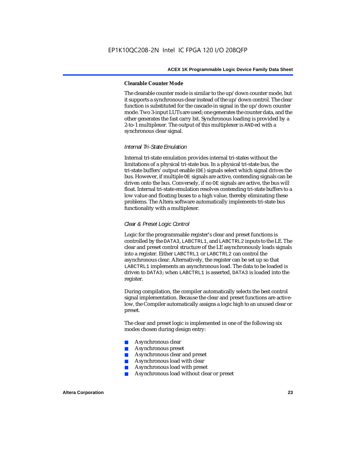## **Clearable Counter Mode**

The clearable counter mode is similar to the up/down counter mode, but it supports a synchronous clear instead of the up/down control. The clear function is substituted for the cascade-in signal in the up/down counter mode. Two 3-input LUTs are used; one generates the counter data, and the other generates the fast carry bit. Synchronous loading is provided by a 2-to-1 multiplexer. The output of this multiplexer is ANDed with a synchronous clear signal.

## *Internal Tri-State Emulation*

Internal tri-state emulation provides internal tri-states without the limitations of a physical tri-state bus. In a physical tri-state bus, the tri-state buffers' output enable (OE) signals select which signal drives the bus. However, if multiple OE signals are active, contending signals can be driven onto the bus. Conversely, if no OE signals are active, the bus will float. Internal tri-state emulation resolves contending tri-state buffers to a low value and floating buses to a high value, thereby eliminating these problems. The Altera software automatically implements tri-state bus functionality with a multiplexer.

## *Clear & Preset Logic Control*

Logic for the programmable register's clear and preset functions is controlled by the DATA3, LABCTRL1, and LABCTRL2 inputs to the LE. The clear and preset control structure of the LE asynchronously loads signals into a register. Either LABCTRL1 or LABCTRL2 can control the asynchronous clear. Alternatively, the register can be set up so that LABCTRL1 implements an asynchronous load. The data to be loaded is driven to DATA3; when LABCTRL1 is asserted, DATA3 is loaded into the register.

During compilation, the compiler automatically selects the best control signal implementation. Because the clear and preset functions are activelow, the Compiler automatically assigns a logic high to an unused clear or preset.

The clear and preset logic is implemented in one of the following six modes chosen during design entry:

- Asynchronous clear
- Asynchronous preset
- Asynchronous clear and preset
- Asynchronous load with clear
- Asynchronous load with preset
- Asynchronous load without clear or preset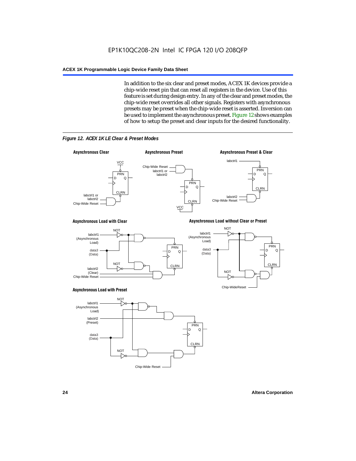In addition to the six clear and preset modes, ACEX 1K devices provide a chip-wide reset pin that can reset all registers in the device. Use of this feature is set during design entry. In any of the clear and preset modes, the chip-wide reset overrides all other signals. Registers with asynchronous presets may be preset when the chip-wide reset is asserted. Inversion can be used to implement the asynchronous preset. Figure 12 shows examples of how to setup the preset and clear inputs for the desired functionality.



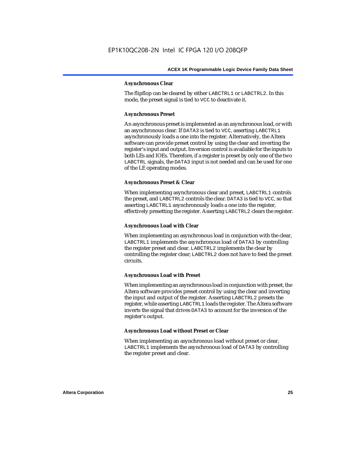## **Asynchronous Clear**

The flipflop can be cleared by either LABCTRL1 or LABCTRL2. In this mode, the preset signal is tied to VCC to deactivate it.

## **Asynchronous Preset**

An asynchronous preset is implemented as an asynchronous load, or with an asynchronous clear. If DATA3 is tied to VCC, asserting LABCTRL1 asynchronously loads a one into the register. Alternatively, the Altera software can provide preset control by using the clear and inverting the register's input and output. Inversion control is available for the inputs to both LEs and IOEs. Therefore, if a register is preset by only one of the two LABCTRL signals, the DATA3 input is not needed and can be used for one of the LE operating modes.

## **Asynchronous Preset & Clear**

When implementing asynchronous clear and preset, LABCTRL1 controls the preset, and LABCTRL2 controls the clear. DATA3 is tied to VCC, so that asserting LABCTRL1 asynchronously loads a one into the register, effectively presetting the register. Asserting LABCTRL2 clears the register.

## **Asynchronous Load with Clear**

When implementing an asynchronous load in conjunction with the clear, LABCTRL1 implements the asynchronous load of DATA3 by controlling the register preset and clear. LABCTRL2 implements the clear by controlling the register clear; LABCTRL2 does not have to feed the preset circuits.

## **Asynchronous Load with Preset**

When implementing an asynchronous load in conjunction with preset, the Altera software provides preset control by using the clear and inverting the input and output of the register. Asserting LABCTRL2 presets the register, while asserting LABCTRL1 loads the register. The Altera software inverts the signal that drives DATA3 to account for the inversion of the register's output.

## **Asynchronous Load without Preset or Clear**

When implementing an asynchronous load without preset or clear, LABCTRL1 implements the asynchronous load of DATA3 by controlling the register preset and clear.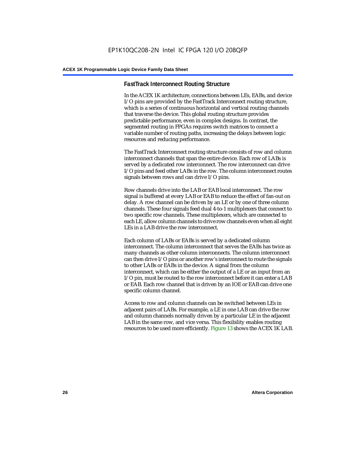## **FastTrack Interconnect Routing Structure**

In the ACEX 1K architecture, connections between LEs, EABs, and device I/O pins are provided by the FastTrack Interconnect routing structure, which is a series of continuous horizontal and vertical routing channels that traverse the device. This global routing structure provides predictable performance, even in complex designs. In contrast, the segmented routing in FPGAs requires switch matrices to connect a variable number of routing paths, increasing the delays between logic resources and reducing performance.

The FastTrack Interconnect routing structure consists of row and column interconnect channels that span the entire device. Each row of LABs is served by a dedicated row interconnect. The row interconnect can drive I/O pins and feed other LABs in the row. The column interconnect routes signals between rows and can drive I/O pins.

Row channels drive into the LAB or EAB local interconnect. The row signal is buffered at every LAB or EAB to reduce the effect of fan-out on delay. A row channel can be driven by an LE or by one of three column channels. These four signals feed dual 4-to-1 multiplexers that connect to two specific row channels. These multiplexers, which are connected to each LE, allow column channels to drive row channels even when all eight LEs in a LAB drive the row interconnect.

Each column of LABs or EABs is served by a dedicated column interconnect. The column interconnect that serves the EABs has twice as many channels as other column interconnects. The column interconnect can then drive I/O pins or another row's interconnect to route the signals to other LABs or EABs in the device. A signal from the column interconnect, which can be either the output of a LE or an input from an I/O pin, must be routed to the row interconnect before it can enter a LAB or EAB. Each row channel that is driven by an IOE or EAB can drive one specific column channel.

Access to row and column channels can be switched between LEs in adjacent pairs of LABs. For example, a LE in one LAB can drive the row and column channels normally driven by a particular LE in the adjacent LAB in the same row, and vice versa. This flexibility enables routing resources to be used more efficiently. Figure 13 shows the ACEX 1K LAB.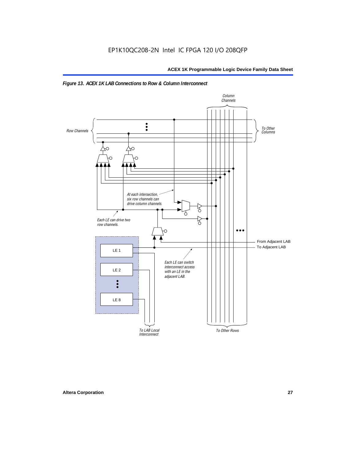

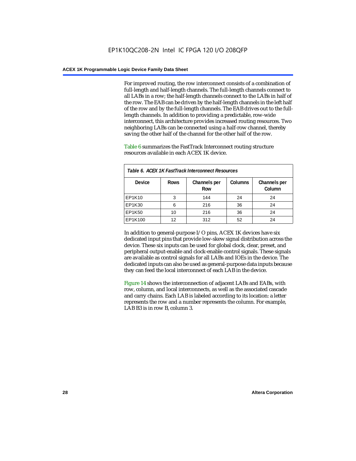For improved routing, the row interconnect consists of a combination of full-length and half-length channels. The full-length channels connect to all LABs in a row; the half-length channels connect to the LABs in half of the row. The EAB can be driven by the half-length channels in the left half of the row and by the full-length channels. The EAB drives out to the fulllength channels. In addition to providing a predictable, row-wide interconnect, this architecture provides increased routing resources. Two neighboring LABs can be connected using a half-row channel, thereby saving the other half of the channel for the other half of the row.

Table 6 summarizes the FastTrack Interconnect routing structure resources available in each ACEX 1K device.

| Table 6. ACEX 1K FastTrack Interconnect Resources |             |                     |                |                        |  |  |
|---------------------------------------------------|-------------|---------------------|----------------|------------------------|--|--|
| <b>Device</b>                                     | <b>Rows</b> | Channels per<br>Row | <b>Columns</b> | Channels per<br>Column |  |  |
| EP1K10                                            | 3           | 144                 | 24             | 24                     |  |  |
| EP1K30                                            | 6           | 216                 | 36             | 24                     |  |  |
| EP1K50                                            | 10          | 216                 | 36             | 24                     |  |  |
| EP1K100                                           | 12          | 312                 | 52             | 24                     |  |  |

In addition to general-purpose I/O pins, ACEX 1K devices have six dedicated input pins that provide low-skew signal distribution across the device. These six inputs can be used for global clock, clear, preset, and peripheral output-enable and clock-enable control signals. These signals are available as control signals for all LABs and IOEs in the device. The dedicated inputs can also be used as general-purpose data inputs because they can feed the local interconnect of each LAB in the device.

Figure 14 shows the interconnection of adjacent LABs and EABs, with row, column, and local interconnects, as well as the associated cascade and carry chains. Each LAB is labeled according to its location: a letter represents the row and a number represents the column. For example, LAB B3 is in row B, column 3.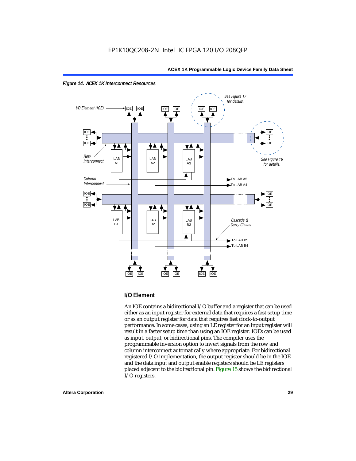



## **I/O Element**

An IOE contains a bidirectional I/O buffer and a register that can be used either as an input register for external data that requires a fast setup time or as an output register for data that requires fast clock-to-output performance. In some cases, using an LE register for an input register will result in a faster setup time than using an IOE register. IOEs can be used as input, output, or bidirectional pins. The compiler uses the programmable inversion option to invert signals from the row and column interconnect automatically where appropriate. For bidirectional registered I/O implementation, the output register should be in the IOE and the data input and output enable registers should be LE registers placed adjacent to the bidirectional pin. Figure 15 shows the bidirectional I/O registers.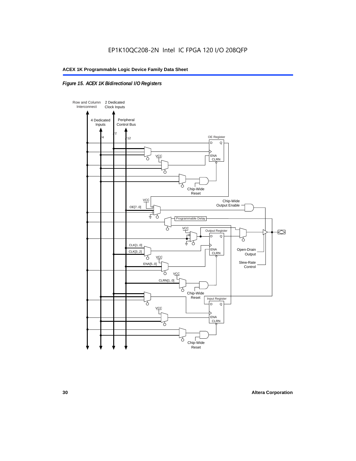## *Figure 15. ACEX 1K Bidirectional I/O Registers*

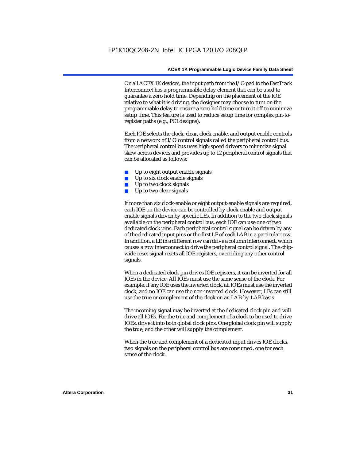On all ACEX 1K devices, the input path from the I/O pad to the FastTrack Interconnect has a programmable delay element that can be used to guarantee a zero hold time. Depending on the placement of the IOE relative to what it is driving, the designer may choose to turn on the programmable delay to ensure a zero hold time or turn it off to minimize setup time. This feature is used to reduce setup time for complex pin-toregister paths (e.g., PCI designs).

Each IOE selects the clock, clear, clock enable, and output enable controls from a network of I/O control signals called the peripheral control bus. The peripheral control bus uses high-speed drivers to minimize signal skew across devices and provides up to 12 peripheral control signals that can be allocated as follows:

- Up to eight output enable signals
- Up to six clock enable signals
- Up to two clock signals
- Up to two clear signals

If more than six clock-enable or eight output-enable signals are required, each IOE on the device can be controlled by clock enable and output enable signals driven by specific LEs. In addition to the two clock signals available on the peripheral control bus, each IOE can use one of two dedicated clock pins. Each peripheral control signal can be driven by any of the dedicated input pins or the first LE of each LAB in a particular row. In addition, a LE in a different row can drive a column interconnect, which causes a row interconnect to drive the peripheral control signal. The chipwide reset signal resets all IOE registers, overriding any other control signals.

When a dedicated clock pin drives IOE registers, it can be inverted for all IOEs in the device. All IOEs must use the same sense of the clock. For example, if any IOE uses the inverted clock, all IOEs must use the inverted clock, and no IOE can use the non-inverted clock. However, LEs can still use the true or complement of the clock on an LAB-by-LAB basis.

The incoming signal may be inverted at the dedicated clock pin and will drive all IOEs. For the true and complement of a clock to be used to drive IOEs, drive it into both global clock pins. One global clock pin will supply the true, and the other will supply the complement.

When the true and complement of a dedicated input drives IOE clocks, two signals on the peripheral control bus are consumed, one for each sense of the clock.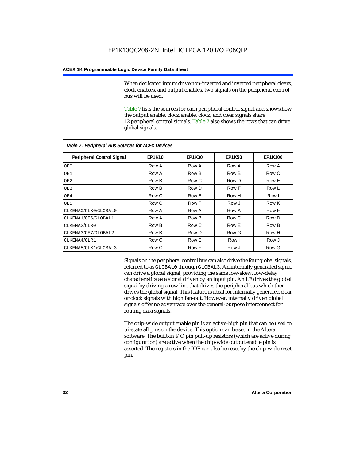When dedicated inputs drive non-inverted and inverted peripheral clears, clock enables, and output enables, two signals on the peripheral control bus will be used.

Table 7 lists the sources for each peripheral control signal and shows how the output enable, clock enable, clock, and clear signals share 12 peripheral control signals. Table 7 also shows the rows that can drive global signals.

| Table 7. Peripheral Bus Sources for ACEX Devices |               |               |               |                |  |  |  |
|--------------------------------------------------|---------------|---------------|---------------|----------------|--|--|--|
| Peripheral Control Signal                        | <b>EP1K10</b> | <b>EP1K30</b> | <b>EP1K50</b> | <b>EP1K100</b> |  |  |  |
| OE0                                              | Row A         | Row A         | Row A         | Row A          |  |  |  |
| OE1                                              | Row A         | Row B         | Row B         | Row C          |  |  |  |
| OE <sub>2</sub>                                  | Row B         | Row C         | Row D         | Row E          |  |  |  |
| OE3                                              | Row B         | Row D         | Row F         | Row L          |  |  |  |
| OE4                                              | Row C         | Row E         | Row H         | Row I          |  |  |  |
| OE5                                              | Row C         | Row F         | Row J         | Row K          |  |  |  |
| CLKENA0/CLK0/GLOBAL0                             | Row A         | Row A         | Row A         | Row F          |  |  |  |
| CLKENA1/OE6/GLOBAL1                              | Row A         | Row B         | Row C         | Row D          |  |  |  |
| CLKENA2/CLR0                                     | Row B         | Row C         | Row E         | Row B          |  |  |  |
| CLKENA3/OE7/GLOBAL2                              | Row B         | Row D         | Row G         | Row H          |  |  |  |
| CLKENA4/CLR1                                     | Row C         | Row E         | Row I         | Row J          |  |  |  |
| CLKENA5/CLK1/GLOBAL3                             | Row C         | Row F         | Row J         | Row G          |  |  |  |

Signals on the peripheral control bus can also drive the four global signals, referred to as GLOBAL0 through GLOBAL3. An internally generated signal can drive a global signal, providing the same low-skew, low-delay characteristics as a signal driven by an input pin. An LE drives the global signal by driving a row line that drives the peripheral bus which then drives the global signal. This feature is ideal for internally generated clear or clock signals with high fan-out. However, internally driven global signals offer no advantage over the general-purpose interconnect for routing data signals.

The chip-wide output enable pin is an active-high pin that can be used to tri-state all pins on the device. This option can be set in the Altera software. The built-in I/O pin pull-up resistors (which are active during configuration) are active when the chip-wide output enable pin is asserted. The registers in the IOE can also be reset by the chip-wide reset pin.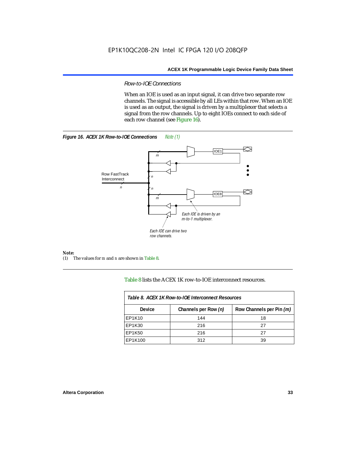## *Row-to-IOE Connections*

When an IOE is used as an input signal, it can drive two separate row channels. The signal is accessible by all LEs within that row. When an IOE is used as an output, the signal is driven by a multiplexer that selects a signal from the row channels. Up to eight IOEs connect to each side of each row channel (see Figure 16).





*Note:*<br>(1) 7 (1) The values for *m* and *n* are shown in Table 8.

Table 8 lists the ACEX 1K row-to-IOE interconnect resources.

| Table 8. ACEX 1K Row-to-IOE Interconnect Resources |                      |                          |  |  |  |
|----------------------------------------------------|----------------------|--------------------------|--|--|--|
| <b>Device</b>                                      | Channels per Row (n) | Row Channels per Pin (m) |  |  |  |
| EP1K10                                             | 144                  | 18                       |  |  |  |
| EP1K30                                             | 216                  | 27                       |  |  |  |
| EP1K50                                             | 216                  | 27                       |  |  |  |
| EP1K100                                            | 312                  | 39                       |  |  |  |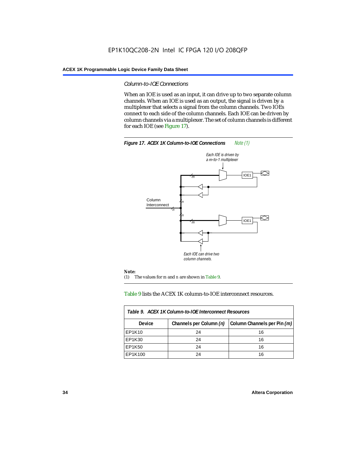## *Column-to-IOE Connections*

When an IOE is used as an input, it can drive up to two separate column channels. When an IOE is used as an output, the signal is driven by a multiplexer that selects a signal from the column channels. Two IOEs connect to each side of the column channels. Each IOE can be driven by column channels via a multiplexer. The set of column channels is different for each IOE (see Figure 17).



#### Table 9 lists the ACEX 1K column-to-IOE interconnect resources.

| Table 9. ACEX 1K Column-to-IOE Interconnect Resources |                         |                             |  |  |  |
|-------------------------------------------------------|-------------------------|-----------------------------|--|--|--|
| Device                                                | Channels per Column (n) | Column Channels per Pin (m) |  |  |  |
| EP1K10                                                | 24                      | 16                          |  |  |  |
| EP1K30                                                | 24                      | 16                          |  |  |  |
| EP1K50                                                | 24                      | 16                          |  |  |  |
| EP1K100                                               | 24                      | 16                          |  |  |  |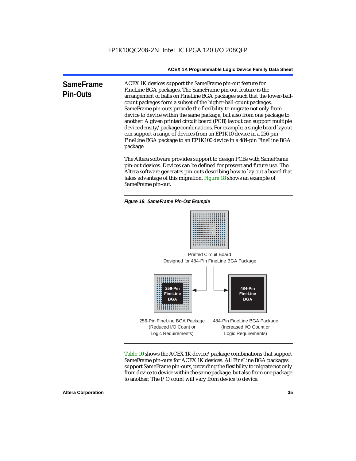**SameFrame Pin-Outs** ACEX 1K devices support the SameFrame pin-out feature for FineLine BGA packages. The SameFrame pin-out feature is the arrangement of balls on FineLine BGA packages such that the lower-ballcount packages form a subset of the higher-ball-count packages. SameFrame pin-outs provide the flexibility to migrate not only from device to device within the same package, but also from one package to another. A given printed circuit board (PCB) layout can support multiple device density/package combinations. For example, a single board layout can support a range of devices from an EP1K10 device in a 256-pin FineLine BGA package to an EP1K100 device in a 484-pin FineLine BGA package.

> The Altera software provides support to design PCBs with SameFrame pin-out devices. Devices can be defined for present and future use. The Altera software generates pin-outs describing how to lay out a board that takes advantage of this migration. Figure 18 shows an example of SameFrame pin-out.

*Figure 18. SameFrame Pin-Out Example*



Designed for 484-Pin FineLine BGA Package Printed Circuit Board



Table 10 shows the ACEX 1K device/package combinations that support SameFrame pin-outs for ACEX 1K devices. All FineLine BGA packages support SameFrame pin-outs, providing the flexibility to migrate not only from device to device within the same package, but also from one package to another. The I/O count will vary from device to device.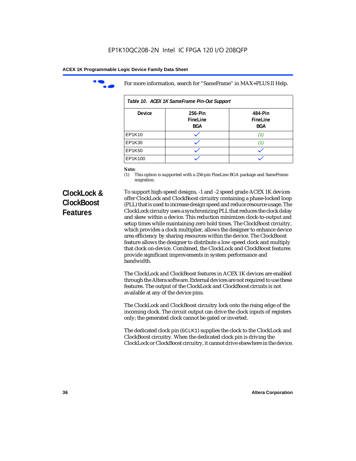

For more information, search for "SameFrame" in MAX+PLUS II Help.

| Table 10. ACEX 1K SameFrame Pin-Out Support |                            |                                   |  |  |  |
|---------------------------------------------|----------------------------|-----------------------------------|--|--|--|
| <b>Device</b>                               | 256-Pin<br>FineLine<br>BGA | 484-Pin<br>FineLine<br><b>BGA</b> |  |  |  |
| EP1K10                                      |                            | (1.                               |  |  |  |
| EP1K30                                      |                            | 11.                               |  |  |  |
| EP1K50                                      |                            |                                   |  |  |  |
| EP1K100                                     |                            |                                   |  |  |  |

# *Note:*<br>(1) **7**

This option is supported with a 256-pin FineLine BGA package and SameFrame migration.

# **ClockLock & ClockBoost Features**

To support high-speed designs, -1 and -2 speed grade ACEX 1K devices offer ClockLock and ClockBoost circuitry containing a phase-locked loop (PLL) that is used to increase design speed and reduce resource usage. The ClockLock circuitry uses a synchronizing PLL that reduces the clock delay and skew within a device. This reduction minimizes clock-to-output and setup times while maintaining zero hold times. The ClockBoost circuitry, which provides a clock multiplier, allows the designer to enhance device area efficiency by sharing resources within the device. The ClockBoost feature allows the designer to distribute a low-speed clock and multiply that clock on-device. Combined, the ClockLock and ClockBoost features provide significant improvements in system performance and bandwidth.

The ClockLock and ClockBoost features in ACEX 1K devices are enabled through the Altera software. External devices are not required to use these features. The output of the ClockLock and ClockBoost circuits is not available at any of the device pins.

The ClockLock and ClockBoost circuitry lock onto the rising edge of the incoming clock. The circuit output can drive the clock inputs of registers only; the generated clock cannot be gated or inverted.

The dedicated clock pin (GCLK1) supplies the clock to the ClockLock and ClockBoost circuitry. When the dedicated clock pin is driving the ClockLock or ClockBoost circuitry, it cannot drive elsewhere in the device.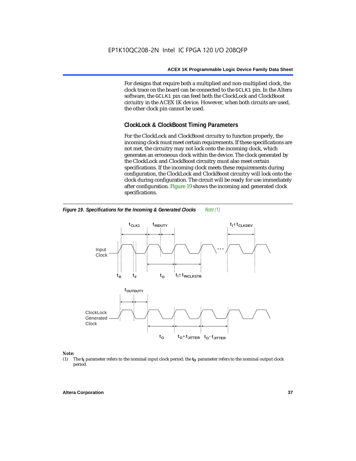For designs that require both a multiplied and non-multiplied clock, the clock trace on the board can be connected to the GCLK1 pin. In the Altera software, the GCLK1 pin can feed both the ClockLock and ClockBoost circuitry in the ACEX 1K device. However, when both circuits are used, the other clock pin cannot be used.

# **ClockLock & ClockBoost Timing Parameters**

For the ClockLock and ClockBoost circuitry to function properly, the incoming clock must meet certain requirements. If these specifications are not met, the circuitry may not lock onto the incoming clock, which generates an erroneous clock within the device. The clock generated by the ClockLock and ClockBoost circuitry must also meet certain specifications. If the incoming clock meets these requirements during configuration, the ClockLock and ClockBoost circuitry will lock onto the clock during configuration. The circuit will be ready for use immediately after configuration. Figure 19 shows the incoming and generated clock specifications.



*Figure 19. Specifications for the Incoming & Generated Clocks Note (1)*

#### *Note:*

(1) The  $t_I$  parameter refers to the nominal input clock period; the  $t_O$  parameter refers to the nominal output clock period.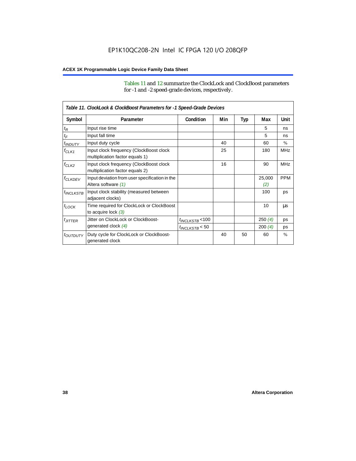Tables 11 and 12 summarize the ClockLock and ClockBoost parameters for -1 and -2 speed-grade devices, respectively.

|                       | Table 11. ClockLock & ClockBoost Parameters for -1 Speed-Grade Devices     |                      |     |     |               |               |
|-----------------------|----------------------------------------------------------------------------|----------------------|-----|-----|---------------|---------------|
| Symbol                | Parameter                                                                  | Condition            | Min | Typ | Max           | Unit          |
| $t_{\mathsf{R}}$      | Input rise time                                                            |                      |     |     | 5             | ns            |
| $t_{\mathsf{F}}$      | Input fall time                                                            |                      |     |     | 5             | ns            |
| $t_{INDUTY}$          | Input duty cycle                                                           |                      | 40  |     | 60            | $\frac{0}{0}$ |
| $f_{CLK1}$            | Input clock frequency (ClockBoost clock<br>multiplication factor equals 1) |                      | 25  |     | 180           | <b>MHz</b>    |
| $f_{CLK2}$            | Input clock frequency (ClockBoost clock<br>multiplication factor equals 2) |                      | 16  |     | 90            | <b>MHz</b>    |
| <b><i>fCLKDEV</i></b> | Input deviation from user specification in the<br>Altera software (1)      |                      |     |     | 25,000<br>(2) | <b>PPM</b>    |
| <sup>t</sup> INCLKSTB | Input clock stability (measured between<br>adjacent clocks)                |                      |     |     | 100           | ps            |
| $t_{LOCK}$            | Time required for ClockLock or ClockBoost<br>to acquire lock $(3)$         |                      |     |     | 10            | μs            |
| $t_{JITTER}$          | Jitter on ClockLock or ClockBoost-                                         | $t_{INCLKSTB}$ < 100 |     |     | 250(4)        | ps            |
|                       | generated clock (4)                                                        | $t_{INCLKSTB}$ < 50  |     |     | 200(4)        | ps            |
| <i>toutputy</i>       | Duty cycle for ClockLock or ClockBoost-<br>generated clock                 |                      | 40  | 50  | 60            | $\frac{0}{0}$ |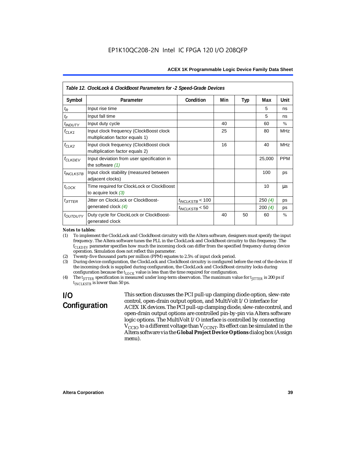|                           | Table 12. ClockLock & ClockBoost Parameters for -2 Speed-Grade Devices     |                      |     |            |        |               |
|---------------------------|----------------------------------------------------------------------------|----------------------|-----|------------|--------|---------------|
| Symbol                    | Parameter                                                                  | Condition            | Min | <b>Typ</b> | Max    | Unit          |
| $t_{\mathsf{R}}$          | Input rise time                                                            |                      |     |            | 5      | ns            |
| $t_{\mathsf{F}}$          | Input fall time                                                            |                      |     |            | 5      | ns            |
| <i>t<sub>INDUTY</sub></i> | Input duty cycle                                                           |                      | 40  |            | 60     | $\frac{0}{0}$ |
| $f_{CLK1}$                | Input clock frequency (ClockBoost clock<br>multiplication factor equals 1) |                      | 25  |            | 80     | <b>MHz</b>    |
| $f_{CLK2}$                | Input clock frequency (ClockBoost clock<br>multiplication factor equals 2) |                      | 16  |            | 40     | <b>MHz</b>    |
| <b>f<sub>CLKDEV</sub></b> | Input deviation from user specification in<br>the software $(1)$           |                      |     |            | 25,000 | <b>PPM</b>    |
| $t_{INCLKSTB}$            | Input clock stability (measured between<br>adjacent clocks)                |                      |     |            | 100    | ps            |
| $t_{LOCK}$                | Time required for ClockLock or ClockBoost<br>to acquire lock $(3)$         |                      |     |            | 10     | us            |
| $t_{JITTER}$              | Jitter on ClockLock or ClockBoost-                                         | $t_{INCLKSTB}$ < 100 |     |            | 250(4) | <b>DS</b>     |
|                           | generated clock $(4)$                                                      | $t_{INCLKSTB}$ < 50  |     |            | 200(4) | ps            |
| <i>toutputy</i>           | Duty cycle for ClockLock or ClockBoost-<br>generated clock                 |                      | 40  | 50         | 60     | $\%$          |

#### *Notes to tables:*

(1) To implement the ClockLock and ClockBoost circuitry with the Altera software, designers must specify the input frequency. The Altera software tunes the PLL in the ClockLock and ClockBoost circuitry to this frequency. The *fCLKDEV* parameter specifies how much the incoming clock can differ from the specified frequency during device operation. Simulation does not reflect this parameter.

(2) Twenty-five thousand parts per million (PPM) equates to 2.5% of input clock period.

(3) During device configuration, the ClockLock and ClockBoost circuitry is configured before the rest of the device. If the incoming clock is supplied during configuration, the ClockLock and ClockBoost circuitry locks during configuration because the  $t_{LOCK}$  value is less than the time required for configuration.

(4) The  $t_{\text{ITTTER}}$  specification is measured under long-term observation. The maximum value for  $t_{\text{ITTTER}}$  is 200 ps if  $t_{INCIKSTR}$  is lower than 50 ps.

# **I/O Configuration**

This section discusses the PCI pull-up clamping diode option, slew-rate control, open-drain output option, and MultiVolt I/O interface for ACEX 1K devices. The PCI pull-up clamping diode, slew-rate control, and open-drain output options are controlled pin-by-pin via Altera software logic options. The MultiVolt I/O interface is controlled by connecting  $V_{\text{CCIO}}$  to a different voltage than  $V_{\text{CCINT}}$ . Its effect can be simulated in the Altera software via the **Global Project Device Options** dialog box (Assign menu).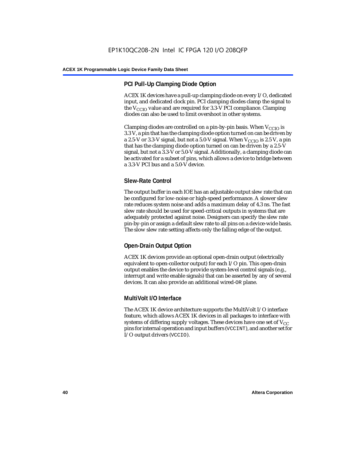# **PCI Pull-Up Clamping Diode Option**

ACEX 1K devices have a pull-up clamping diode on every I/O, dedicated input, and dedicated clock pin. PCI clamping diodes clamp the signal to the  $V_{\text{CCIO}}$  value and are required for 3.3-V PCI compliance. Clamping diodes can also be used to limit overshoot in other systems.

Clamping diodes are controlled on a pin-by-pin basis. When  $V_{CCIO}$  is 3.3 V, a pin that has the clamping diode option turned on can be driven by a 2.5-V or 3.3-V signal, but not a 5.0-V signal. When  $V_{CCIO}$  is 2.5 V, a pin that has the clamping diode option turned on can be driven by a 2.5-V signal, but not a 3.3-V or 5.0-V signal. Additionally, a clamping diode can be activated for a subset of pins, which allows a device to bridge between a 3.3-V PCI bus and a 5.0-V device.

# **Slew-Rate Control**

The output buffer in each IOE has an adjustable output slew rate that can be configured for low-noise or high-speed performance. A slower slew rate reduces system noise and adds a maximum delay of 4.3 ns. The fast slew rate should be used for speed-critical outputs in systems that are adequately protected against noise. Designers can specify the slew rate pin-by-pin or assign a default slew rate to all pins on a device-wide basis. The slow slew rate setting affects only the falling edge of the output.

# **Open-Drain Output Option**

ACEX 1K devices provide an optional open-drain output (electrically equivalent to open-collector output) for each I/O pin. This open-drain output enables the device to provide system-level control signals (e.g., interrupt and write enable signals) that can be asserted by any of several devices. It can also provide an additional wired-OR plane.

# **MultiVolt I/O Interface**

The ACEX 1K device architecture supports the MultiVolt I/O interface feature, which allows ACEX 1K devices in all packages to interface with systems of differing supply voltages. These devices have one set of  $V_{CC}$ pins for internal operation and input buffers (VCCINT), and another set for I/O output drivers (VCCIO).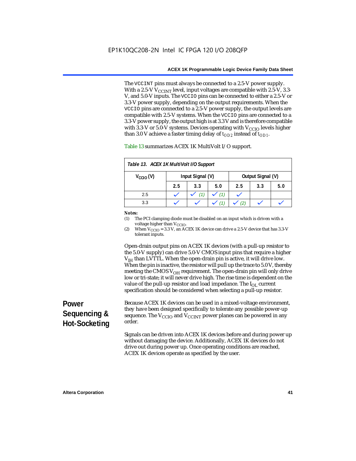The VCCINT pins must always be connected to a 2.5-V power supply. With a 2.5-V  $V_{CCMT}$  level, input voltages are compatible with 2.5-V, 3.3-V, and 5.0-V inputs. The VCCIO pins can be connected to either a 2.5-V or 3.3-V power supply, depending on the output requirements. When the VCCIO pins are connected to a 2.5-V power supply, the output levels are compatible with 2.5-V systems. When the VCCIO pins are connected to a 3.3-V power supply, the output high is at 3.3 V and is therefore compatible with 3.3-V or 5.0-V systems. Devices operating with  $V_{\text{CCIO}}$  levels higher than 3.0 V achieve a faster timing delay of  $t_{OD2}$  instead of  $t_{OD1}$ .

| Table 13. ACEX 1K MultiVolt I/O Support |     |                  |     |                   |     |     |
|-----------------------------------------|-----|------------------|-----|-------------------|-----|-----|
| $V_{\text{CCIO}}(V)$                    |     | Input Signal (V) |     | Output Signal (V) |     |     |
|                                         | 2.5 | 3.3              | 5.0 | 2.5               | 3.3 | 5.0 |
| 2.5                                     |     |                  | (1) |                   |     |     |
| 3.3                                     |     |                  |     |                   |     |     |

Table 13 summarizes ACEX 1K MultiVolt I/O support.

#### *Notes:*

(1) The PCI clamping diode must be disabled on an input which is driven with a voltage higher than V<sub>CCIO</sub>.

(2) When  $V_{\text{CCIO}} = 3.3$  V, an ACEX 1K device can drive a 2.5-V device that has 3.3-V tolerant inputs.

Open-drain output pins on ACEX 1K devices (with a pull-up resistor to the 5.0-V supply) can drive 5.0-V CMOS input pins that require a higher  $V<sub>IH</sub>$  than LVTTL. When the open-drain pin is active, it will drive low. When the pin is inactive, the resistor will pull up the trace to 5.0 V, thereby meeting the CMOS  $V_{OH}$  requirement. The open-drain pin will only drive low or tri-state; it will never drive high. The rise time is dependent on the value of the pull-up resistor and load impedance. The  $I_{OL}$  current specification should be considered when selecting a pull-up resistor.

# **Power Sequencing & Hot-Socketing**

Because ACEX 1K devices can be used in a mixed-voltage environment, they have been designed specifically to tolerate any possible power-up sequence. The  $V_{\text{CCIO}}$  and  $V_{\text{CCINT}}$  power planes can be powered in any order.

Signals can be driven into ACEX 1K devices before and during power up without damaging the device. Additionally, ACEX 1K devices do not drive out during power up. Once operating conditions are reached, ACEX 1K devices operate as specified by the user.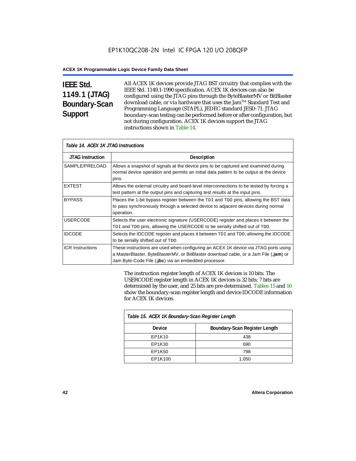# **IEEE Std. 1149.1 (JTAG) Boundary-Scan Support**

All ACEX 1K devices provide JTAG BST circuitry that complies with the IEEE Std. 1149.1-1990 specification. ACEX 1K devices can also be configured using the JTAG pins through the ByteBlasterMV or BitBlaster download cable, or via hardware that uses the Jam™ Standard Test and Programming Language (STAPL), JEDEC standard JESD-71. JTAG boundary-scan testing can be performed before or after configuration, but not during configuration. ACEX 1K devices support the JTAG instructions shown in Table 14.

| Table 14. ACEX 1K JTAG Instructions |                                                                                                                                                                                                                                      |  |  |  |
|-------------------------------------|--------------------------------------------------------------------------------------------------------------------------------------------------------------------------------------------------------------------------------------|--|--|--|
| <b>JTAG Instruction</b>             | <b>Description</b>                                                                                                                                                                                                                   |  |  |  |
| SAMPLE/PRELOAD                      | Allows a snapshot of signals at the device pins to be captured and examined during<br>normal device operation and permits an initial data pattern to be output at the device<br>pins.                                                |  |  |  |
| <b>EXTEST</b>                       | Allows the external circuitry and board-level interconnections to be tested by forcing a<br>test pattern at the output pins and capturing test results at the input pins.                                                            |  |  |  |
| <b>BYPASS</b>                       | Places the 1-bit bypass register between the TDI and TDO pins, allowing the BST data<br>to pass synchronously through a selected device to adjacent devices during normal<br>operation.                                              |  |  |  |
| <b>USERCODE</b>                     | Selects the user electronic signature (USERCODE) register and places it between the<br>TDI and TDO pins, allowing the USERCODE to be serially shifted out of TDO.                                                                    |  |  |  |
| <b>IDCODE</b>                       | Selects the IDCODE register and places it between $TDI$ and $TDO$ , allowing the IDCODE<br>to be serially shifted out of TDO.                                                                                                        |  |  |  |
| <b>ICR Instructions</b>             | These instructions are used when configuring an ACEX 1K device via JTAG ports using<br>a MasterBlaster, ByteBlasterMV, or BitBlaster download cable, or a Jam File (.jam) or<br>Jam Byte-Code File (.jbc) via an embedded processor. |  |  |  |

The instruction register length of ACEX 1K devices is 10 bits. The USERCODE register length in ACEX 1K devices is 32 bits; 7 bits are determined by the user, and 25 bits are pre-determined. Tables 15 and 16 show the boundary-scan register length and device IDCODE information for ACEX 1K devices.

| Table 15. ACEX 1K Boundary-Scan Register Length |                               |  |  |  |
|-------------------------------------------------|-------------------------------|--|--|--|
| Device                                          | Boundary-Scan Register Length |  |  |  |
| EP1K10                                          | 438                           |  |  |  |
| EP1K30                                          | 690                           |  |  |  |
| EP1K50                                          | 798                           |  |  |  |
| EP1K100                                         | 1,050                         |  |  |  |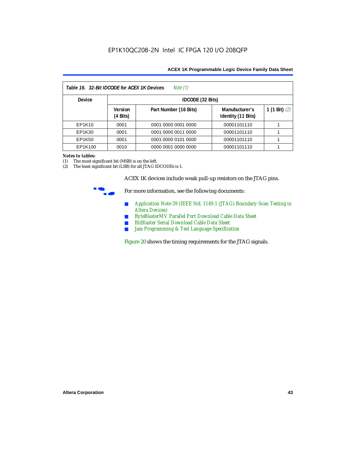| Note (1)<br>Table 16. 32-Bit IDCODE for ACEX 1K Devices |                                      |                       |                                      |                 |  |  |
|---------------------------------------------------------|--------------------------------------|-----------------------|--------------------------------------|-----------------|--|--|
| <b>Device</b>                                           |                                      | IDCODE (32 Bits)      |                                      |                 |  |  |
|                                                         | <b>Version</b><br>$(4 \text{ Bits})$ | Part Number (16 Bits) | Manufacturer's<br>Identity (11 Bits) | 1 (1 Bit) $(2)$ |  |  |
| EP1K10                                                  | 0001                                 | 0001 0000 0001 0000   | 00001101110                          |                 |  |  |
| EP1K30                                                  | 0001                                 | 0001 0000 0011 0000   | 00001101110                          |                 |  |  |
| EP1K50                                                  | 0001                                 | 0001 0000 0101 0000   | 00001101110                          |                 |  |  |
| EP1K100                                                 | 0010                                 | 0000 0001 0000 0000   | 00001101110                          |                 |  |  |

#### *Notes to tables:*

(1) The most significant bit (MSB) is on the left.

(2) The least significant bit (LSB) for all JTAG IDCODEs is 1.

ACEX 1K devices include weak pull-up resistors on the JTAG pins.



For more information, see the following documents:

- *Application Note 39 (IEEE Std. 1149.1 (JTAG) Boundary-Scan Testing in Altera Devices)*
- *ByteBlasterMV Parallel Port Download Cable Data Sheet*
- *BitBlaster Serial Download Cable Data Sheet*
- *Jam Programming & Test Language Specification*

Figure 20 shows the timing requirements for the JTAG signals.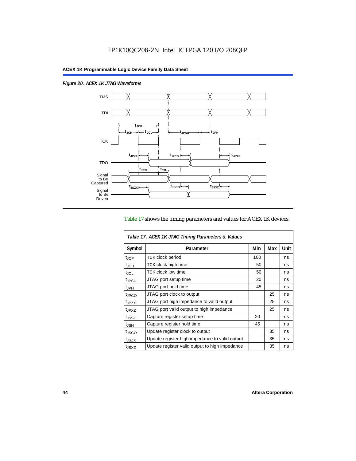$\overline{1}$ 

*Figure 20. ACEX 1K JTAG Waveforms*



## Table 17 shows the timing parameters and values for ACEX 1K devices.

| Table 17. ACEX 1K JTAG Timing Parameters & Values |                                                |     |     |      |  |  |
|---------------------------------------------------|------------------------------------------------|-----|-----|------|--|--|
| Symbol                                            | Parameter                                      | Min | Max | Unit |  |  |
| t <sub>JCP</sub>                                  | <b>TCK clock period</b>                        | 100 |     | ns   |  |  |
| $t_{JCH}$                                         | TCK clock high time                            | 50  |     | ns   |  |  |
| t <sub>JCL</sub>                                  | <b>TCK clock low time</b>                      | 50  |     | ns   |  |  |
| <sup>t</sup> JPSU                                 | JTAG port setup time                           | 20  |     | ns   |  |  |
| $t_{\sf JPH}$                                     | JTAG port hold time                            | 45  |     | ns   |  |  |
| <sup>t</sup> JPCO                                 | JTAG port clock to output                      |     | 25  | ns   |  |  |
| t <sub>JPZX</sub>                                 | JTAG port high impedance to valid output       |     | 25  | ns   |  |  |
| t <sub>JPXZ</sub>                                 | JTAG port valid output to high impedance       |     | 25  | ns   |  |  |
| tjssu                                             | Capture register setup time                    | 20  |     | ns   |  |  |
| $t_{\mathsf{JSH}}$                                | Capture register hold time                     | 45  |     | ns   |  |  |
| t <sub>JSCO</sub>                                 | Update register clock to output                |     | 35  | ns   |  |  |
| t <sub>JSZX</sub>                                 | Update register high impedance to valid output |     | 35  | ns   |  |  |
| t <sub>JSXZ</sub>                                 | Update register valid output to high impedance |     | 35  | ns   |  |  |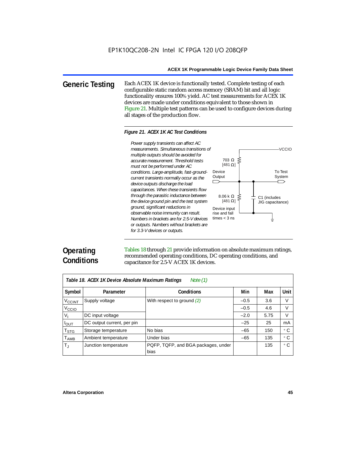**Generic Testing** Each ACEX 1K device is functionally tested. Complete testing of each configurable static random access memory (SRAM) bit and all logic functionality ensures 100% yield. AC test measurements for ACEX 1K devices are made under conditions equivalent to those shown in Figure 21. Multiple test patterns can be used to configure devices during all stages of the production flow.

#### *Figure 21. ACEX 1K AC Test Conditions*



# **Operating Conditions**

Tables 18 through 21 provide information on absolute maximum ratings, recommended operating conditions, DC operating conditions, and capacitance for 2.5-V ACEX 1K devices.

| Note $(1)$<br>Table 18. ACEX 1K Device Absolute Maximum Ratings |                            |                                             |        |      |      |  |
|-----------------------------------------------------------------|----------------------------|---------------------------------------------|--------|------|------|--|
| Symbol                                                          | Parameter                  | <b>Conditions</b>                           | Min    | Max  | Unit |  |
| <b>V<sub>CCINT</sub></b>                                        | Supply voltage             | With respect to ground $(2)$                | $-0.5$ | 3.6  | V    |  |
| V <sub>CCIO</sub>                                               |                            |                                             | $-0.5$ | 4.6  | V    |  |
| $V_{1}$                                                         | DC input voltage           |                                             | $-2.0$ | 5.75 | V    |  |
| $I_{OUT}$                                                       | DC output current, per pin |                                             | $-25$  | 25   | mA   |  |
| $\mathsf{T}_{\textsf{STG}}$                                     | Storage temperature        | No bias                                     | $-65$  | 150  | ۰c   |  |
| $T_{\sf AMB}$                                                   | Ambient temperature        | Under bias                                  | $-65$  | 135  | ۰c   |  |
| $\mathsf{T}_\mathrm{J}$                                         | Junction temperature       | PQFP, TQFP, and BGA packages, under<br>bias |        | 135  | ° C  |  |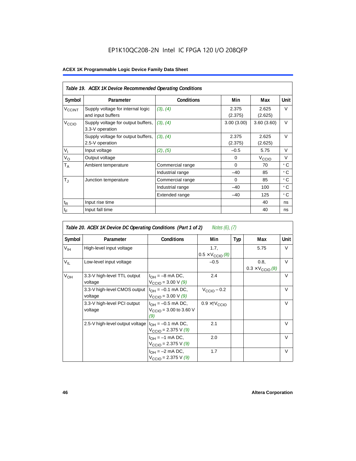# EP1K10QC208-2N Intel IC FPGA 120 I/O 208QFP

|                             | Table 19. ACEX 1K Device Recommended Operating Conditions |                   |                  |                   |        |  |  |  |
|-----------------------------|-----------------------------------------------------------|-------------------|------------------|-------------------|--------|--|--|--|
| Symbol                      | Parameter                                                 | <b>Conditions</b> | Min              | Max               | Unit   |  |  |  |
| <b>V<sub>CCINT</sub></b>    | Supply voltage for internal logic<br>and input buffers    | (3), (4)          | 2.375<br>(2.375) | 2.625<br>(2.625)  | V      |  |  |  |
| V <sub>CCIO</sub>           | Supply voltage for output buffers,<br>3.3-V operation     | (3), (4)          | 3.00(3.00)       | 3.60(3.60)        | $\vee$ |  |  |  |
|                             | Supply voltage for output buffers,<br>2.5-V operation     | (3), (4)          | 2.375<br>(2.375) | 2.625<br>(2.625)  | $\vee$ |  |  |  |
| $V_{I}$                     | Input voltage                                             | (2), (5)          | $-0.5$           | 5.75              | $\vee$ |  |  |  |
| $V_{\rm O}$                 | Output voltage                                            |                   | $\Omega$         | V <sub>ccio</sub> | $\vee$ |  |  |  |
| $T_A$                       | Ambient temperature                                       | Commercial range  | $\Omega$         | 70                | ۰c     |  |  |  |
|                             |                                                           | Industrial range  | $-40$            | 85                | ۰c     |  |  |  |
| $T_{\rm J}$                 | Junction temperature                                      | Commercial range  | 0                | 85                | ۰c     |  |  |  |
|                             |                                                           | Industrial range  | $-40$            | 100               | ۰c     |  |  |  |
|                             |                                                           | Extended range    | $-40$            | 125               | ° C    |  |  |  |
| $\mathfrak{t}_{\mathsf{R}}$ | Input rise time                                           |                   |                  | 40                | ns     |  |  |  |
| $t_{\mathsf{F}}$            | Input fall time                                           |                   |                  | 40                | ns     |  |  |  |

| Table 20. ACEX 1K Device DC Operating Conditions (Part 1 of 2)<br><i>Notes (6), (7)</i> |                                         |                                                                     |                                          |     |                                          |        |  |  |
|-----------------------------------------------------------------------------------------|-----------------------------------------|---------------------------------------------------------------------|------------------------------------------|-----|------------------------------------------|--------|--|--|
| Symbol                                                                                  | Parameter                               | <b>Conditions</b>                                                   | Min                                      | Typ | Max                                      | Unit   |  |  |
| $V_{\text{IH}}$                                                                         | High-level input voltage                |                                                                     | 1.7.<br>$0.5 \times V_{\text{CCIO}}$ (8) |     | 5.75                                     | V      |  |  |
| $V_{IL}$                                                                                | Low-level input voltage                 |                                                                     | $-0.5$                                   |     | 0.8,<br>$0.3 \times V_{\text{CCIO}}$ (8) | V      |  |  |
| V <sub>OH</sub>                                                                         | 3.3-V high-level TTL output<br>voltage  | $I_{OH} = -8$ mA DC,<br>$V_{\text{CCIO}} = 3.00 \text{ V } (9)$     | 2.4                                      |     |                                          | V      |  |  |
|                                                                                         | 3.3-V high-level CMOS output<br>voltage | $I_{OH} = -0.1$ mA DC,<br>$V_{\text{CCIO}} = 3.00 \text{ V} (9)$    | $V_{CClO}$ – 0.2                         |     |                                          | $\vee$ |  |  |
|                                                                                         | 3.3-V high-level PCI output<br>voltage  | $I_{OH} = -0.5$ mA DC,<br>$V_{\text{CCIO}} = 3.00$ to 3.60 V<br>(9) | $0.9 \times$ † $V_{\text{CCIO}}$         |     |                                          | $\vee$ |  |  |
|                                                                                         | 2.5-V high-level output voltage         | $I_{OH} = -0.1$ mA DC,<br>$V_{\text{CCIO}} = 2.375 \text{ V} (9)$   | 2.1                                      |     |                                          | $\vee$ |  |  |
|                                                                                         |                                         | $I_{OH} = -1$ mA DC,<br>$V_{\text{CCIO}} = 2.375 \text{ V} (9)$     | 2.0                                      |     |                                          | $\vee$ |  |  |
|                                                                                         |                                         | $I_{OH} = -2$ mA DC,<br>$V_{\text{CCIO}} = 2.375 \text{ V} (9)$     | 1.7                                      |     |                                          | $\vee$ |  |  |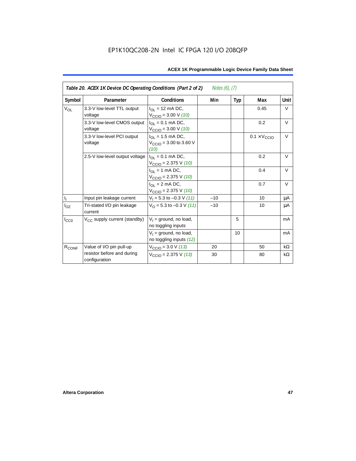| Table 20. ACEX 1K Device DC Operating Conditions (Part 2 of 2)<br><i>Notes <math>(6)</math>, <math>(7)</math></i> |                                             |                                                                                    |       |     |                              |           |  |
|-------------------------------------------------------------------------------------------------------------------|---------------------------------------------|------------------------------------------------------------------------------------|-------|-----|------------------------------|-----------|--|
| Symbol                                                                                                            | Parameter                                   | <b>Conditions</b>                                                                  | Min   | Typ | Max                          | Unit      |  |
| <b>V<sub>OL</sub></b>                                                                                             | 3.3-V low-level TTL output<br>voltage       | $I_{\Omega}$ = 12 mA DC,<br>$V_{\text{CCIO}} = 3.00 \text{ V} (10)$                |       |     | 0.45                         | V         |  |
|                                                                                                                   | 3.3-V low-level CMOS output<br>voltage      | $I_{OL} = 0.1$ mA DC,<br>$V_{\text{CCIO}} = 3.00 \text{ V} (10)$                   |       |     | 0.2                          | $\vee$    |  |
|                                                                                                                   | 3.3-V low-level PCI output<br>voltage       | $I_{\text{OI}} = 1.5 \text{ mA DC},$<br>$V_{\text{CCIO}} = 3.00$ to 3.60 V<br>(10) |       |     | $0.1 \times V_{\text{CCIO}}$ | $\vee$    |  |
|                                                                                                                   | 2.5-V low-level output voltage              | $I_{\Omega I} = 0.1$ mA DC,<br>$V_{\text{CCIO}} = 2.375 \text{ V} (10)$            |       |     | 0.2                          | $\vee$    |  |
|                                                                                                                   |                                             | $I_{OL}$ = 1 mA DC,<br>$V_{\text{CCIO}} = 2.375 \text{ V} (10)$                    |       |     | 0.4                          | $\vee$    |  |
|                                                                                                                   |                                             | $I_{\Omega}$ = 2 mA DC,<br>$V_{\text{CCIO}} = 2.375 \text{ V} (10)$                |       |     | 0.7                          | $\vee$    |  |
| $\mathsf{I}_\mathrm{I}$                                                                                           | Input pin leakage current                   | $V_1 = 5.3$ to $-0.3$ V (11)                                                       | $-10$ |     | 10                           | μA        |  |
| $I_{OZ}$                                                                                                          | Tri-stated I/O pin leakage<br>current       | $V_O$ = 5.3 to -0.3 V (11)                                                         | $-10$ |     | 10                           | μA        |  |
| $I_{CC0}$                                                                                                         | $V_{CC}$ supply current (standby)           | $V_1$ = ground, no load,<br>no toggling inputs                                     |       | 5   |                              | mA        |  |
|                                                                                                                   |                                             | $V_1$ = ground, no load,<br>no toggling inputs (12)                                |       | 10  |                              | mA        |  |
| R <sub>CONF</sub>                                                                                                 | Value of I/O pin pull-up                    | $V_{\text{CCIO}} = 3.0 \text{ V} (13)$                                             | 20    |     | 50                           | $k\Omega$ |  |
|                                                                                                                   | resistor before and during<br>configuration | $V_{\text{CCIO}} = 2.375 \text{ V} (13)$                                           | 30    |     | 80                           | kΩ        |  |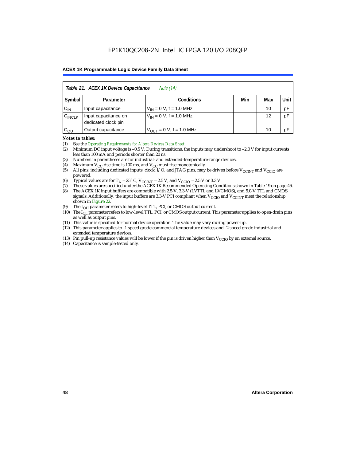| Table 21. ACEX 1K Device Capacitance<br><i>Note</i> (14) |                                                      |                                     |  |    |    |  |  |  |
|----------------------------------------------------------|------------------------------------------------------|-------------------------------------|--|----|----|--|--|--|
| Symbol                                                   | Unit<br>Min<br><b>Conditions</b><br>Max<br>Parameter |                                     |  |    |    |  |  |  |
| $C_{IN}$                                                 | Input capacitance                                    | $V_{IN} = 0 V$ , f = 1.0 MHz        |  | 10 | рF |  |  |  |
| $C_{\text{INCLK}}$                                       | Input capacitance on<br>dedicated clock pin          | $V_{IN} = 0 V$ , f = 1.0 MHz        |  | 12 | pF |  |  |  |
| $C_{OUT}$                                                | Output capacitance                                   | $V_{\text{OUT}} = 0$ V, f = 1.0 MHz |  | 10 | рF |  |  |  |

#### *Notes to tables:*

(1) See the *Operating Requirements for Altera Devices Data Sheet*.

- (2) Minimum DC input voltage is –0.5 V. During transitions, the inputs may undershoot to –2.0 V for input currents less than 100 mA and periods shorter than 20 ns.
- (3) Numbers in parentheses are for industrial- and extended-temperature-range devices.
- (4) Maximum  $V_{CC}$  rise time is 100 ms, and  $V_{CC}$  must rise monotonically.<br>(5) All pins, including dedicated inputs, clock, I/O, and JTAG pins, may
- All pins, including dedicated inputs, clock, I/O, and JTAG pins, may be driven before  $V_{\text{CCINT}}$  and  $V_{\text{CCIO}}$  are powered.
- (6) Typical values are for  $T_A = 25^\circ$  C,  $V_{CClNT} = 2.5$  V, and  $V_{CClO} = 2.5$  V or 3.3 V.<br>(7) These values are specified under the ACEX 1K Recommended Operating Cone
- (7) These values are specified under the ACEX 1K Recommended Operating Conditions shown in Table 19 on page 46.<br>(8) The ACEX 1K input buffers are compatible with 2.5-V. 3.3-V (LVTTL and LVCMOS), and 5.0-V TTL and CMOS
- The ACEX 1K input buffers are compatible with 2.5-V, 3.3-V (LVTTL and LVCMOS), and 5.0-V TTL and CMOS signals. Additionally, the input buffers are 3.3-V PCI compliant when  $V_{CCIO}$  and  $V_{CCINT}$  meet the relationship shown in Figure 22.
- (9) The  $I_{OH}$  parameter refers to high-level TTL, PCI, or CMOS output current.
- (10) The I<sub>OL</sub> parameter refers to low-level TTL, PCI, or CMOS output current. This parameter applies to open-drain pins as well as output pins.
- (11) This value is specified for normal device operation. The value may vary during power-up.
- (12) This parameter applies to -1 speed grade commercial temperature devices and -2 speed grade industrial and extended temperature devices.
- (13) Pin pull-up resistance values will be lower if the pin is driven higher than  $V_{\text{CCIO}}$  by an external source.
- (14) Capacitance is sample-tested only.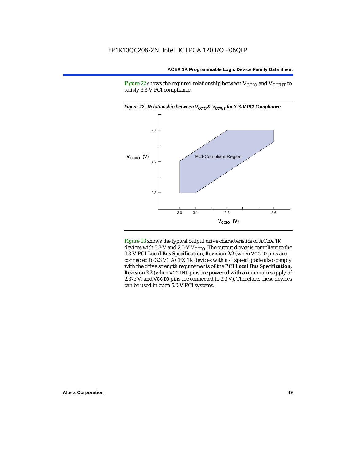Figure 22 shows the required relationship between  $V_{\text{CCIO}}$  and  $V_{\text{CCINT}}$  to satisfy 3.3-V PCI compliance.



Figure 23 shows the typical output drive characteristics of ACEX 1K devices with 3.3-V and 2.5-V  $V_{\text{CCIO}}$ . The output driver is compliant to the 3.3-V *PCI Local Bus Specification*, *Revision 2.2* (when VCCIO pins are connected to 3.3 V). ACEX 1K devices with a -1 speed grade also comply with the drive strength requirements of the *PCI Local Bus Specification*, *Revision 2.2* (when VCCINT pins are powered with a minimum supply of 2.375 V, and VCCIO pins are connected to 3.3 V). Therefore, these devices can be used in open 5.0-V PCI systems.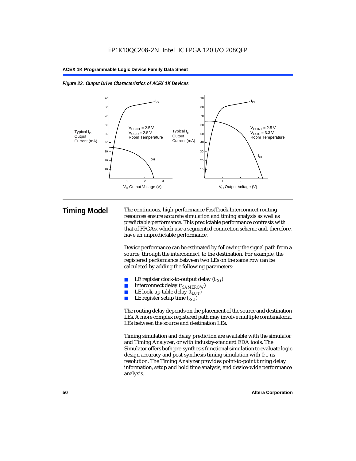



**Timing Model** The continuous, high-performance FastTrack Interconnect routing resources ensure accurate simulation and timing analysis as well as predictable performance. This predictable performance contrasts with that of FPGAs, which use a segmented connection scheme and, therefore, have an unpredictable performance.

> Device performance can be estimated by following the signal path from a source, through the interconnect, to the destination. For example, the registered performance between two LEs on the same row can be calculated by adding the following parameters:

- LE register clock-to-output delay  $(t_{CO})$
- Interconnect delay ( $t_{SAMFROW}$ )
- **■** LE look-up table delay  $(t_{LUT})$ <br>
 LE register setup time  $(t_{SL})$
- LE register setup time  $(t_{SI})$

The routing delay depends on the placement of the source and destination LEs. A more complex registered path may involve multiple combinatorial LEs between the source and destination LEs.

Timing simulation and delay prediction are available with the simulator and Timing Analyzer, or with industry-standard EDA tools. The Simulator offers both pre-synthesis functional simulation to evaluate logic design accuracy and post-synthesis timing simulation with 0.1-ns resolution. The Timing Analyzer provides point-to-point timing delay information, setup and hold time analysis, and device-wide performance analysis.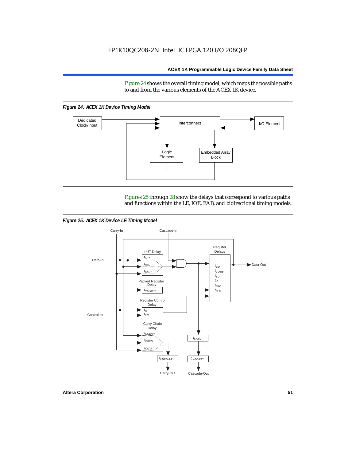Figure 24 shows the overall timing model, which maps the possible paths to and from the various elements of the ACEX 1K device.

*Figure 24. ACEX 1K Device Timing Model*



Figures 25 through 28 show the delays that correspond to various paths and functions within the LE, IOE, EAB, and bidirectional timing models.

*Figure 25. ACEX 1K Device LE Timing Model*

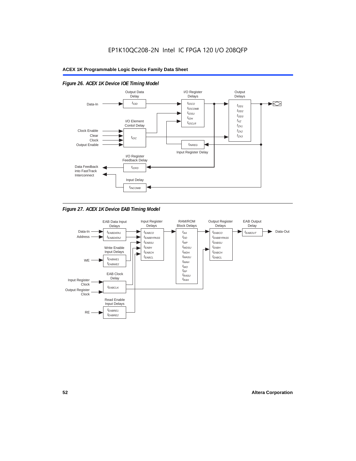

# *Figure 26. ACEX 1K Device IOE Timing Model*



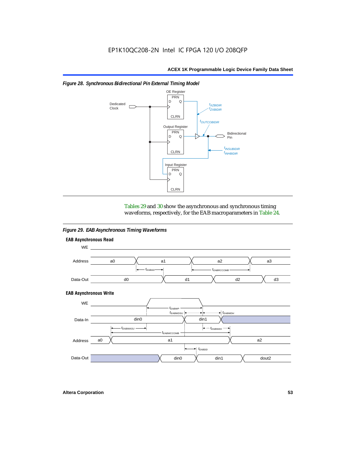

#### *Figure 28. Synchronous Bidirectional Pin External Timing Model*

Tables 29 and 30 show the asynchronous and synchronous timing waveforms, respectively, for the EAB macroparameters in Table 24.

*Figure 29. EAB Asynchronous Timing Waveforms*



**Altera Corporation 53**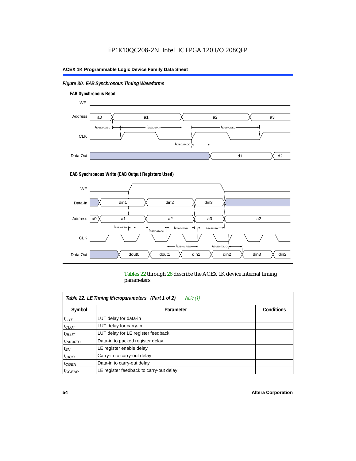# *Figure 30. EAB Synchronous Timing Waveforms*



#### **EAB Synchronous Write (EAB Output Registers Used)**



Tables 22 through 26 describe the ACEX 1K device internal timing parameters.

| Note (1)<br>Table 22. LE Timing Microparameters (Part 1 of 2) |                                         |                   |  |  |  |  |
|---------------------------------------------------------------|-----------------------------------------|-------------------|--|--|--|--|
| Symbol                                                        | Parameter                               | <b>Conditions</b> |  |  |  |  |
| $t_{LUT}$                                                     | LUT delay for data-in                   |                   |  |  |  |  |
| $t_{CLUT}$                                                    | LUT delay for carry-in                  |                   |  |  |  |  |
| $t_{RLUT}$                                                    | LUT delay for LE register feedback      |                   |  |  |  |  |
| <sup>t</sup> PACKED                                           | Data-in to packed register delay        |                   |  |  |  |  |
| $t_{EN}$                                                      | LE register enable delay                |                   |  |  |  |  |
| $t_{CICO}$                                                    | Carry-in to carry-out delay             |                   |  |  |  |  |
| $t_{G\text{E}\text{N}}$                                       | Data-in to carry-out delay              |                   |  |  |  |  |
| ${}^t$ CGENR                                                  | LE register feedback to carry-out delay |                   |  |  |  |  |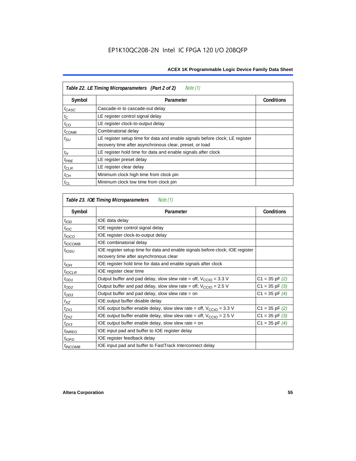| Table 22. LE Timing Microparameters (Part 2 of 2)<br>Note (1) |                                                                                                                                         |                   |  |  |  |  |
|---------------------------------------------------------------|-----------------------------------------------------------------------------------------------------------------------------------------|-------------------|--|--|--|--|
| Symbol                                                        | Parameter                                                                                                                               | <b>Conditions</b> |  |  |  |  |
| $t_{CASC}$                                                    | Cascade-in to cascade-out delay                                                                                                         |                   |  |  |  |  |
| $t_C$                                                         | LE register control signal delay                                                                                                        |                   |  |  |  |  |
| $t_{CO}$                                                      | LE register clock-to-output delay                                                                                                       |                   |  |  |  |  |
| $t_{COMB}$                                                    | Combinatorial delay                                                                                                                     |                   |  |  |  |  |
| $t_{\rm SU}$                                                  | LE register setup time for data and enable signals before clock; LE register<br>recovery time after asynchronous clear, preset, or load |                   |  |  |  |  |
| $t_H$                                                         | LE register hold time for data and enable signals after clock                                                                           |                   |  |  |  |  |
| $t_{PRE}$                                                     | LE register preset delay                                                                                                                |                   |  |  |  |  |
| $t_{CLR}$                                                     | LE register clear delay                                                                                                                 |                   |  |  |  |  |
| $t_{CH}$                                                      | Minimum clock high time from clock pin                                                                                                  |                   |  |  |  |  |
| $t_{CL}$                                                      | Minimum clock low time from clock pin                                                                                                   |                   |  |  |  |  |

| Table 23. IOE Timing Microparameters<br>Note (1) |                                                                                                                          |                    |  |  |  |  |
|--------------------------------------------------|--------------------------------------------------------------------------------------------------------------------------|--------------------|--|--|--|--|
| Symbol                                           | Parameter                                                                                                                | <b>Conditions</b>  |  |  |  |  |
| $t$ <sub>IOD</sub>                               | IOE data delay                                                                                                           |                    |  |  |  |  |
| $t_{\text{IOC}}$                                 | IOE register control signal delay                                                                                        |                    |  |  |  |  |
| $t_{\text{IOCO}}$                                | IOE register clock-to-output delay                                                                                       |                    |  |  |  |  |
| $t_{IOCOMB}$                                     | IOE combinatorial delay                                                                                                  |                    |  |  |  |  |
| t <sub>IOSU</sub>                                | IOE register setup time for data and enable signals before clock; IOE register<br>recovery time after asynchronous clear |                    |  |  |  |  |
| $t_{IOH}$                                        | IOE register hold time for data and enable signals after clock                                                           |                    |  |  |  |  |
| $t_{IOCLR}$                                      | IOE register clear time                                                                                                  |                    |  |  |  |  |
| $t_{OD1}$                                        | Output buffer and pad delay, slow slew rate = off, $V_{\text{CCIO}} = 3.3$ V                                             | $C1 = 35$ pF $(2)$ |  |  |  |  |
| $t_{OD2}$                                        | Output buffer and pad delay, slow slew rate = off, $V_{\text{CCIO}} = 2.5$ V                                             | $C1 = 35$ pF $(3)$ |  |  |  |  |
| $t_{OD3}$                                        | Output buffer and pad delay, slow slew rate = on                                                                         | $C1 = 35$ pF $(4)$ |  |  |  |  |
| $t_{XZ}$                                         | IOE output buffer disable delay                                                                                          |                    |  |  |  |  |
| $t_{ZX1}$                                        | IOE output buffer enable delay, slow slew rate = off, $V_{\text{CCIO}} = 3.3 V$                                          | $C1 = 35$ pF $(2)$ |  |  |  |  |
| t <sub>ZX2</sub>                                 | IOE output buffer enable delay, slow slew rate = off, $V_{\text{CCIO}} = 2.5$ V                                          | $C1 = 35$ pF $(3)$ |  |  |  |  |
| $t_{ZX3}$                                        | IOE output buffer enable delay, slow slew rate $=$ on                                                                    | $C1 = 35$ pF $(4)$ |  |  |  |  |
| <sup>t</sup> INREG                               | IOE input pad and buffer to IOE register delay                                                                           |                    |  |  |  |  |
| $t_{IOFD}$                                       | IOE register feedback delay                                                                                              |                    |  |  |  |  |
| <sup>t</sup> INCOMB                              | IOE input pad and buffer to FastTrack Interconnect delay                                                                 |                    |  |  |  |  |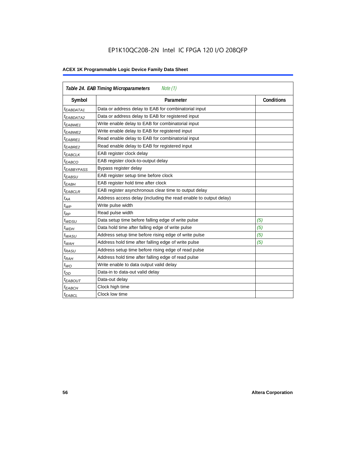# EP1K10QC208-2N Intel IC FPGA 120 I/O 208QFP

| <b>Table 24. EAB Timing Microparameters</b><br>Note (1) |                                                                  |                   |  |  |  |
|---------------------------------------------------------|------------------------------------------------------------------|-------------------|--|--|--|
| Symbol                                                  | Parameter                                                        | <b>Conditions</b> |  |  |  |
| <sup>t</sup> EABDATA1                                   | Data or address delay to EAB for combinatorial input             |                   |  |  |  |
| <sup>t</sup> EABDATA2                                   | Data or address delay to EAB for registered input                |                   |  |  |  |
| <sup>t</sup> EABWE1                                     | Write enable delay to EAB for combinatorial input                |                   |  |  |  |
| t <sub>EABWE2</sub>                                     | Write enable delay to EAB for registered input                   |                   |  |  |  |
| $t_{EABRE1}$                                            | Read enable delay to EAB for combinatorial input                 |                   |  |  |  |
| $t_{EABRE2}$                                            | Read enable delay to EAB for registered input                    |                   |  |  |  |
| $t_{EABCLK}$                                            | EAB register clock delay                                         |                   |  |  |  |
| $t_{EABCO}$                                             | EAB register clock-to-output delay                               |                   |  |  |  |
| <sup>t</sup> EABBYPASS                                  | Bypass register delay                                            |                   |  |  |  |
| t <sub>EABSU</sub>                                      | EAB register setup time before clock                             |                   |  |  |  |
| t <sub>EABH</sub>                                       | EAB register hold time after clock                               |                   |  |  |  |
| $t_{EABCLR}$                                            | EAB register asynchronous clear time to output delay             |                   |  |  |  |
| $t_{AA}$                                                | Address access delay (including the read enable to output delay) |                   |  |  |  |
| $t_{WP}$                                                | Write pulse width                                                |                   |  |  |  |
| $t_{RP}$                                                | Read pulse width                                                 |                   |  |  |  |
| $t_{WDSU}$                                              | Data setup time before falling edge of write pulse               | (5)               |  |  |  |
| $t_{WDH}$                                               | Data hold time after falling edge of write pulse                 | (5)               |  |  |  |
| $t_{WASU}$                                              | Address setup time before rising edge of write pulse             | (5)               |  |  |  |
| $t_{WAH}$                                               | Address hold time after falling edge of write pulse              | (5)               |  |  |  |
| t <sub>RASU</sub>                                       | Address setup time before rising edge of read pulse              |                   |  |  |  |
| $t_{RAH}$                                               | Address hold time after falling edge of read pulse               |                   |  |  |  |
| $t_{WO}$                                                | Write enable to data output valid delay                          |                   |  |  |  |
| $t_{DD}$                                                | Data-in to data-out valid delay                                  |                   |  |  |  |
| $t_{EABOUT}$                                            | Data-out delay                                                   |                   |  |  |  |
| <sup>t</sup> ЕАВСН                                      | Clock high time                                                  |                   |  |  |  |
| <sup>t</sup> EABCL                                      | Clock low time                                                   |                   |  |  |  |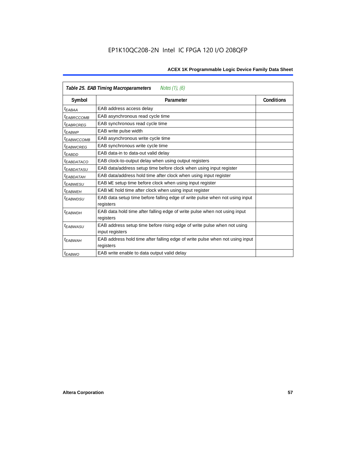| Notes (1), (6)<br>Table 25. EAB Timing Macroparameters |                                                                                           |                   |  |  |  |  |
|--------------------------------------------------------|-------------------------------------------------------------------------------------------|-------------------|--|--|--|--|
| Symbol                                                 | Parameter                                                                                 | <b>Conditions</b> |  |  |  |  |
| t <sub>EABAA</sub>                                     | EAB address access delay                                                                  |                   |  |  |  |  |
| <sup>I</sup> EABRCCOMB                                 | EAB asynchronous read cycle time                                                          |                   |  |  |  |  |
| <sup>t</sup> EABRCREG                                  | EAB synchronous read cycle time                                                           |                   |  |  |  |  |
| t <sub>EABWP</sub>                                     | EAB write pulse width                                                                     |                   |  |  |  |  |
| <sup>t</sup> EABWCCOMB                                 | EAB asynchronous write cycle time                                                         |                   |  |  |  |  |
| <sup>t</sup> EABWCREG                                  | EAB synchronous write cycle time                                                          |                   |  |  |  |  |
| <sup>t</sup> EABDD                                     | EAB data-in to data-out valid delay                                                       |                   |  |  |  |  |
| <sup>t</sup> EABDATACO                                 | EAB clock-to-output delay when using output registers                                     |                   |  |  |  |  |
| <sup>t</sup> EABDATASU                                 | EAB data/address setup time before clock when using input register                        |                   |  |  |  |  |
| <sup>t</sup> EABDATAH                                  | EAB data/address hold time after clock when using input register                          |                   |  |  |  |  |
| <sup>t</sup> EABWESU                                   | EAB WE setup time before clock when using input register                                  |                   |  |  |  |  |
| t <sub>FARWFH</sub>                                    | EAB WE hold time after clock when using input register                                    |                   |  |  |  |  |
| <sup>t</sup> EABWDSU                                   | EAB data setup time before falling edge of write pulse when not using input<br>registers  |                   |  |  |  |  |
| <sup>t</sup> EABWDH                                    | EAB data hold time after falling edge of write pulse when not using input                 |                   |  |  |  |  |
|                                                        | registers                                                                                 |                   |  |  |  |  |
| <sup>t</sup> EABWASU                                   | EAB address setup time before rising edge of write pulse when not using                   |                   |  |  |  |  |
|                                                        | input registers                                                                           |                   |  |  |  |  |
| <sup>t</sup> EABWAH                                    | EAB address hold time after falling edge of write pulse when not using input<br>registers |                   |  |  |  |  |
| $t_{EABWO}$                                            | EAB write enable to data output valid delay                                               |                   |  |  |  |  |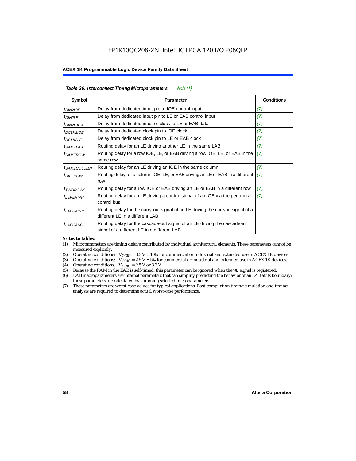| Table 26. Interconnect Timing Microparameters<br>Note $(1)$ |                                                                                                                         |                   |  |  |  |  |
|-------------------------------------------------------------|-------------------------------------------------------------------------------------------------------------------------|-------------------|--|--|--|--|
| Symbol                                                      | Parameter                                                                                                               | <b>Conditions</b> |  |  |  |  |
| $tD$ IN2IOE                                                 | Delay from dedicated input pin to IOE control input                                                                     | (7)               |  |  |  |  |
| $t_{DIN2LE}$                                                | Delay from dedicated input pin to LE or EAB control input                                                               | (7)               |  |  |  |  |
| <sup>t</sup> DIN2DATA                                       | Delay from dedicated input or clock to LE or EAB data                                                                   | (7)               |  |  |  |  |
| $t_{DCLK2IOE}$                                              | Delay from dedicated clock pin to IOE clock                                                                             | (7)               |  |  |  |  |
| $t_{DCLK2LE}$                                               | Delay from dedicated clock pin to LE or EAB clock                                                                       | (7)               |  |  |  |  |
| <sup>t</sup> SAMELAB                                        | Routing delay for an LE driving another LE in the same LAB                                                              | (7)               |  |  |  |  |
| <sup>t</sup> SAMEROW                                        | Routing delay for a row IOE, LE, or EAB driving a row IOE, LE, or EAB in the<br>same row                                | (7)               |  |  |  |  |
| <sup>t</sup> SAMECOLUMN                                     | Routing delay for an LE driving an IOE in the same column                                                               | (7)               |  |  |  |  |
| <i>t<sub>DIFFROW</sub></i>                                  | Routing delay for a column IOE, LE, or EAB driving an LE or EAB in a different<br>row                                   | (7)               |  |  |  |  |
| <i>t</i> <sub>TWOROWS</sub>                                 | Routing delay for a row IOE or EAB driving an LE or EAB in a different row                                              | (7)               |  |  |  |  |
| <sup>t</sup> LEPERIPH                                       | Routing delay for an LE driving a control signal of an IOE via the peripheral<br>control bus                            | (7)               |  |  |  |  |
| $t_{LABCARRY}$                                              | Routing delay for the carry-out signal of an LE driving the carry-in signal of a<br>different LE in a different LAB     |                   |  |  |  |  |
| $t_{LABCASC}$                                               | Routing delay for the cascade-out signal of an LE driving the cascade-in<br>signal of a different LE in a different LAB |                   |  |  |  |  |

#### *Notes to tables:*

- (1) Microparameters are timing delays contributed by individual architectural elements. These parameters cannot be measured explicitly.
- (2) Operating conditions:  $V_{\text{CCIO}} = 3.3 V \pm 10\%$  for commercial or industrial and extended use in ACEX 1K devices (3) Operating conditions:  $V_{\text{CCIO}} = 2.5 V \pm 5\%$  for commercial or industrial and extended use in ACEX 1K
- (3) Operating conditions:  $V_{CCIO} = 2.5 V \pm 5\%$  for commercial or industrial and extended use in ACEX 1K devices.<br>(4) Operating conditions:  $V_{CCIO} = 2.5 V$  or 3.3 V.
- (4) Operating conditions:  $V_{\text{CCIO}} = 2.5 \text{ V or } 3.3 \text{ V.}$ <br>(5) Because the RAM in the EAB is self-timed, this
- (5) Because the RAM in the EAB is self-timed, this parameter can be ignored when the WE signal is registered.<br>(6) EAB macroparameters are internal parameters that can simplify predicting the behavior of an EAB at its bou
- EAB macroparameters are internal parameters that can simplify predicting the behavior of an EAB at its boundary; these parameters are calculated by summing selected microparameters.
- (7) These parameters are worst-case values for typical applications. Post-compilation timing simulation and timing analysis are required to determine actual worst-case performance.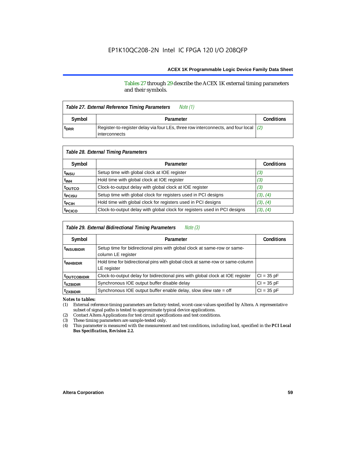Tables 27 through 29 describe the ACEX 1K external timing parameters and their symbols.

| Note (1)<br>Table 27. External Reference Timing Parameters |                                                                                                                  |  |  |  |  |
|------------------------------------------------------------|------------------------------------------------------------------------------------------------------------------|--|--|--|--|
| Symbol                                                     | Parameter                                                                                                        |  |  |  |  |
| <sup>t</sup> DRR                                           | Register-to-register delay via four LEs, three row interconnects, and four local $(2)$<br><b>l</b> interconnects |  |  |  |  |

| Table 28. External Timing Parameters |                                                                           |                   |  |  |  |  |
|--------------------------------------|---------------------------------------------------------------------------|-------------------|--|--|--|--|
| Symbol                               | Parameter                                                                 | <b>Conditions</b> |  |  |  |  |
| t <sub>insu</sub>                    | Setup time with global clock at IOE register                              | (3)               |  |  |  |  |
| t <sub>INH</sub>                     | Hold time with global clock at IOE register                               | (3)               |  |  |  |  |
| toutco                               | Clock-to-output delay with global clock at IOE register                   | (3)               |  |  |  |  |
| t <sub>PCISU</sub>                   | Setup time with global clock for registers used in PCI designs            | (3), (4)          |  |  |  |  |
| <sup>t</sup> PCIH                    | Hold time with global clock for registers used in PCI designs             | (3), (4)          |  |  |  |  |
| t <sub>PCICO</sub>                   | Clock-to-output delay with global clock for registers used in PCI designs | (3), (4)          |  |  |  |  |

| Table 29. External Bidirectional Timing Parameters<br>Note (3) |                                                                                                |                   |  |  |  |  |
|----------------------------------------------------------------|------------------------------------------------------------------------------------------------|-------------------|--|--|--|--|
| Symbol                                                         | Parameter                                                                                      | <b>Conditions</b> |  |  |  |  |
| <sup>t</sup> INSUBIDIR                                         | Setup time for bidirectional pins with global clock at same-row or same-<br>column LE register |                   |  |  |  |  |
| <sup>t</sup> INHBIDIR                                          | Hold time for bidirectional pins with global clock at same-row or same-column<br>LE register   |                   |  |  |  |  |
| <b>toutcobidir</b>                                             | Clock-to-output delay for bidirectional pins with global clock at IOE register                 | $Cl = 35 pF$      |  |  |  |  |
| <sup>t</sup> xzbidir                                           | Synchronous IOE output buffer disable delay                                                    | $CI = 35 pF$      |  |  |  |  |
| <sup>t</sup> zxbidir                                           | Synchronous IOE output buffer enable delay, slow slew rate = off                               | $CI = 35 pF$      |  |  |  |  |

*Notes to tables:*

(1) External reference timing parameters are factory-tested, worst-case values specified by Altera. A representative subset of signal paths is tested to approximate typical device applications.

(2) Contact Altera Applications for test circuit specifications and test conditions.

(3) These timing parameters are sample-tested only.

(4) This parameter is measured with the measurement and test conditions, including load, specified in the *PCI Local Bus Specification, Revision 2.2.*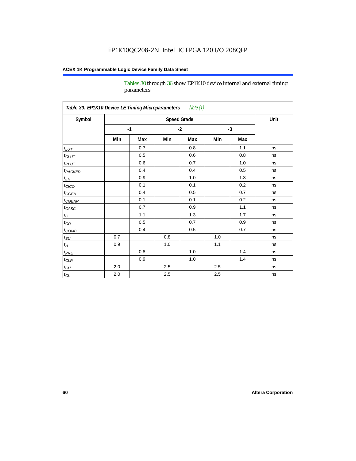Tables 30 through 36 show EP1K10 device internal and external timing parameters.

| Table 30. EP1K10 Device LE Timing Microparameters<br>Note (1) |                    |      |         |     |      |     |      |
|---------------------------------------------------------------|--------------------|------|---------|-----|------|-----|------|
| Symbol                                                        | <b>Speed Grade</b> |      |         |     |      |     | Unit |
|                                                               |                    | $-1$ | $-2$    |     | $-3$ |     |      |
|                                                               | Min                | Max  | Min     | Max | Min  | Max |      |
| $t_{LUT}$                                                     |                    | 0.7  |         | 0.8 |      | 1.1 | ns   |
| $t_{CLUT}$                                                    |                    | 0.5  |         | 0.6 |      | 0.8 | ns   |
| $t_{RLUT}$                                                    |                    | 0.6  |         | 0.7 |      | 1.0 | ns   |
| <b>t</b> <sub>PACKED</sub>                                    |                    | 0.4  |         | 0.4 |      | 0.5 | ns   |
| $t_{EN}$                                                      |                    | 0.9  |         | 1.0 |      | 1.3 | ns   |
| $t_{CICO}$                                                    |                    | 0.1  |         | 0.1 |      | 0.2 | ns   |
| $t_{\text{CGEN}}$                                             |                    | 0.4  |         | 0.5 |      | 0.7 | ns   |
| $t_{GENR}$                                                    |                    | 0.1  |         | 0.1 |      | 0.2 | ns   |
| $t_{CASC}$                                                    |                    | 0.7  |         | 0.9 |      | 1.1 | ns   |
| $t_{\rm C}$                                                   |                    | 1.1  |         | 1.3 |      | 1.7 | ns   |
| $t_{CO}$                                                      |                    | 0.5  |         | 0.7 |      | 0.9 | ns   |
| $t$ <sub>COMB</sub>                                           |                    | 0.4  |         | 0.5 |      | 0.7 | ns   |
| $t_{\rm SU}$                                                  | 0.7                |      | 0.8     |     | 1.0  |     | ns   |
| $t_H\,$                                                       | 0.9                |      | 1.0     |     | 1.1  |     | ns   |
| $t_{PRE}$                                                     |                    | 0.8  |         | 1.0 |      | 1.4 | ns   |
| $t_{CLR}$                                                     |                    | 0.9  |         | 1.0 |      | 1.4 | ns   |
| $t_{\mathit{CH}}$                                             | 2.0                |      | 2.5     |     | 2.5  |     | ns   |
| $t_{CL}$                                                      | 2.0                |      | $2.5\,$ |     | 2.5  |     | ns   |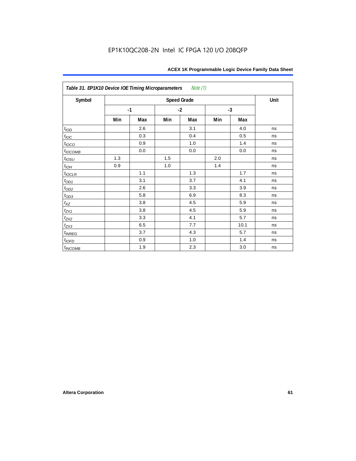| Table 31. EP1K10 Device IOE Timing Microparameters Note (1) |     |      |      |                    |      |      |      |
|-------------------------------------------------------------|-----|------|------|--------------------|------|------|------|
| Symbol                                                      |     |      |      | <b>Speed Grade</b> |      |      | Unit |
|                                                             |     | $-1$ | $-2$ |                    | $-3$ |      |      |
|                                                             | Min | Max  | Min  | Max                | Min  | Max  |      |
| t <sub>IOD</sub>                                            |     | 2.6  |      | 3.1                |      | 4.0  | ns   |
| $t_{\text{IOC}}$                                            |     | 0.3  |      | 0.4                |      | 0.5  | ns   |
| $t_{IOCO}$                                                  |     | 0.9  |      | 1.0                |      | 1.4  | ns   |
| $t_{IOCOMB}$                                                |     | 0.0  |      | 0.0                |      | 0.0  | ns   |
| $t_{IOSU}$                                                  | 1.3 |      | 1.5  |                    | 2.0  |      | ns   |
| $t_{IOH}$                                                   | 0.9 |      | 1.0  |                    | 1.4  |      | ns   |
| $t_{IOCLR}$                                                 |     | 1.1  |      | 1.3                |      | 1.7  | ns   |
| $t_{OD1}$                                                   |     | 3.1  |      | 3.7                |      | 4.1  | ns   |
| $t_{OD2}$                                                   |     | 2.6  |      | 3.3                |      | 3.9  | ns   |
| $t_{OD3}$                                                   |     | 5.8  |      | 6.9                |      | 8.3  | ns   |
| $t_{XZ}$                                                    |     | 3.8  |      | 4.5                |      | 5.9  | ns   |
| $t_{ZX1}$                                                   |     | 3.8  |      | 4.5                |      | 5.9  | ns   |
| $t_{ZX2}$                                                   |     | 3.3  |      | 4.1                |      | 5.7  | ns   |
| $t_{ZX3}$                                                   |     | 6.5  |      | 7.7                |      | 10.1 | ns   |
| $t_{INREG}$                                                 |     | 3.7  |      | 4.3                |      | 5.7  | ns   |
| $t_{IOFD}$                                                  |     | 0.9  |      | 1.0                |      | 1.4  | ns   |
| $t_{INCOMB}$                                                |     | 1.9  |      | 2.3                |      | 3.0  | ns   |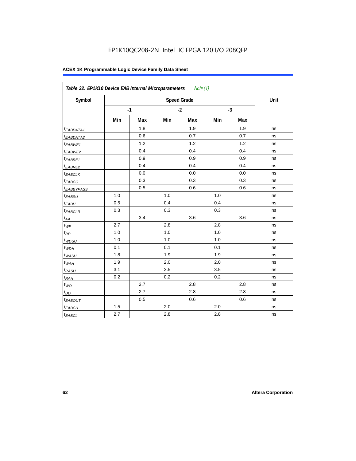| Symbol                 |       |      | <b>Speed Grade</b> |      |      |     | Unit |
|------------------------|-------|------|--------------------|------|------|-----|------|
|                        |       | $-1$ |                    | $-2$ | $-3$ |     |      |
|                        | Min   | Max  | Min                | Max  | Min  | Max |      |
| <sup>t</sup> EABDATA1  |       | 1.8  |                    | 1.9  |      | 1.9 | ns   |
| <sup>t</sup> EABDATA2  |       | 0.6  |                    | 0.7  |      | 0.7 | ns   |
| $t_{EABWE1}$           |       | 1.2  |                    | 1.2  |      | 1.2 | ns   |
| t <sub>EABWE2</sub>    |       | 0.4  |                    | 0.4  |      | 0.4 | ns   |
| <sup>t</sup> EABRE1    |       | 0.9  |                    | 0.9  |      | 0.9 | ns   |
| $t_{EABRE2}$           |       | 0.4  |                    | 0.4  |      | 0.4 | ns   |
| <sup>t</sup> EABCLK    |       | 0.0  |                    | 0.0  |      | 0.0 | ns   |
| t <sub>EABCO</sub>     |       | 0.3  |                    | 0.3  |      | 0.3 | ns   |
| <sup>t</sup> EABBYPASS |       | 0.5  |                    | 0.6  |      | 0.6 | ns   |
| $t_{EABSU}$            | 1.0   |      | 1.0                |      | 1.0  |     | ns   |
| t <sub>EABH</sub>      | 0.5   |      | 0.4                |      | 0.4  |     | ns   |
| $t_{EABCLR}$           | 0.3   |      | 0.3                |      | 0.3  |     | ns   |
| $t_{AA}$               |       | 3.4  |                    | 3.6  |      | 3.6 | ns   |
| $t_{\mathcal{WP}}$     | 2.7   |      | 2.8                |      | 2.8  |     | ns   |
| $t_{\mathit{RP}}$      | 1.0   |      | 1.0                |      | 1.0  |     | ns   |
| $t_{WDSU}$             | 1.0   |      | 1.0                |      | 1.0  |     | ns   |
| $t_{WDH}$              | 0.1   |      | 0.1                |      | 0.1  |     | ns   |
| $t_{WASU}$             | 1.8   |      | 1.9                |      | 1.9  |     | ns   |
| $t_{W\underline{AH}}$  | 1.9   |      | 2.0                |      | 2.0  |     | ns   |
| $t_{RASU}$             | 3.1   |      | 3.5                |      | 3.5  |     | ns   |
| $t_{RAH}$              | 0.2   |      | 0.2                |      | 0.2  |     | ns   |
| $t_{WO}$               |       | 2.7  |                    | 2.8  |      | 2.8 | ns   |
| $t_{DD}$               |       | 2.7  |                    | 2.8  |      | 2.8 | ns   |
| t <sub>EABOUT</sub>    |       | 0.5  |                    | 0.6  |      | 0.6 | ns   |
| $t_{EABCH}$            | $1.5$ |      | 2.0                |      | 2.0  |     | ns   |
| $t_{EABCL}$            | 2.7   |      | 2.8                |      | 2.8  |     | ns   |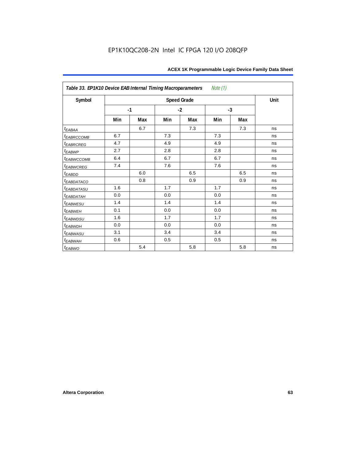| Table 33. EP1K10 Device EAB Internal Timing Macroparameters<br>Note (1) |      |     |      |                    |      |     |      |  |  |  |
|-------------------------------------------------------------------------|------|-----|------|--------------------|------|-----|------|--|--|--|
| Symbol                                                                  |      |     |      | <b>Speed Grade</b> |      |     | Unit |  |  |  |
|                                                                         | $-1$ |     | $-2$ |                    | $-3$ |     |      |  |  |  |
|                                                                         | Min  | Max | Min  | Max                | Min  | Max |      |  |  |  |
| $t_{EABA}$                                                              |      | 6.7 |      | 7.3                |      | 7.3 | ns   |  |  |  |
| t <sub>EABRCCOMB</sub>                                                  | 6.7  |     | 7.3  |                    | 7.3  |     | ns   |  |  |  |
| t <sub>EABRCREG</sub>                                                   | 4.7  |     | 4.9  |                    | 4.9  |     | ns   |  |  |  |
| $t_{EABWP}$                                                             | 2.7  |     | 2.8  |                    | 2.8  |     | ns   |  |  |  |
| <sup>t</sup> EABWCCOMB                                                  | 6.4  |     | 6.7  |                    | 6.7  |     | ns   |  |  |  |
| t <sub>EABWCREG</sub>                                                   | 7.4  |     | 7.6  |                    | 7.6  |     | ns   |  |  |  |
| t <sub>EABDD</sub>                                                      |      | 6.0 |      | 6.5                |      | 6.5 | ns   |  |  |  |
| t <sub>eabdataco</sub>                                                  |      | 0.8 |      | 0.9                |      | 0.9 | ns   |  |  |  |
| <i>EABDATASU</i>                                                        | 1.6  |     | 1.7  |                    | 1.7  |     | ns   |  |  |  |
| <sup>t</sup> EABDATAH                                                   | 0.0  |     | 0.0  |                    | 0.0  |     | ns   |  |  |  |
| t <sub>EABWESU</sub>                                                    | 1.4  |     | 1.4  |                    | 1.4  |     | ns   |  |  |  |
| <b>t</b> EABWEH                                                         | 0.1  |     | 0.0  |                    | 0.0  |     | ns   |  |  |  |
| t <sub>EABWDSU</sub>                                                    | 1.6  |     | 1.7  |                    | 1.7  |     | ns   |  |  |  |
| t <sub>EABWDH</sub>                                                     | 0.0  |     | 0.0  |                    | 0.0  |     | ns   |  |  |  |
| t <sub>EABWASU</sub>                                                    | 3.1  |     | 3.4  |                    | 3.4  |     | ns   |  |  |  |
| t <sub>EABWAH</sub>                                                     | 0.6  |     | 0.5  |                    | 0.5  |     | ns   |  |  |  |
| $t_{EABWO}$                                                             |      | 5.4 |      | 5.8                |      | 5.8 | ns   |  |  |  |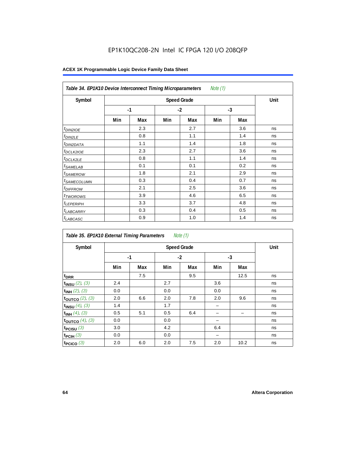# EP1K10QC208-2N Intel IC FPGA 120 I/O 208QFP

| Note $(1)$<br>Table 34. EP1K10 Device Interconnect Timing Microparameters |     |                    |      |     |      |     |    |  |  |  |
|---------------------------------------------------------------------------|-----|--------------------|------|-----|------|-----|----|--|--|--|
| Symbol                                                                    |     | <b>Speed Grade</b> |      |     |      |     |    |  |  |  |
|                                                                           |     | $-1$               | $-2$ |     | $-3$ |     |    |  |  |  |
|                                                                           | Min | Max                | Min  | Max | Min  | Max |    |  |  |  |
| t <sub>DIN2IOE</sub>                                                      |     | 2.3                |      | 2.7 |      | 3.6 | ns |  |  |  |
| <sup>t</sup> DIN2LE                                                       |     | 0.8                |      | 1.1 |      | 1.4 | ns |  |  |  |
| <sup>t</sup> DIN2DATA                                                     |     | 1.1                |      | 1.4 |      | 1.8 | ns |  |  |  |
| <sup>t</sup> DCLK2IOE                                                     |     | 2.3                |      | 2.7 |      | 3.6 | ns |  |  |  |
| <sup>t</sup> DCLK2LE                                                      |     | 0.8                |      | 1.1 |      | 1.4 | ns |  |  |  |
| <sup>t</sup> SAMELAB                                                      |     | 0.1                |      | 0.1 |      | 0.2 | ns |  |  |  |
| <sup>t</sup> SAMEROW                                                      |     | 1.8                |      | 2.1 |      | 2.9 | ns |  |  |  |
| <sup>t</sup> SAMECOLUMN                                                   |     | 0.3                |      | 0.4 |      | 0.7 | ns |  |  |  |
| <i><b>IDIFFROW</b></i>                                                    |     | 2.1                |      | 2.5 |      | 3.6 | ns |  |  |  |
| <sup>t</sup> TWOROWS                                                      |     | 3.9                |      | 4.6 |      | 6.5 | ns |  |  |  |
| <sup>t</sup> LEPERIPH                                                     |     | 3.3                |      | 3.7 |      | 4.8 | ns |  |  |  |
| <sup>t</sup> LABCARRY                                                     |     | 0.3                |      | 0.4 |      | 0.5 | ns |  |  |  |
| <sup>t</sup> LABCASC                                                      |     | 0.9                |      | 1.0 |      | 1.4 | ns |  |  |  |

| Note $(1)$<br>Table 35. EP1K10 External Timing Parameters |      |     |      |                    |      |      |      |  |  |  |
|-----------------------------------------------------------|------|-----|------|--------------------|------|------|------|--|--|--|
| Symbol                                                    |      |     |      | <b>Speed Grade</b> |      |      | Unit |  |  |  |
|                                                           | $-1$ |     | $-2$ |                    | $-3$ |      |      |  |  |  |
|                                                           | Min  | Max | Min  | Max                | Min  | Max  |      |  |  |  |
| t <sub>DRR</sub>                                          |      | 7.5 |      | 9.5                |      | 12.5 | ns   |  |  |  |
| $t_{INSU}$ (2), (3)                                       | 2.4  |     | 2.7  |                    | 3.6  |      | ns   |  |  |  |
| $t_{INH}$ (2), (3)                                        | 0.0  |     | 0.0  |                    | 0.0  |      | ns   |  |  |  |
| toutco $(2)$ , $(3)$                                      | 2.0  | 6.6 | 2.0  | 7.8                | 2.0  | 9.6  | ns   |  |  |  |
| $t_{INSU}$ (4), (3)                                       | 1.4  |     | 1.7  |                    |      |      | ns   |  |  |  |
| $t_{INH}$ (4), (3)                                        | 0.5  | 5.1 | 0.5  | 6.4                |      |      | ns   |  |  |  |
| toutco $(4)$ , $(3)$                                      | 0.0  |     | 0.0  |                    |      |      | ns   |  |  |  |
| t <sub>PCISU</sub> $(3)$                                  | 3.0  |     | 4.2  |                    | 6.4  |      | ns   |  |  |  |
| $t_{PCH}(3)$                                              | 0.0  |     | 0.0  |                    |      |      | ns   |  |  |  |
| t <sub>PCICO</sub> $(3)$                                  | 2.0  | 6.0 | 2.0  | 7.5                | 2.0  | 10.2 | ns   |  |  |  |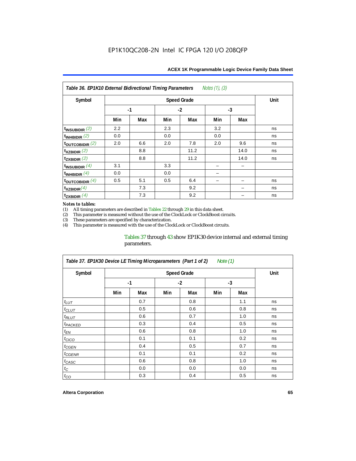| Notes (1), (3)<br>Table 36. EP1K10 External Bidirectional Timing Parameters |      |     |     |                    |      |      |      |  |  |  |
|-----------------------------------------------------------------------------|------|-----|-----|--------------------|------|------|------|--|--|--|
| Symbol                                                                      |      |     |     | <b>Speed Grade</b> |      |      | Unit |  |  |  |
|                                                                             | $-1$ |     |     | $-2$               | $-3$ |      |      |  |  |  |
|                                                                             | Min  | Max | Min | Max                | Min  | Max  |      |  |  |  |
| $t_{INSUBIDIR}(2)$                                                          | 2.2  |     | 2.3 |                    | 3.2  |      | ns   |  |  |  |
| $t_{INHBIDIR}$ (2)                                                          | 0.0  |     | 0.0 |                    | 0.0  |      | ns   |  |  |  |
| $t_{\text{OUTC}OBIDIR}$ (2)                                                 | 2.0  | 6.6 | 2.0 | 7.8                | 2.0  | 9.6  | ns   |  |  |  |
| $t_{XZBIDIR}$ (2)                                                           |      | 8.8 |     | 11.2               |      | 14.0 | ns   |  |  |  |
| $t_{ZXBIDIR}$ (2)                                                           |      | 8.8 |     | 11.2               |      | 14.0 | ns   |  |  |  |
| $t_{INSUBIDIR}(4)$                                                          | 3.1  |     | 3.3 |                    |      |      |      |  |  |  |
| $t_{INHBIDIR}(4)$                                                           | 0.0  |     | 0.0 |                    |      |      |      |  |  |  |
| $t_{\text{OUTCOBIDIR}}$ (4)                                                 | 0.5  | 5.1 | 0.5 | 6.4                |      |      | ns   |  |  |  |
| $t_{XZBIDIR}(4)$                                                            |      | 7.3 |     | 9.2                |      |      | ns   |  |  |  |
| $t_{ZXBIDIR}$ $(4)$                                                         |      | 7.3 |     | 9.2                |      |      | ns   |  |  |  |

#### *Notes to tables:*

(1) All timing parameters are described in Tables  $22$  through  $29$  in this data sheet.<br>(2) This parameter is measured without the use of the ClockLock or ClockBoost cir (2) This parameter is measured without the use of the ClockLock or ClockBoost circuits.

These parameters are specified by characterization.

(4) This parameter is measured with the use of the ClockLock or ClockBoost circuits.

### Tables 37 through 43 show EP1K30 device internal and external timing parameters.

| Table 37. EP1K30 Device LE Timing Microparameters (Part 1 of 2)<br>Note (1) |     |                    |     |      |      |     |    |  |  |  |  |
|-----------------------------------------------------------------------------|-----|--------------------|-----|------|------|-----|----|--|--|--|--|
| Symbol                                                                      |     | <b>Speed Grade</b> |     |      |      |     |    |  |  |  |  |
|                                                                             |     | $-1$               |     | $-2$ | $-3$ |     |    |  |  |  |  |
|                                                                             | Min | Max                | Min | Max  | Min  | Max |    |  |  |  |  |
| $t_{LUT}$                                                                   |     | 0.7                |     | 0.8  |      | 1.1 | ns |  |  |  |  |
| $t_{CLUT}$                                                                  |     | 0.5                |     | 0.6  |      | 0.8 | ns |  |  |  |  |
| $t_{RLUT}$                                                                  |     | 0.6                |     | 0.7  |      | 1.0 | ns |  |  |  |  |
| <sup>t</sup> PACKED                                                         |     | 0.3                |     | 0.4  |      | 0.5 | ns |  |  |  |  |
| $t_{EN}$                                                                    |     | 0.6                |     | 0.8  |      | 1.0 | ns |  |  |  |  |
| $t_{CICO}$                                                                  |     | 0.1                |     | 0.1  |      | 0.2 | ns |  |  |  |  |
| t <sub>CGEN</sub>                                                           |     | 0.4                |     | 0.5  |      | 0.7 | ns |  |  |  |  |
| t <sub>CGENR</sub>                                                          |     | 0.1                |     | 0.1  |      | 0.2 | ns |  |  |  |  |
| t <sub>CASC</sub>                                                           |     | 0.6                |     | 0.8  |      | 1.0 | ns |  |  |  |  |
| $t_{\rm C}$                                                                 |     | 0.0                |     | 0.0  |      | 0.0 | ns |  |  |  |  |
| $t_{CO}$                                                                    |     | 0.3                |     | 0.4  |      | 0.5 | ns |  |  |  |  |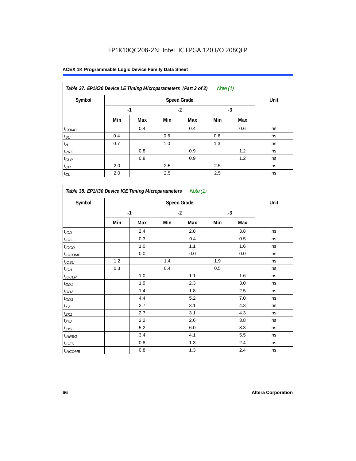| Table 37. EP1K30 Device LE Timing Microparameters (Part 2 of 2)<br>Note $(1)$ |      |      |      |     |      |     |    |  |  |
|-------------------------------------------------------------------------------|------|------|------|-----|------|-----|----|--|--|
| Symbol                                                                        |      | Unit |      |     |      |     |    |  |  |
|                                                                               | $-1$ |      | $-2$ |     | $-3$ |     |    |  |  |
|                                                                               | Min  | Max  | Min  | Max | Min  | Max |    |  |  |
| $t_{COMB}$                                                                    |      | 0.4  |      | 0.4 |      | 0.6 | ns |  |  |
| $t_{\text{SU}}$                                                               | 0.4  |      | 0.6  |     | 0.6  |     | ns |  |  |
| $t_H$                                                                         | 0.7  |      | 1.0  |     | 1.3  |     | ns |  |  |
| $t_{PRE}$                                                                     |      | 0.8  |      | 0.9 |      | 1.2 | ns |  |  |
| $t_{CLR}$                                                                     |      | 0.8  |      | 0.9 |      | 1.2 | ns |  |  |
| $t_{CH}$                                                                      | 2.0  |      | 2.5  |     | 2.5  |     | ns |  |  |
| $t_{CL}$                                                                      | 2.0  |      | 2.5  |     | 2.5  |     | ns |  |  |

*Table 38. EP1K30 Device IOE Timing Microparameters Note (1)* Symbol **Communist Speed Grade** Communist Speed Grade Communist Communist Communist Communist Communist Communist Communist Communist Communist Communist Communist Communist Communist Communist Communist Communist Communist **-1 -2 -3 Min Max Min Max Min Max**  $t_{\text{IOD}}$  2.4 2.8 3.8 ns  $t_{\mathit{loc}}$  0.3 0.4 0.4 0.5 ns  $t_{\textit{10CO}}$  1.0 1.0 1.1 1.1 1.6 ns t<sub>IOCOMB</sub> | | 0.0 | | 0.0 | | 0.0 | ns tIOSU 1.2 1.4 1.9 ns  $t_{\text{IOH}}$  0.3 0.4 0.5 0.5  $\,$  0.5  $t_{\sf{IOCLR}}$  | | 1.0 | | 1.1 | | 1.6 | ns  $t_{OD1}$  | 1.9 | 2.3 | 3.0 | ns  $t_{OD2}$  | | 1.4 | | 1.8 | | 2.5 | ns  $t_{OD3}$  | 4.4 | 5.2 | 7.0 | ns  $t_{XZ}$  | 2.7 | 3.1 | 4.3 | ns  $t_{\text{ZX1}}$  2.7  $\begin{array}{|c|c|c|c|c|} \hline \end{array}$  4.3 ns  $t_{\rm{ZX2}}$  | 2.2 | 2.6 | 3.8 | ns  $t_{\rm{ZX3}}$  | | 5.2 | | 6.0 | | 8.3 | ns  $t_{INREG}$   $\begin{array}{|c|c|c|c|c|c|} \hline \end{array}$   $\begin{array}{|c|c|c|c|c|c|c|c|} \hline \end{array}$   $\begin{array}{|c|c|c|c|c|c|c|c|} \hline \end{array}$   $\begin{array}{|c|c|c|c|c|c|} \hline \end{array}$   $\begin{array}{|c|c|c|c|c|c|} \hline \end{array}$   $\begin{array}{|c|c|c|c|c|c|} \hline \end{array}$   $\begin{array}{|c|c|$  $t_{\textit{IOFD}}$  | 0.8 | 1.3 | 2.4 | ns  $t_{INCOMB}$  1.3 1.3 2.4 ns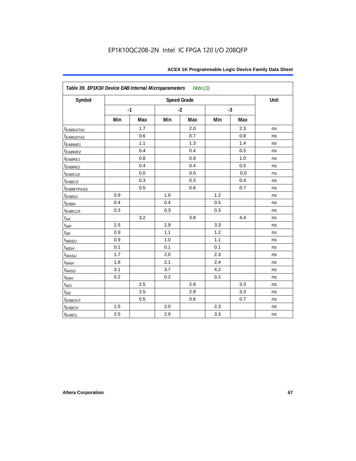| Symbol                  |     |      |     | <b>Speed Grade</b> |     |      | Unit |
|-------------------------|-----|------|-----|--------------------|-----|------|------|
|                         |     | $-1$ |     | $-2$               |     | $-3$ |      |
|                         | Min | Max  | Min | Max                | Min | Max  |      |
| t <sub>EABDATA1</sub>   |     | 1.7  |     | 2.0                |     | 2.3  | ns   |
| t <sub>EABDATA1</sub>   |     | 0.6  |     | 0.7                |     | 0.8  | ns   |
| $t_{EABWE1}$            |     | 1.1  |     | 1.3                |     | 1.4  | ns   |
| $t_{EABWE2}$            |     | 0.4  |     | 0.4                |     | 0.5  | ns   |
| $t_{EABRE1}$            |     | 0.8  |     | 0.9                |     | 1.0  | ns   |
| $t_{EABRE2}$            |     | 0.4  |     | 0.4                |     | 0.5  | ns   |
| <b><i>EABCLK</i></b>    |     | 0.0  |     | 0.0                |     | 0.0  | ns   |
| $t_{EABCO}$             |     | 0.3  |     | 0.3                |     | 0.4  | ns   |
| <b><i>EABBYPASS</i></b> |     | 0.5  |     | 0.6                |     | 0.7  | ns   |
| $t_{EABSU}$             | 0.9 |      | 1.0 |                    | 1.2 |      | ns   |
| $t_{EABH}$              | 0.4 |      | 0.4 |                    | 0.5 |      | ns   |
| $t_{EABCLR}$            | 0.3 |      | 0.3 |                    | 0.3 |      | ns   |
| $t_{AA}$                |     | 3.2  |     | 3.8                |     | 4.4  | ns   |
| $t_{\underline{WP}}$    | 2.5 |      | 2.9 |                    | 3.3 |      | ns   |
| $t_{RP}$                | 0.9 |      | 1.1 |                    | 1.2 |      | ns   |
| $t_{WDSU}$              | 0.9 |      | 1.0 |                    | 1.1 |      | ns   |
| $t_{WDH}$               | 0.1 |      | 0.1 |                    | 0.1 |      | ns   |
| $t_{WASU}$              | 1.7 |      | 2.0 |                    | 2.3 |      | ns   |
| $t_{WAH}$               | 1.8 |      | 2.1 |                    | 2.4 |      | ns   |
| t <sub>RASU</sub>       | 3.1 |      | 3.7 |                    | 4.2 |      | ns   |
| $t_{RAH}$               | 0.2 |      | 0.2 |                    | 0.2 |      | ns   |
| $t_{WO}$                |     | 2.5  |     | 2.9                |     | 3.3  | ns   |
| $t_{DD}$                |     | 2.5  |     | 2.9                |     | 3.3  | ns   |
| <b><i>EABOUT</i></b>    |     | 0.5  |     | 0.6                |     | 0.7  | ns   |
| $t_{EABCH}$             | 1.5 |      | 2.0 |                    | 2.3 |      | ns   |
| $t_{EABCL}$             | 2.5 |      | 2.9 |                    | 3.3 |      | ns   |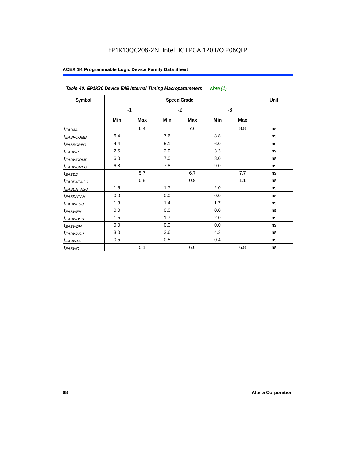# EP1K10QC208-2N Intel IC FPGA 120 I/O 208QFP

| Table 40. EP1K30 Device EAB Internal Timing Macroparameters<br>Note $(1)$ |      |     |      |                    |      |     |      |  |  |
|---------------------------------------------------------------------------|------|-----|------|--------------------|------|-----|------|--|--|
| Symbol                                                                    |      |     |      | <b>Speed Grade</b> |      |     | Unit |  |  |
|                                                                           | $-1$ |     | $-2$ |                    | $-3$ |     |      |  |  |
|                                                                           | Min  | Max | Min  | Max                | Min  | Max |      |  |  |
| t <sub>EABAA</sub>                                                        |      | 6.4 |      | 7.6                |      | 8.8 | ns   |  |  |
| <sup>t</sup> EABRCOMB                                                     | 6.4  |     | 7.6  |                    | 8.8  |     | ns   |  |  |
| <sup>t</sup> EABRCREG                                                     | 4.4  |     | 5.1  |                    | 6.0  |     | ns   |  |  |
| <sup>t</sup> EABWP                                                        | 2.5  |     | 2.9  |                    | 3.3  |     | ns   |  |  |
| <sup>t</sup> EABWCOMB                                                     | 6.0  |     | 7.0  |                    | 8.0  |     | ns   |  |  |
| <sup>t</sup> EABWCREG                                                     | 6.8  |     | 7.8  |                    | 9.0  |     | ns   |  |  |
| <sup>t</sup> EABDD                                                        |      | 5.7 |      | 6.7                |      | 7.7 | ns   |  |  |
| <sup>t</sup> EABDATACO                                                    |      | 0.8 |      | 0.9                |      | 1.1 | ns   |  |  |
| <sup>t</sup> EABDATASU                                                    | 1.5  |     | 1.7  |                    | 2.0  |     | ns   |  |  |
| <sup>t</sup> EABDATAH                                                     | 0.0  |     | 0.0  |                    | 0.0  |     | ns   |  |  |
| <sup>t</sup> EABWESU                                                      | 1.3  |     | 1.4  |                    | 1.7  |     | ns   |  |  |
| <sup>t</sup> EABWEH                                                       | 0.0  |     | 0.0  |                    | 0.0  |     | ns   |  |  |
| <sup>t</sup> EABWDSU                                                      | 1.5  |     | 1.7  |                    | 2.0  |     | ns   |  |  |
| <sup>t</sup> EABWDH                                                       | 0.0  |     | 0.0  |                    | 0.0  |     | ns   |  |  |
| <sup>t</sup> EABWASU                                                      | 3.0  |     | 3.6  |                    | 4.3  |     | ns   |  |  |
| t <sub>EABWAH</sub>                                                       | 0.5  |     | 0.5  |                    | 0.4  |     | ns   |  |  |
| t <sub>EABWO</sub>                                                        |      | 5.1 |      | 6.0                |      | 6.8 | ns   |  |  |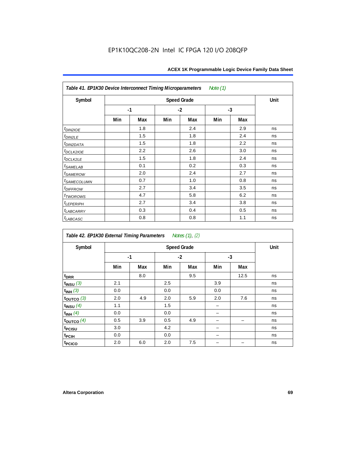| Table 41. EP1K30 Device Interconnect Timing Microparameters<br>Note (1) |      |     |      |                    |      |     |      |  |  |  |
|-------------------------------------------------------------------------|------|-----|------|--------------------|------|-----|------|--|--|--|
| Symbol                                                                  |      |     |      | <b>Speed Grade</b> |      |     | Unit |  |  |  |
|                                                                         | $-1$ |     | $-2$ |                    | $-3$ |     |      |  |  |  |
|                                                                         | Min  | Max | Min  | Max                | Min  | Max |      |  |  |  |
| $t_{DIN2IOE}$                                                           |      | 1.8 |      | 2.4                |      | 2.9 | ns   |  |  |  |
| $t_{DIN2LE}$                                                            |      | 1.5 |      | 1.8                |      | 2.4 | ns   |  |  |  |
| <sup>t</sup> DIN2DATA                                                   |      | 1.5 |      | 1.8                |      | 2.2 | ns   |  |  |  |
| t <sub>DCLK2IOE</sub>                                                   |      | 2.2 |      | 2.6                |      | 3.0 | ns   |  |  |  |
| $t_{DCLK2LE}$                                                           |      | 1.5 |      | 1.8                |      | 2.4 | ns   |  |  |  |
| $t_{SAMELAB}$                                                           |      | 0.1 |      | 0.2                |      | 0.3 | ns   |  |  |  |
| <i>t</i> <sub>SAMEROW</sub>                                             |      | 2.0 |      | 2.4                |      | 2.7 | ns   |  |  |  |
| <i>t<sub>SAMECOLUMN</sub></i>                                           |      | 0.7 |      | 1.0                |      | 0.8 | ns   |  |  |  |
| $t$ DIFFROW                                                             |      | 2.7 |      | 3.4                |      | 3.5 | ns   |  |  |  |
| t <sub>TWOROWS</sub>                                                    |      | 4.7 |      | 5.8                |      | 6.2 | ns   |  |  |  |
| $t_{LEPERIPH}$                                                          |      | 2.7 |      | 3.4                |      | 3.8 | ns   |  |  |  |
| <b><i>t<sub>LABCARRY</sub></i></b>                                      |      | 0.3 |      | 0.4                |      | 0.5 | ns   |  |  |  |
| $t_{LABCASC}$                                                           |      | 0.8 |      | 0.8                |      | 1.1 | ns   |  |  |  |

| Notes (1), (2)<br>Table 42. EP1K30 External Timing Parameters |     |      |     |                    |      |      |      |  |  |  |
|---------------------------------------------------------------|-----|------|-----|--------------------|------|------|------|--|--|--|
| Symbol                                                        |     |      |     | <b>Speed Grade</b> |      |      | Unit |  |  |  |
|                                                               |     | $-1$ |     | $-2$               | $-3$ |      |      |  |  |  |
|                                                               | Min | Max  | Min | Max                | Min  | Max  |      |  |  |  |
| t <sub>DRR</sub>                                              |     | 8.0  |     | 9.5                |      | 12.5 | ns   |  |  |  |
| $t_{INSU}$ (3)                                                | 2.1 |      | 2.5 |                    | 3.9  |      | ns   |  |  |  |
| $t_{INH}$ (3)                                                 | 0.0 |      | 0.0 |                    | 0.0  |      | ns   |  |  |  |
| $t_{OUTCO}$ (3)                                               | 2.0 | 4.9  | 2.0 | 5.9                | 2.0  | 7.6  | ns   |  |  |  |
| $t_{INSU}$ $(4)$                                              | 1.1 |      | 1.5 |                    |      |      | ns   |  |  |  |
| $t_{INH}$ (4)                                                 | 0.0 |      | 0.0 |                    |      |      | ns   |  |  |  |
| $t_{\text{OUTCO}}(4)$                                         | 0.5 | 3.9  | 0.5 | 4.9                |      |      | ns   |  |  |  |
| t <sub>PCISU</sub>                                            | 3.0 |      | 4.2 |                    |      |      | ns   |  |  |  |
| <sup>t</sup> PCIH                                             | 0.0 |      | 0.0 |                    |      |      | ns   |  |  |  |
| t <sub>PCICO</sub>                                            | 2.0 | 6.0  | 2.0 | 7.5                |      |      | ns   |  |  |  |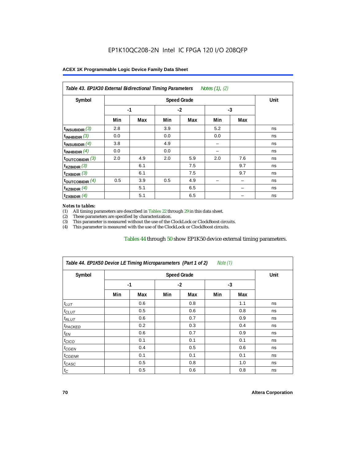| Symbol                      |      | Unit |      |     |      |     |    |
|-----------------------------|------|------|------|-----|------|-----|----|
|                             | $-1$ |      | $-2$ |     | $-3$ |     |    |
|                             | Min  | Max  | Min  | Max | Min  | Max |    |
| $t_{\text{INSUBIDIR}}$ (3)  | 2.8  |      | 3.9  |     | 5.2  |     | ns |
| $t_{INHBIDIR}$ (3)          | 0.0  |      | 0.0  |     | 0.0  |     | ns |
| $t_{\text{INSUBIDIR}}$ (4)  | 3.8  |      | 4.9  |     |      |     | ns |
| $t_{INHBIDIR}$ (4)          | 0.0  |      | 0.0  |     |      |     | ns |
| $t_{\text{OUTCOBIDIR}}$ (3) | 2.0  | 4.9  | 2.0  | 5.9 | 2.0  | 7.6 | ns |
| $t_{XZBIDIR}$ (3)           |      | 6.1  |      | 7.5 |      | 9.7 | ns |
| $t_{ZXBIDIR}$ (3)           |      | 6.1  |      | 7.5 |      | 9.7 | ns |
| toutcobidir $(4)$           | 0.5  | 3.9  | 0.5  | 4.9 |      |     | ns |
| $t_{XZBIDIR}$ (4)           |      | 5.1  |      | 6.5 |      |     | ns |
| $t_{ZXBIDIR}$ (4)           |      | 5.1  |      | 6.5 |      |     | ns |

#### *Notes to tables:*

(1) All timing parameters are described in Tables 22 through  $29$  in this data sheet.<br>(2) These parameters are specified by characterization.

(2) These parameters are specified by characterization.<br>
(3) This parameter is measured without the use of the C

This parameter is measured without the use of the ClockLock or ClockBoost circuits.

(4) This parameter is measured with the use of the ClockLock or ClockBoost circuits.

#### Tables 44 through 50 show EP1K50 device external timing parameters.

| Symbol               |      | Unit |      |     |     |     |    |
|----------------------|------|------|------|-----|-----|-----|----|
|                      | $-1$ |      | $-2$ |     | -3  |     |    |
|                      | Min  | Max  | Min  | Max | Min | Max |    |
| $t_{LUT}$            |      | 0.6  |      | 0.8 |     | 1.1 | ns |
| $t_{CLUT}$           |      | 0.5  |      | 0.6 |     | 0.8 | ns |
| $t_{RLUT}$           |      | 0.6  |      | 0.7 |     | 0.9 | ns |
| <sup>t</sup> PACKED  |      | 0.2  |      | 0.3 |     | 0.4 | ns |
| $t_{EN}$             |      | 0.6  |      | 0.7 |     | 0.9 | ns |
| $t_{CICO}$           |      | 0.1  |      | 0.1 |     | 0.1 | ns |
| $t_{\overline{GED}}$ |      | 0.4  |      | 0.5 |     | 0.6 | ns |
| $t_{GENR}$           |      | 0.1  |      | 0.1 |     | 0.1 | ns |
| $t_{CASC}$           |      | 0.5  |      | 0.8 |     | 1.0 | ns |
| $t_C$                |      | 0.5  |      | 0.6 |     | 0.8 | ns |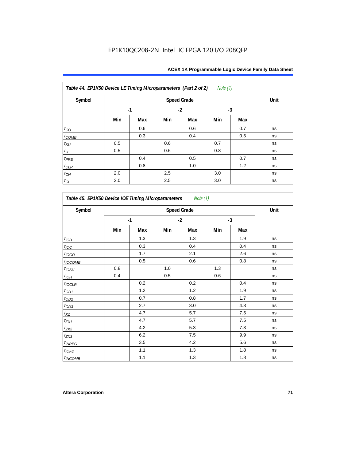| Table 44. EP1K50 Device LE Timing Microparameters (Part 2 of 2) |      |      |      |     | <i>Note</i> $(1)$ |     |    |
|-----------------------------------------------------------------|------|------|------|-----|-------------------|-----|----|
| Symbol                                                          |      | Unit |      |     |                   |     |    |
|                                                                 | $-1$ |      | $-2$ |     | $-3$              |     |    |
|                                                                 | Min  | Max  | Min  | Max | Min               | Max |    |
| $t_{CO}$                                                        |      | 0.6  |      | 0.6 |                   | 0.7 | ns |
| $t_{COMB}$                                                      |      | 0.3  |      | 0.4 |                   | 0.5 | ns |
| $t_{\rm SU}$                                                    | 0.5  |      | 0.6  |     | 0.7               |     | ns |
| $t_{\!H}$                                                       | 0.5  |      | 0.6  |     | 0.8               |     | ns |
| $t_{PRE}$                                                       |      | 0.4  |      | 0.5 |                   | 0.7 | ns |
| $t_{CLR}$                                                       |      | 0.8  |      | 1.0 |                   | 1.2 | ns |
| $t_{\mathbb{C} H}$                                              | 2.0  |      | 2.5  |     | 3.0               |     | ns |
| $t_{CL}$                                                        | 2.0  |      | 2.5  |     | 3.0               |     | ns |

| Symbol           | <b>Speed Grade</b> |     |      |     |      |     |    |  |
|------------------|--------------------|-----|------|-----|------|-----|----|--|
|                  | $-1$               |     | $-2$ |     | $-3$ |     |    |  |
|                  | Min                | Max | Min  | Max | Min  | Max |    |  |
| t <sub>IOD</sub> |                    | 1.3 |      | 1.3 |      | 1.9 | ns |  |
| $t_{\text{loc}}$ |                    | 0.3 |      | 0.4 |      | 0.4 | ns |  |
| $t_{IOCO}$       |                    | 1.7 |      | 2.1 |      | 2.6 | ns |  |
| $t_{IOCOMB}$     |                    | 0.5 |      | 0.6 |      | 0.8 | ns |  |
| $t_{IOSU}$       | 0.8                |     | 1.0  |     | 1.3  |     | ns |  |
| $t_{IOH}$        | 0.4                |     | 0.5  |     | 0.6  |     | ns |  |
| $t_{IOCLR}$      |                    | 0.2 |      | 0.2 |      | 0.4 | ns |  |
| $t_{\text{OD1}}$ |                    | 1.2 |      | 1.2 |      | 1.9 | ns |  |
| $t_{OD2}$        |                    | 0.7 |      | 0.8 |      | 1.7 | ns |  |
| $t_{OD3}$        |                    | 2.7 |      | 3.0 |      | 4.3 | ns |  |
| $t_{XZ}$         |                    | 4.7 |      | 5.7 |      | 7.5 | ns |  |
| $t_{ZX1}$        |                    | 4.7 |      | 5.7 |      | 7.5 | ns |  |
| $t_{ZX2}$        |                    | 4.2 |      | 5.3 |      | 7.3 | ns |  |
| $t_{ZX3}$        |                    | 6.2 |      | 7.5 |      | 9.9 | ns |  |
| $t_{INREG}$      |                    | 3.5 |      | 4.2 |      | 5.6 | ns |  |
| $t_{IOFD}$       |                    | 1.1 |      | 1.3 |      | 1.8 | ns |  |
| $t_{INCOMB}$     |                    | 1.1 |      | 1.3 |      | 1.8 | ns |  |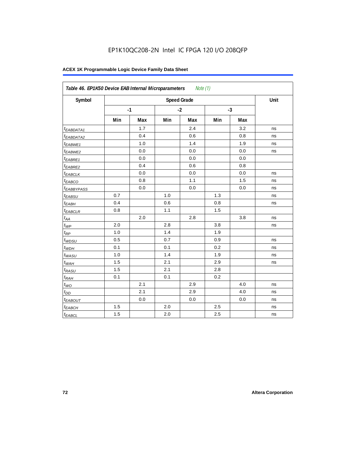| Symbol                  |     |      |         | <b>Speed Grade</b> |     |      | Unit |
|-------------------------|-----|------|---------|--------------------|-----|------|------|
|                         |     | $-1$ |         | $-2$               |     | $-3$ |      |
|                         | Min | Max  | Min     | Max                | Min | Max  |      |
| t <sub>EABDATA1</sub>   |     | 1.7  |         | 2.4                |     | 3.2  | ns   |
| <sup>t</sup> EABDATA2   |     | 0.4  |         | 0.6                |     | 0.8  | ns   |
| t <sub>EABWE1</sub>     |     | 1.0  |         | 1.4                |     | 1.9  | ns   |
| <sup>t</sup> EABWE2     |     | 0.0  |         | 0.0                |     | 0.0  | ns   |
| <sup>t</sup> EABRE1     |     | 0.0  |         | 0.0                |     | 0.0  |      |
| <sup>t</sup> EABRE2     |     | 0.4  |         | 0.6                |     | 0.8  |      |
| <sup>t</sup> EABCLK     |     | 0.0  |         | 0.0                |     | 0.0  | ns   |
| t <sub>EABCO</sub>      |     | 0.8  |         | 1.1                |     | 1.5  | ns   |
| <i><b>EABBYPASS</b></i> |     | 0.0  |         | 0.0                |     | 0.0  | ns   |
| $t_{EABSU}$             | 0.7 |      | 1.0     |                    | 1.3 |      | ns   |
| t <sub>EABH</sub>       | 0.4 |      | 0.6     |                    | 0.8 |      | ns   |
| <sup>t</sup> EABCLR     | 0.8 |      | 1.1     |                    | 1.5 |      |      |
| $t_{AA}$                |     | 2.0  |         | 2.8                |     | 3.8  | ns   |
| $t_{\mathit{WP}}$       | 2.0 |      | 2.8     |                    | 3.8 |      | ns   |
| $t_{RP}$                | 1.0 |      | 1.4     |                    | 1.9 |      |      |
| $t_{WDSU}$              | 0.5 |      | 0.7     |                    | 0.9 |      | ns   |
| $t_{WDH}$               | 0.1 |      | 0.1     |                    | 0.2 |      | ns   |
| $t_{WASU}$              | 1.0 |      | 1.4     |                    | 1.9 |      | ns   |
| $t_{WAH}$               | 1.5 |      | 2.1     |                    | 2.9 |      | ns   |
| t <sub>RASU</sub>       | 1.5 |      | 2.1     |                    | 2.8 |      |      |
| $t_{RAH}$               | 0.1 |      | 0.1     |                    | 0.2 |      |      |
| $t_{WO}$                |     | 2.1  |         | 2.9                |     | 4.0  | ns   |
| $t_{DD}$                |     | 2.1  |         | 2.9                |     | 4.0  | ns   |
| t <sub>EABOUT</sub>     |     | 0.0  |         | 0.0                |     | 0.0  | ns   |
| t <sub>EABCH</sub>      | 1.5 |      | 2.0     |                    | 2.5 |      | ns   |
| $t_{EABCL}$             | 1.5 |      | $2.0\,$ |                    | 2.5 |      | ns   |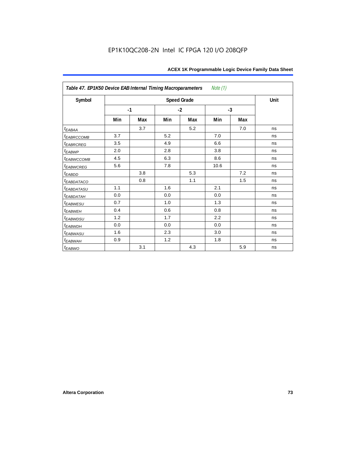| Table 47. EP1K50 Device EAB Internal Timing Macroparameters<br>Note (1) |      |     |      |                    |      |     |      |  |  |  |  |
|-------------------------------------------------------------------------|------|-----|------|--------------------|------|-----|------|--|--|--|--|
| Symbol                                                                  |      |     |      | <b>Speed Grade</b> |      |     | Unit |  |  |  |  |
|                                                                         | $-1$ |     | $-2$ |                    | $-3$ |     |      |  |  |  |  |
|                                                                         | Min  | Max | Min  | Max                | Min  | Max |      |  |  |  |  |
| $t_{EABA}$                                                              |      | 3.7 |      | 5.2                |      | 7.0 | ns   |  |  |  |  |
| t <sub>EABRCCOMB</sub>                                                  | 3.7  |     | 5.2  |                    | 7.0  |     | ns   |  |  |  |  |
| t <sub>EABRCREG</sub>                                                   | 3.5  |     | 4.9  |                    | 6.6  |     | ns   |  |  |  |  |
| $t_{EABWP}$                                                             | 2.0  |     | 2.8  |                    | 3.8  |     | ns   |  |  |  |  |
| <sup>t</sup> EABWCCOMB                                                  | 4.5  |     | 6.3  |                    | 8.6  |     | ns   |  |  |  |  |
| t <sub>EABWCREG</sub>                                                   | 5.6  |     | 7.8  |                    | 10.6 |     | ns   |  |  |  |  |
| t <sub>EABDD</sub>                                                      |      | 3.8 |      | 5.3                |      | 7.2 | ns   |  |  |  |  |
| t <sub>eabdataco</sub>                                                  |      | 0.8 |      | 1.1                |      | 1.5 | ns   |  |  |  |  |
| <i>EABDATASU</i>                                                        | 1.1  |     | 1.6  |                    | 2.1  |     | ns   |  |  |  |  |
| <sup>t</sup> EABDATAH                                                   | 0.0  |     | 0.0  |                    | 0.0  |     | ns   |  |  |  |  |
| t <sub>EABWESU</sub>                                                    | 0.7  |     | 1.0  |                    | 1.3  |     | ns   |  |  |  |  |
| <b>t</b> EABWEH                                                         | 0.4  |     | 0.6  |                    | 0.8  |     | ns   |  |  |  |  |
| t <sub>EABWDSU</sub>                                                    | 1.2  |     | 1.7  |                    | 2.2  |     | ns   |  |  |  |  |
| t <sub>EABWDH</sub>                                                     | 0.0  |     | 0.0  |                    | 0.0  |     | ns   |  |  |  |  |
| t <sub>EABWASU</sub>                                                    | 1.6  |     | 2.3  |                    | 3.0  |     | ns   |  |  |  |  |
| <sup>t</sup> EABWAH                                                     | 0.9  |     | 1.2  |                    | 1.8  |     | ns   |  |  |  |  |
| $t_{EABWO}$                                                             |      | 3.1 |      | 4.3                |      | 5.9 | ns   |  |  |  |  |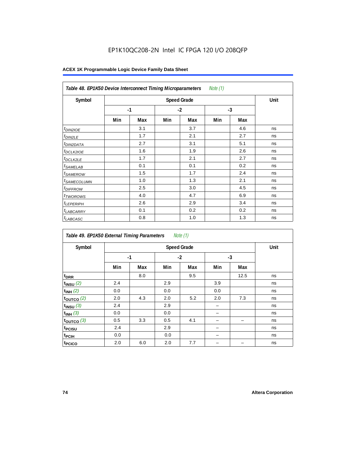## EP1K10QC208-2N Intel IC FPGA 120 I/O 208QFP

| Note $(1)$<br>Table 48. EP1K50 Device Interconnect Timing Microparameters |     |      |      |     |      |     |    |  |  |  |
|---------------------------------------------------------------------------|-----|------|------|-----|------|-----|----|--|--|--|
| Symbol                                                                    |     | Unit |      |     |      |     |    |  |  |  |
|                                                                           |     | $-1$ | $-2$ |     | $-3$ |     |    |  |  |  |
|                                                                           | Min | Max  | Min  | Max | Min  | Max |    |  |  |  |
| <i>t<sub>DIN2IOE</sub></i>                                                |     | 3.1  |      | 3.7 |      | 4.6 | ns |  |  |  |
| <sup>t</sup> DIN2LE                                                       |     | 1.7  |      | 2.1 |      | 2.7 | ns |  |  |  |
| <sup>t</sup> DIN2DATA                                                     |     | 2.7  |      | 3.1 |      | 5.1 | ns |  |  |  |
| <sup>t</sup> DCLK2IOE                                                     |     | 1.6  |      | 1.9 |      | 2.6 | ns |  |  |  |
| <sup>t</sup> DCLK2LE                                                      |     | 1.7  |      | 2.1 |      | 2.7 | ns |  |  |  |
| <sup>t</sup> SAMELAB                                                      |     | 0.1  |      | 0.1 |      | 0.2 | ns |  |  |  |
| <sup>t</sup> SAMEROW                                                      |     | 1.5  |      | 1.7 |      | 2.4 | ns |  |  |  |
| <sup>t</sup> SAMECOLUMN                                                   |     | 1.0  |      | 1.3 |      | 2.1 | ns |  |  |  |
| <i>t<sub>DIFFROW</sub></i>                                                |     | 2.5  |      | 3.0 |      | 4.5 | ns |  |  |  |
| <sup>t</sup> TWOROWS                                                      |     | 4.0  |      | 4.7 |      | 6.9 | ns |  |  |  |
| <sup>t</sup> LEPERIPH                                                     |     | 2.6  |      | 2.9 |      | 3.4 | ns |  |  |  |
| <sup>t</sup> LABCARRY                                                     |     | 0.1  |      | 0.2 |      | 0.2 | ns |  |  |  |
| <sup>t</sup> LABCASC                                                      |     | 0.8  |      | 1.0 |      | 1.3 | ns |  |  |  |

| Note $(1)$<br>Table 49. EP1K50 External Timing Parameters |      |                    |     |      |     |      |    |  |  |  |  |
|-----------------------------------------------------------|------|--------------------|-----|------|-----|------|----|--|--|--|--|
| Symbol                                                    |      | <b>Speed Grade</b> |     |      |     |      |    |  |  |  |  |
|                                                           | $-1$ |                    |     | $-2$ |     | $-3$ |    |  |  |  |  |
|                                                           | Min  | Max                | Min | Max  | Min | Max  |    |  |  |  |  |
| t <sub>DRR</sub>                                          |      | 8.0                |     | 9.5  |     | 12.5 | ns |  |  |  |  |
| $t_{INSU}$ (2)                                            | 2.4  |                    | 2.9 |      | 3.9 |      | ns |  |  |  |  |
| $t_{INH}$ (2)                                             | 0.0  |                    | 0.0 |      | 0.0 |      | ns |  |  |  |  |
| $t_{OUTCO}$ (2)                                           | 2.0  | 4.3                | 2.0 | 5.2  | 2.0 | 7.3  | ns |  |  |  |  |
| $t_{INSU}$ (3)                                            | 2.4  |                    | 2.9 |      | -   |      | ns |  |  |  |  |
| $t_{INH}$ (3)                                             | 0.0  |                    | 0.0 |      |     |      | ns |  |  |  |  |
| $t_{OUTCO}$ (3)                                           | 0.5  | 3.3                | 0.5 | 4.1  |     |      | ns |  |  |  |  |
| t <sub>PCISU</sub>                                        | 2.4  |                    | 2.9 |      |     |      | ns |  |  |  |  |
| t <sub>PCIH</sub>                                         | 0.0  |                    | 0.0 |      |     |      | ns |  |  |  |  |
| t <sub>PCICO</sub>                                        | 2.0  | 6.0                | 2.0 | 7.7  |     |      | ns |  |  |  |  |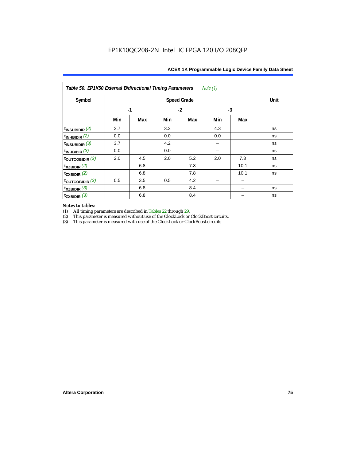| Table 50. EP1K50 External Bidirectional Timing Parameters<br>Note (1) |      |      |     |     |     |      |    |  |  |  |
|-----------------------------------------------------------------------|------|------|-----|-----|-----|------|----|--|--|--|
| Symbol                                                                |      | Unit |     |     |     |      |    |  |  |  |
|                                                                       | $-1$ |      |     |     |     |      |    |  |  |  |
|                                                                       | Min  | Max  | Min | Max | Min | Max  |    |  |  |  |
| $t_{INSUBIDIR}$ (2)                                                   | 2.7  |      | 3.2 |     | 4.3 |      | ns |  |  |  |
| $t_{INHBIDIR}$ (2)                                                    | 0.0  |      | 0.0 |     | 0.0 |      | ns |  |  |  |
| $t_{INSUBIDIR}$ (3)                                                   | 3.7  |      | 4.2 |     |     |      | ns |  |  |  |
| $t_{INHBIDIR}$ (3)                                                    | 0.0  |      | 0.0 |     |     |      | ns |  |  |  |
| $t_{\text{OUTCOBIDIR}}(2)$                                            | 2.0  | 4.5  | 2.0 | 5.2 | 2.0 | 7.3  | ns |  |  |  |
| $t_{XZBIDIR}$ (2)                                                     |      | 6.8  |     | 7.8 |     | 10.1 | ns |  |  |  |
| $t_{ZXBIDIR}$ (2)                                                     |      | 6.8  |     | 7.8 |     | 10.1 | ns |  |  |  |
| $t_{\text{OUTCOBIDIR}}$ (3)                                           | 0.5  | 3.5  | 0.5 | 4.2 |     |      |    |  |  |  |
| $t_{XZBIDIR}$ (3)                                                     |      | 6.8  |     | 8.4 |     | -    | ns |  |  |  |
| $t_{ZXBIDIR}$ (3)                                                     |      | 6.8  |     | 8.4 |     |      | ns |  |  |  |

# *Notes to tables:*

(1) All timing parameters are described in Tables 22 through 29.<br>
(2) This parameter is measured without use of the ClockLock or

(2) This parameter is measured without use of the ClockLock or ClockBoost circuits.<br>
(3) This parameter is measured with use of the ClockLock or ClockBoost circuits

This parameter is measured with use of the ClockLock or ClockBoost circuits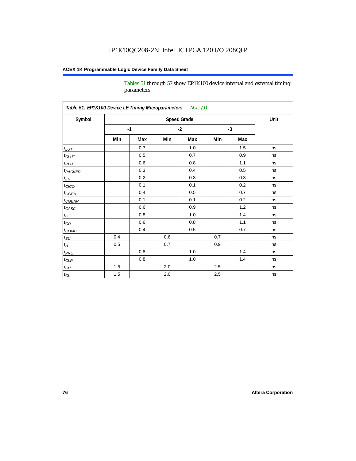Tables 51 through 57 show EP1K100 device internal and external timing parameters.

| Symbol                     |      | <b>Speed Grade</b> |         |     |      |     |    |  |  |  |
|----------------------------|------|--------------------|---------|-----|------|-----|----|--|--|--|
|                            | $-1$ |                    | $-2$    |     | $-3$ |     |    |  |  |  |
|                            | Min  | Max                | Min     | Max | Min  | Max |    |  |  |  |
| $t_{LUT}$                  |      | 0.7                |         | 1.0 |      | 1.5 | ns |  |  |  |
| $t_{CLUT}$                 |      | 0.5                |         | 0.7 |      | 0.9 | ns |  |  |  |
| $t_{RLUT}$                 |      | 0.6                |         | 0.8 |      | 1.1 | ns |  |  |  |
| <b>t</b> <sub>PACKED</sub> |      | 0.3                |         | 0.4 |      | 0.5 | ns |  |  |  |
| $t_{EN}$                   |      | 0.2                |         | 0.3 |      | 0.3 | ns |  |  |  |
| $t_{CICO}$                 |      | 0.1                |         | 0.1 |      | 0.2 | ns |  |  |  |
| $t_{\text{CGEN}}$          |      | 0.4                |         | 0.5 |      | 0.7 | ns |  |  |  |
| $t_{GENR}$                 |      | 0.1                |         | 0.1 |      | 0.2 | ns |  |  |  |
| $t_{CASC}$                 |      | 0.6                |         | 0.9 |      | 1.2 | ns |  |  |  |
| $t_C$                      |      | 0.8                |         | 1.0 |      | 1.4 | ns |  |  |  |
| $t_{\rm CO}$               |      | 0.6                |         | 0.8 |      | 1.1 | ns |  |  |  |
| $t$ <sub>COMB</sub>        |      | 0.4                |         | 0.5 |      | 0.7 | ns |  |  |  |
| $t_{\rm SU}$               | 0.4  |                    | 0.6     |     | 0.7  |     | ns |  |  |  |
| $t_H\,$                    | 0.5  |                    | 0.7     |     | 0.9  |     | ns |  |  |  |
| $t_{PRE}$                  |      | 0.8                |         | 1.0 |      | 1.4 | ns |  |  |  |
| $t_{CLR}$                  |      | 0.8                |         | 1.0 |      | 1.4 | ns |  |  |  |
| $t_{CH}$                   | 1.5  |                    | 2.0     |     | 2.5  |     | ns |  |  |  |
| $t_{CL}$                   | 1.5  |                    | $2.0\,$ |     | 2.5  |     | ns |  |  |  |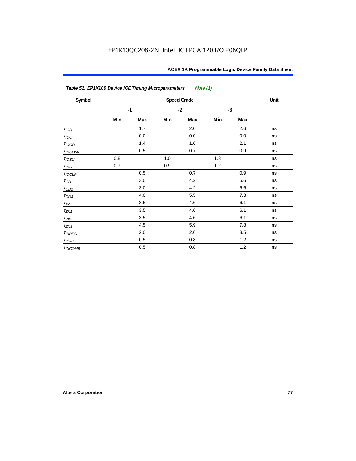| Table 52. EP1K100 Device IOE Timing Microparameters<br>Note (1) |     |      |      |                    |      |     |      |  |  |  |
|-----------------------------------------------------------------|-----|------|------|--------------------|------|-----|------|--|--|--|
| Symbol                                                          |     |      |      | <b>Speed Grade</b> |      |     | Unit |  |  |  |
|                                                                 |     | $-1$ | $-2$ |                    | $-3$ |     |      |  |  |  |
|                                                                 | Min | Max  | Min  | Max                | Min  | Max |      |  |  |  |
| t <sub>IOD</sub>                                                |     | 1.7  |      | 2.0                |      | 2.6 | ns   |  |  |  |
| $t_{\text{IOC}}$                                                |     | 0.0  |      | 0.0                |      | 0.0 | ns   |  |  |  |
| $t_{IOCO}$                                                      |     | 1.4  |      | 1.6                |      | 2.1 | ns   |  |  |  |
| $t_{IOCOMB}$                                                    |     | 0.5  |      | 0.7                |      | 0.9 | ns   |  |  |  |
| $t_{IQSU}$                                                      | 0.8 |      | 1.0  |                    | 1.3  |     | ns   |  |  |  |
| $t_{IOM}$                                                       | 0.7 |      | 0.9  |                    | 1.2  |     | ns   |  |  |  |
| $t_{IOCLR}$                                                     |     | 0.5  |      | 0.7                |      | 0.9 | ns   |  |  |  |
| $t_{OD1}$                                                       |     | 3.0  |      | 4.2                |      | 5.6 | ns   |  |  |  |
| $t_{OD2}$                                                       |     | 3.0  |      | 4.2                |      | 5.6 | ns   |  |  |  |
| $t_{OD3}$                                                       |     | 4.0  |      | 5.5                |      | 7.3 | ns   |  |  |  |
| $t_{XZ}$                                                        |     | 3.5  |      | 4.6                |      | 6.1 | ns   |  |  |  |
| $t_{ZX1}$                                                       |     | 3.5  |      | 4.6                |      | 6.1 | ns   |  |  |  |
| $t_{ZX2}$                                                       |     | 3.5  |      | 4.6                |      | 6.1 | ns   |  |  |  |
| $t_{ZX3}$                                                       |     | 4.5  |      | 5.9                |      | 7.8 | ns   |  |  |  |
| $t_{INREG}$                                                     |     | 2.0  |      | 2.6                |      | 3.5 | ns   |  |  |  |
| $t_{IOFD}$                                                      |     | 0.5  |      | 0.8                |      | 1.2 | ns   |  |  |  |
| t <sub>INCOMB</sub>                                             |     | 0.5  |      | 0.8                |      | 1.2 | ns   |  |  |  |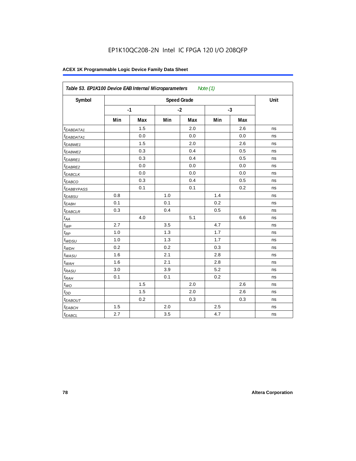| Symbol                         |     | <b>Speed Grade</b> |     |      |     |      |    |  |  |  |
|--------------------------------|-----|--------------------|-----|------|-----|------|----|--|--|--|
|                                |     | $-1$               |     | $-2$ |     | $-3$ |    |  |  |  |
|                                | Min | <b>Max</b>         | Min | Max  | Min | Max  |    |  |  |  |
| t <sub>EABDATA1</sub>          |     | 1.5                |     | 2.0  |     | 2.6  | ns |  |  |  |
| t <sub>EABDATA1</sub>          |     | 0.0                |     | 0.0  |     | 0.0  | ns |  |  |  |
| $t_{EABWE1}$                   |     | 1.5                |     | 2.0  |     | 2.6  | ns |  |  |  |
| <sup>t</sup> EABWE2            |     | 0.3                |     | 0.4  |     | 0.5  | ns |  |  |  |
| t <sub>EABRE1</sub>            |     | 0.3                |     | 0.4  |     | 0.5  | ns |  |  |  |
| <sup>t</sup> EABRE2            |     | 0.0                |     | 0.0  |     | 0.0  | ns |  |  |  |
| <sup>t</sup> EABCLK            |     | 0.0                |     | 0.0  |     | 0.0  | ns |  |  |  |
| t <sub>EABCO</sub>             |     | 0.3                |     | 0.4  |     | 0.5  | ns |  |  |  |
| <i><b><i>EABBYPASS</i></b></i> |     | 0.1                |     | 0.1  |     | 0.2  | ns |  |  |  |
| t <sub>EABSU</sub>             | 0.8 |                    | 1.0 |      | 1.4 |      | ns |  |  |  |
| <sup>t</sup> EABH              | 0.1 |                    | 0.1 |      | 0.2 |      | ns |  |  |  |
| $t_{EABCLR}$                   | 0.3 |                    | 0.4 |      | 0.5 |      | ns |  |  |  |
| $t_{AA}$                       |     | 4.0                |     | 5.1  |     | 6.6  | ns |  |  |  |
| $t_{\mathit{WP}}$              | 2.7 |                    | 3.5 |      | 4.7 |      | ns |  |  |  |
| $t_{RP}$                       | 1.0 |                    | 1.3 |      | 1.7 |      | ns |  |  |  |
| $t_{WDSU}$                     | 1.0 |                    | 1.3 |      | 1.7 |      | ns |  |  |  |
| $t_{WDH}$                      | 0.2 |                    | 0.2 |      | 0.3 |      | ns |  |  |  |
| $t_{WASU}$                     | 1.6 |                    | 2.1 |      | 2.8 |      | ns |  |  |  |
| $t_{WAH}$                      | 1.6 |                    | 2.1 |      | 2.8 |      | ns |  |  |  |
| t <sub>RASU</sub>              | 3.0 |                    | 3.9 |      | 5.2 |      | ns |  |  |  |
| $t_{RAH}$                      | 0.1 |                    | 0.1 |      | 0.2 |      | ns |  |  |  |
| $t_{WO}$                       |     | 1.5                |     | 2.0  |     | 2.6  | ns |  |  |  |
| $t_{DD}$                       |     | 1.5                |     | 2.0  |     | 2.6  | ns |  |  |  |
| t <sub>EABOUT</sub>            |     | 0.2                |     | 0.3  |     | 0.3  | ns |  |  |  |
| $t_{EABCH}$                    | 1.5 |                    | 2.0 |      | 2.5 |      | ns |  |  |  |
| <sup>t</sup> EABCL             | 2.7 |                    | 3.5 |      | 4.7 |      | ns |  |  |  |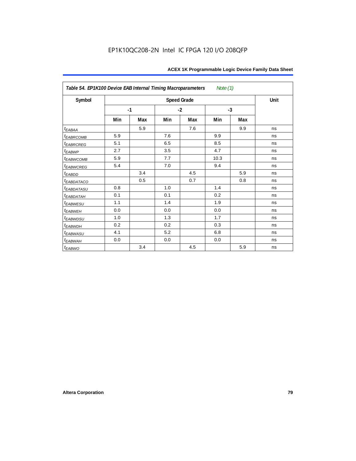| Table 54. EP1K100 Device EAB Internal Timing Macroparameters<br>Note (1) |      |     |      |                    |      |     |      |  |  |  |
|--------------------------------------------------------------------------|------|-----|------|--------------------|------|-----|------|--|--|--|
| Symbol                                                                   |      |     |      | <b>Speed Grade</b> |      |     | Unit |  |  |  |
|                                                                          | $-1$ |     | $-2$ |                    | $-3$ |     |      |  |  |  |
|                                                                          | Min  | Max | Min  | Max                | Min  | Max |      |  |  |  |
| $t_{EABA}$                                                               |      | 5.9 |      | 7.6                |      | 9.9 | ns   |  |  |  |
| <sup>t</sup> EABRCOMB                                                    | 5.9  |     | 7.6  |                    | 9.9  |     | ns   |  |  |  |
| <b>EABRCREG</b>                                                          | 5.1  |     | 6.5  |                    | 8.5  |     | ns   |  |  |  |
| $t_{EABWP}$                                                              | 2.7  |     | 3.5  |                    | 4.7  |     | ns   |  |  |  |
| t <sub>ЕАВWСОМВ</sub>                                                    | 5.9  |     | 7.7  |                    | 10.3 |     | ns   |  |  |  |
| t <sub>EABWCREG</sub>                                                    | 5.4  |     | 7.0  |                    | 9.4  |     | ns   |  |  |  |
| $t_{EABDD}$                                                              |      | 3.4 |      | 4.5                |      | 5.9 | ns   |  |  |  |
| <b><i>EABDATACO</i></b>                                                  |      | 0.5 |      | 0.7                |      | 0.8 | ns   |  |  |  |
| t <sub>eabdatasu</sub>                                                   | 0.8  |     | 1.0  |                    | 1.4  |     | ns   |  |  |  |
| <sup>t</sup> EABDATAH                                                    | 0.1  |     | 0.1  |                    | 0.2  |     | ns   |  |  |  |
| t <sub>EABWESU</sub>                                                     | 1.1  |     | 1.4  |                    | 1.9  |     | ns   |  |  |  |
| <b>t</b> EABWEH                                                          | 0.0  |     | 0.0  |                    | 0.0  |     | ns   |  |  |  |
| <sup>t</sup> EABWDSU                                                     | 1.0  |     | 1.3  |                    | 1.7  |     | ns   |  |  |  |
| <sup>t</sup> EABWDH                                                      | 0.2  |     | 0.2  |                    | 0.3  |     | ns   |  |  |  |
| <sup>t</sup> EABWASU                                                     | 4.1  |     | 5.2  |                    | 6.8  |     | ns   |  |  |  |
| t <sub>ЕАВWАН</sub>                                                      | 0.0  |     | 0.0  |                    | 0.0  |     | ns   |  |  |  |
| t <sub>EABWO</sub>                                                       |      | 3.4 |      | 4.5                |      | 5.9 | ns   |  |  |  |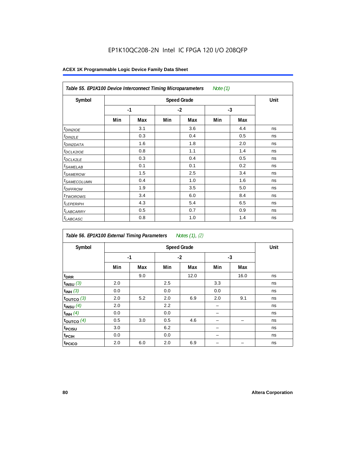## EP1K10QC208-2N Intel IC FPGA 120 I/O 208QFP

| Table 55. EP1K100 Device Interconnect Timing Microparameters<br>Note (1) |     |      |     |      |     |      |    |  |  |  |
|--------------------------------------------------------------------------|-----|------|-----|------|-----|------|----|--|--|--|
| Symbol                                                                   |     | Unit |     |      |     |      |    |  |  |  |
|                                                                          |     | $-1$ |     | $-2$ |     | $-3$ |    |  |  |  |
|                                                                          | Min | Max  | Min | Max  | Min | Max  |    |  |  |  |
| <i>t<sub>DIN2IOE</sub></i>                                               |     | 3.1  |     | 3.6  |     | 4.4  | ns |  |  |  |
| <sup>t</sup> DIN2LE                                                      |     | 0.3  |     | 0.4  |     | 0.5  | ns |  |  |  |
| <sup>t</sup> DIN2DATA                                                    |     | 1.6  |     | 1.8  |     | 2.0  | ns |  |  |  |
| <sup>t</sup> DCLK2IOE                                                    |     | 0.8  |     | 1.1  |     | 1.4  | ns |  |  |  |
| <sup>t</sup> DCLK2LE                                                     |     | 0.3  |     | 0.4  |     | 0.5  | ns |  |  |  |
| <sup>t</sup> SAMELAB                                                     |     | 0.1  |     | 0.1  |     | 0.2  | ns |  |  |  |
| <sup>t</sup> SAMEROW                                                     |     | 1.5  |     | 2.5  |     | 3.4  | ns |  |  |  |
| <sup>t</sup> SAMECOLUMN                                                  |     | 0.4  |     | 1.0  |     | 1.6  | ns |  |  |  |
| <i>t<sub>DIFFROW</sub></i>                                               |     | 1.9  |     | 3.5  |     | 5.0  | ns |  |  |  |
| <sup>t</sup> TWOROWS                                                     |     | 3.4  |     | 6.0  |     | 8.4  | ns |  |  |  |
| <sup>t</sup> LEPERIPH                                                    |     | 4.3  |     | 5.4  |     | 6.5  | ns |  |  |  |
| <sup>t</sup> LABCARRY                                                    |     | 0.5  |     | 0.7  |     | 0.9  | ns |  |  |  |
| <sup>t</sup> LABCASC                                                     |     | 0.8  |     | 1.0  |     | 1.4  | ns |  |  |  |

| Symbol             |     | <b>Speed Grade</b> |     |      |      |      |    |  |  |  |  |
|--------------------|-----|--------------------|-----|------|------|------|----|--|--|--|--|
|                    |     | $-1$               |     | $-2$ | $-3$ |      |    |  |  |  |  |
|                    | Min | Max                | Min | Max  | Min  | Max  |    |  |  |  |  |
| t <sub>DRR</sub>   |     | 9.0                |     | 12.0 |      | 16.0 | ns |  |  |  |  |
| $t_{INSU}$ (3)     | 2.0 |                    | 2.5 |      | 3.3  |      | ns |  |  |  |  |
| $t_{INH}$ (3)      | 0.0 |                    | 0.0 |      | 0.0  |      | ns |  |  |  |  |
| $t_{OUTCO}$ (3)    | 2.0 | 5.2                | 2.0 | 6.9  | 2.0  | 9.1  | ns |  |  |  |  |
| $t_{INSU}$ (4)     | 2.0 |                    | 2.2 |      |      |      | ns |  |  |  |  |
| $t_{INH}$ (4)      | 0.0 |                    | 0.0 |      |      |      | ns |  |  |  |  |
| toutco $(4)$       | 0.5 | 3.0                | 0.5 | 4.6  |      |      | ns |  |  |  |  |
| t <sub>PCISU</sub> | 3.0 |                    | 6.2 |      |      |      | ns |  |  |  |  |
| t <sub>PCIH</sub>  | 0.0 |                    | 0.0 |      |      |      | ns |  |  |  |  |
| t <sub>PCICO</sub> | 2.0 | 6.0                | 2.0 | 6.9  |      |      | ns |  |  |  |  |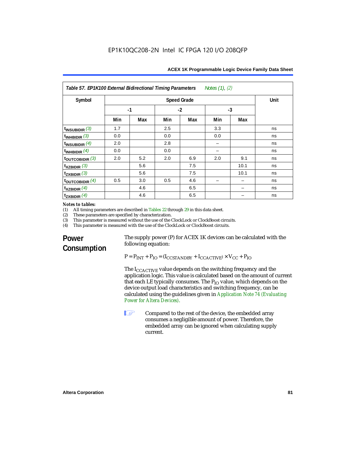| Notes (1), (2)<br>Table 57. EP1K100 External Bidirectional Timing Parameters |                      |      |     |     |     |      |    |  |  |  |  |
|------------------------------------------------------------------------------|----------------------|------|-----|-----|-----|------|----|--|--|--|--|
| Symbol                                                                       |                      | Unit |     |     |     |      |    |  |  |  |  |
|                                                                              | $-1$<br>$-2$<br>$-3$ |      |     |     |     |      |    |  |  |  |  |
|                                                                              | Min                  | Max  | Min | Max | Min | Max  |    |  |  |  |  |
| $t_{INSUBIDIR}$ (3)                                                          | 1.7                  |      | 2.5 |     | 3.3 |      | ns |  |  |  |  |
| $t_{INHBIDIR}$ (3)                                                           | 0.0                  |      | 0.0 |     | 0.0 |      | ns |  |  |  |  |
| $t_{INSUBIDIR}$ $(4)$                                                        | 2.0                  |      | 2.8 |     |     |      | ns |  |  |  |  |
| $t_{INHBIDIR}$ (4)                                                           | 0.0                  |      | 0.0 |     |     |      | ns |  |  |  |  |
| $t_{\text{OUTCOBIDIR}}$ (3)                                                  | 2.0                  | 5.2  | 2.0 | 6.9 | 2.0 | 9.1  | ns |  |  |  |  |
| $t_{XZBIDIR}$ (3)                                                            |                      | 5.6  |     | 7.5 |     | 10.1 | ns |  |  |  |  |
| $t_{ZXBIDIR}$ (3)                                                            |                      | 5.6  |     | 7.5 |     | 10.1 | ns |  |  |  |  |
| $t_{\text{OUTCOBIDIR}}(4)$                                                   | 0.5                  | 3.0  | 0.5 | 4.6 |     |      | ns |  |  |  |  |
| $t_{XZBIDIR}$ (4)                                                            |                      | 4.6  |     | 6.5 |     |      | ns |  |  |  |  |
| $t_{ZXBIDIR}$ (4)                                                            |                      | 4.6  |     | 6.5 |     |      | ns |  |  |  |  |

## *Notes to tables:*<br>(1) All timing p

(1) All timing parameters are described in Tables 22 through  $29$  in this data sheet.<br>(2) These parameters are specified by characterization.

(2) These parameters are specified by characterization.<br>(3) This parameter is measured without the use of the C

(3) This parameter is measured without the use of the ClockLock or ClockBoost circuits.<br>(4) This parameter is measured with the use of the ClockLock or ClockBoost circuits.

This parameter is measured with the use of the ClockLock or ClockBoost circuits.

## **Power Consumption**

The supply power (P) for ACEX 1K devices can be calculated with the following equation:

 $P = P_{INT} + P_{IO} = (I_{CCSTANDBY} + I_{CCACTIVE}) \times V_{CC} + P_{IO}$ 

The  $I_{\text{CCACTIVE}}$  value depends on the switching frequency and the application logic. This value is calculated based on the amount of current that each LE typically consumes. The  $P_{IO}$  value, which depends on the device output load characteristics and switching frequency, can be calculated using the guidelines given in *Application Note 74 (Evaluating Power for Altera Devices)*.

**1 Compared to the rest of the device, the embedded array** consumes a negligible amount of power. Therefore, the embedded array can be ignored when calculating supply current.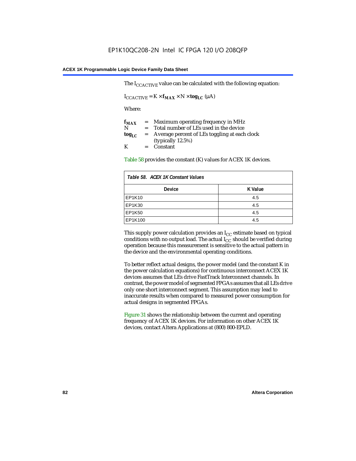The  $I_{CCACTIVE}$  value can be calculated with the following equation:

 $I_{\text{CCACTIVE}} = K \times f_{\text{MAX}} \times N \times \text{tog}_{\text{LC}} (\mu A)$ 

Where:

| $f_{MAX}$  | $=$     | Maximum operating frequency in MHz            |
|------------|---------|-----------------------------------------------|
| N          | $=$ $-$ | Total number of LEs used in the device        |
| $log_{LC}$ | $=$     | Average percent of LEs toggling at each clock |
|            |         | (typically $12.5\%$ )                         |
| K          |         | $=$ Constant                                  |

Table 58 provides the constant (K) values for ACEX 1K devices.

| Table 58. ACEX 1K Constant Values |         |  |  |  |
|-----------------------------------|---------|--|--|--|
| <b>Device</b>                     | K Value |  |  |  |
| EP1K10                            | 4.5     |  |  |  |
| EP1K30                            | 4.5     |  |  |  |
| <b>EP1K50</b>                     | 4.5     |  |  |  |
| EP1K100                           | 4.5     |  |  |  |

This supply power calculation provides an  $I_{CC}$  estimate based on typical conditions with no output load. The actual  $I_{CC}$  should be verified during operation because this measurement is sensitive to the actual pattern in the device and the environmental operating conditions.

To better reflect actual designs, the power model (and the constant K in the power calculation equations) for continuous interconnect ACEX 1K devices assumes that LEs drive FastTrack Interconnect channels. In contrast, the power model of segmented FPGAs assumes that all LEs drive only one short interconnect segment. This assumption may lead to inaccurate results when compared to measured power consumption for actual designs in segmented FPGAs.

Figure 31 shows the relationship between the current and operating frequency of ACEX 1K devices. For information on other ACEX 1K devices, contact Altera Applications at (800) 800-EPLD.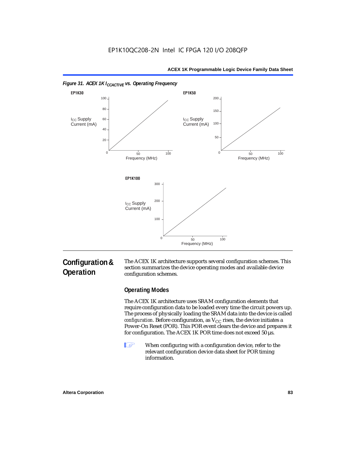



## **Configuration & Operation**

The ACEX 1K architecture supports several configuration schemes. This section summarizes the device operating modes and available device configuration schemes.

## **Operating Modes**

The ACEX 1K architecture uses SRAM configuration elements that require configuration data to be loaded every time the circuit powers up. The process of physically loading the SRAM data into the device is called *configuration*. Before configuration, as  $V_{CC}$  rises, the device initiates a Power-On Reset (POR). This POR event clears the device and prepares it for configuration. The ACEX 1K POR time does not exceed 50 µs.

**1** When configuring with a configuration device, refer to the relevant configuration device data sheet for POR timing information.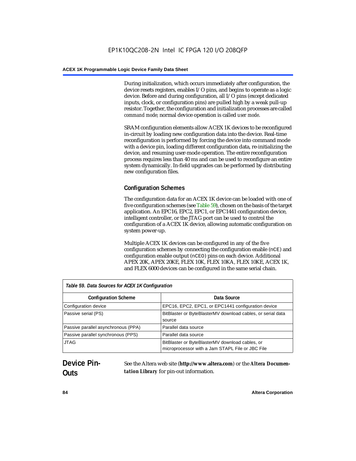During initialization, which occurs immediately after configuration, the device resets registers, enables I/O pins, and begins to operate as a logic device. Before and during configuration, all I/O pins (except dedicated inputs, clock, or configuration pins) are pulled high by a weak pull-up resistor. Together, the configuration and initialization processes are called *command mode*; normal device operation is called *user mode*.

SRAM configuration elements allow ACEX 1K devices to be reconfigured in-circuit by loading new configuration data into the device. Real-time reconfiguration is performed by forcing the device into command mode with a device pin, loading different configuration data, re-initializing the device, and resuming user-mode operation. The entire reconfiguration process requires less than 40 ms and can be used to reconfigure an entire system dynamically. In-field upgrades can be performed by distributing new configuration files.

## **Configuration Schemes**

The configuration data for an ACEX 1K device can be loaded with one of five configuration schemes (see Table 59), chosen on the basis of the target application. An EPC16, EPC2, EPC1, or EPC1441 configuration device, intelligent controller, or the JTAG port can be used to control the configuration of a ACEX 1K device, allowing automatic configuration on system power-up.

Multiple ACEX 1K devices can be configured in any of the five configuration schemes by connecting the configuration enable (nCE) and configuration enable output (nCEO) pins on each device. Additional APEX 20K, APEX 20KE, FLEX 10K, FLEX 10KA, FLEX 10KE, ACEX 1K, and FLEX 6000 devices can be configured in the same serial chain.

| Table 59. Data Sources for ACEX 1K Configuration |                                                                                                     |  |  |  |
|--------------------------------------------------|-----------------------------------------------------------------------------------------------------|--|--|--|
| <b>Configuration Scheme</b>                      | Data Source                                                                                         |  |  |  |
| Configuration device                             | EPC16, EPC2, EPC1, or EPC1441 configuration device                                                  |  |  |  |
| Passive serial (PS)                              | BitBlaster or ByteBlasterMV download cables, or serial data<br>source                               |  |  |  |
| Passive parallel asynchronous (PPA)              | Parallel data source                                                                                |  |  |  |
| Passive parallel synchronous (PPS)               | Parallel data source                                                                                |  |  |  |
| <b>JTAG</b>                                      | BitBlaster or ByteBlasterMV download cables, or<br>microprocessor with a Jam STAPL File or JBC File |  |  |  |

## **Device Pin-Outs**

See the Altera web site (**http://www.altera.com**) or the *Altera Documentation Library* for pin-out information.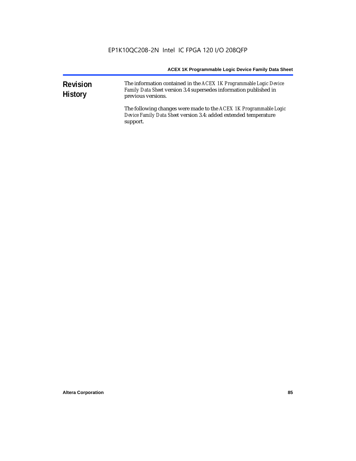| <b>Revision</b><br><b>History</b> | The information contained in the ACEX 1K Programmable Logic Device<br>Family Data Sheet version 3.4 supersedes information published in<br>previous versions. |
|-----------------------------------|---------------------------------------------------------------------------------------------------------------------------------------------------------------|
|                                   | The following changes were made to the ACEX 1K Programmable Logic<br>Device Family Data Sheet version 3.4: added extended temperature<br>support.             |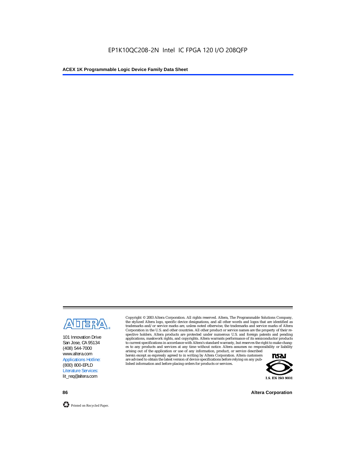

101 Innovation Drive San Jose, CA 95134 (408) 544-7000 www.altera.com Applications Hotline: (800) 800-EPLD Literature Services: lit\_req@altera.com

Copyright © 2003 Altera Corporation. All rights reserved. Altera, The Programmable Solutions Company, the stylized Altera logo, specific device designations, and all other words and logos that are identified as trademarks and/or service marks are, unless noted otherwise, the trademarks and service marks of Altera Corporation in the U.S. and other countries. All other product or service names are the property of their respective holders. Altera products are protected under numerous U.S. and foreign patents and pending applications, maskwork rights, and copyrights. Altera warrants performance of its semiconductor products to current specifications in accordance with Altera's standard warranty, but reserves the right to make changes to any products and services at any time without notice. Altera assumes no responsibility or liability

arising out of the application or use of any information, product, or service described herein except as expressly agreed to in writing by Altera Corporation. Altera customers are advised to obtain the latest version of device specifications before relying on any published information and before placing orders for products or services.



**86 Altera Corporation**